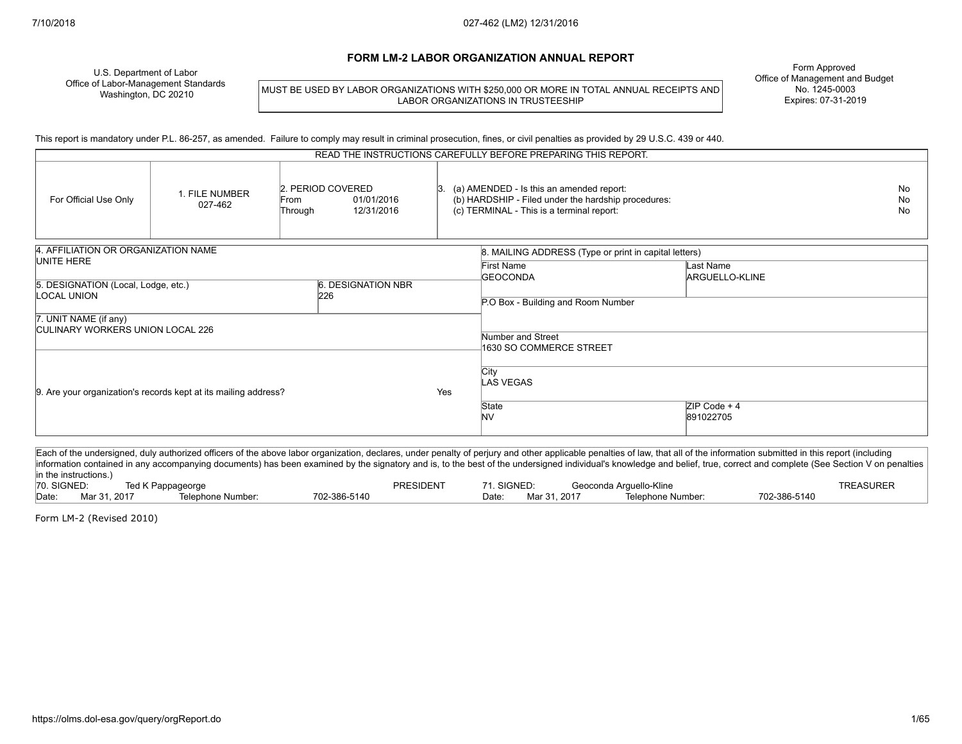#### **FORM LM-2 LABOR ORGANIZATION ANNUAL REPORT**

U.S. Department of Labor Office of Labor-Management Standards Washington, DC 20210

MUST BE USED BY LABOR ORGANIZATIONS WITH \$250,000 OR MORE IN TOTAL ANNUAL RECEIPTS AND LABOR ORGANIZATIONS IN TRUSTEESHIP

Form Approved Office of Management and Budget No. 1245-0003 Expires: 07-31-2019

This report is mandatory under P.L. 86-257, as amended. Failure to comply may result in criminal prosecution, fines, or civil penalties as provided by 29 U.S.C. 439 or 440.

| READ THE INSTRUCTIONS CAREFULLY BEFORE PREPARING THIS REPORT.    |                           |                                      |                          |  |                                                                                                                                              |                             |  |
|------------------------------------------------------------------|---------------------------|--------------------------------------|--------------------------|--|----------------------------------------------------------------------------------------------------------------------------------------------|-----------------------------|--|
| For Official Use Only                                            | 1. FILE NUMBER<br>027-462 | 2. PERIOD COVERED<br>From<br>Through | 01/01/2016<br>12/31/2016 |  | (a) AMENDED - Is this an amended report:<br>(b) HARDSHIP - Filed under the hardship procedures:<br>(c) TERMINAL - This is a terminal report: |                             |  |
| 4. AFFILIATION OR ORGANIZATION NAME                              |                           |                                      |                          |  | 8. MAILING ADDRESS (Type or print in capital letters)                                                                                        |                             |  |
| UNITE HERE                                                       |                           |                                      |                          |  | First Name<br><b>GEOCONDA</b>                                                                                                                | Last Name<br>ARGUELLO-KLINE |  |
| 6. DESIGNATION NBR<br>5. DESIGNATION (Local, Lodge, etc.)<br>226 |                           |                                      |                          |  |                                                                                                                                              |                             |  |
| LOCAL UNION                                                      |                           |                                      |                          |  | P.O Box - Building and Room Number                                                                                                           |                             |  |
| 7. UNIT NAME (if any)<br><b>CULINARY WORKERS UNION LOCAL 226</b> |                           |                                      |                          |  |                                                                                                                                              |                             |  |
|                                                                  |                           |                                      |                          |  | Number and Street                                                                                                                            |                             |  |
|                                                                  |                           |                                      |                          |  | 1630 SO COMMERCE STREET                                                                                                                      |                             |  |
| 9. Are your organization's records kept at its mailing address?  |                           | Yes                                  | <b>City</b><br>LAS VEGAS |  |                                                                                                                                              |                             |  |
|                                                                  |                           |                                      |                          |  | State<br><b>NV</b>                                                                                                                           | $ZIP Code + 4$<br>891022705 |  |

Each of the undersigned, duly authorized officers of the above labor organization, declares, under penalty of perjury and other applicable penalties of law, that all of the information submitted in this report (including information contained in any accompanying documents) has been examined by the signatory and is, to the best of the undersigned individual's knowledge and belief, true, correct and complete (See Section V on penalties in the instructions.)<br>70. SIGNED: Ted K Pappageorge Technology of Teta Superint Transference Controllers and Superint Transference TREASURER TREASURER Date: Mar 31, 2017 Telephone Number: 702-386-5140 Date: Mar 31, 2017 Telephone Number: 702-386-5140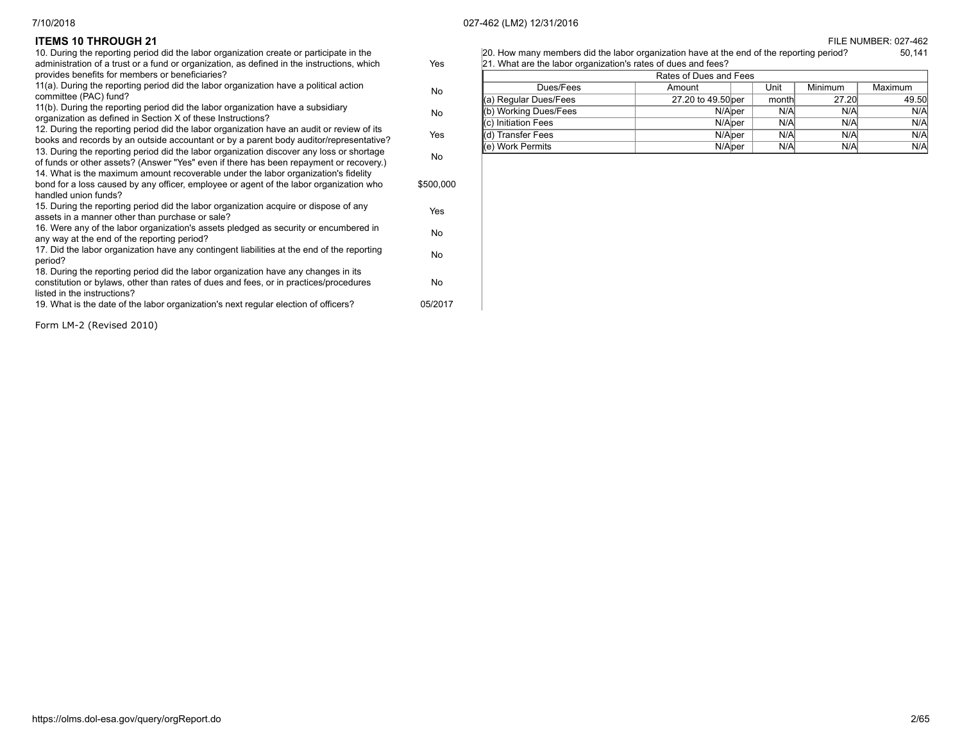| [20] How many members did the labor organization have at the end of the reporting period? | 50.141 |
|-------------------------------------------------------------------------------------------|--------|
| 21. What are the labor organization's rates of dues and fees?                             |        |

| Rates of Dues and Fees |                    |  |       |         |         |  |
|------------------------|--------------------|--|-------|---------|---------|--|
| Dues/Fees              | Amount             |  | Unit  | Minimum | Maximum |  |
| (a) Regular Dues/Fees  | 27.20 to 49.50 per |  | month | 27.20   | 49.50   |  |
| (b) Working Dues/Fees  | N/Alper            |  | N/A   | N/A     | N/A     |  |
| I(c) Initiation Fees   | N/Alper            |  | N/A   | N/A     | N/A     |  |
| Transfer Fees          | N/A <sub>per</sub> |  | N/A   | N/A     | N/A     |  |
| (e) Work Permits       | N/Alper            |  | N/A   | N/A     | N/A     |  |

# **ITEMS 10 THROUGH 21** FILE NUMBER: 027-462

| 10. During the reporting period did the labor organization create or participate in the                              |           |
|----------------------------------------------------------------------------------------------------------------------|-----------|
| administration of a trust or a fund or organization, as defined in the instructions, which                           | Yes       |
| provides benefits for members or beneficiaries?                                                                      |           |
| 11(a). During the reporting period did the labor organization have a political action                                |           |
| committee (PAC) fund?                                                                                                | No.       |
| 11(b). During the reporting period did the labor organization have a subsidiary                                      | No.       |
| organization as defined in Section X of these Instructions?                                                          |           |
| 12. During the reporting period did the labor organization have an audit or review of its                            | Yes       |
| books and records by an outside accountant or by a parent body auditor/representative?                               |           |
| 13. During the reporting period did the labor organization discover any loss or shortage                             | No.       |
| of funds or other assets? (Answer "Yes" even if there has been repayment or recovery.)                               |           |
| 14. What is the maximum amount recoverable under the labor organization's fidelity                                   |           |
| bond for a loss caused by any officer, employee or agent of the labor organization who                               | \$500,000 |
| handled union funds?                                                                                                 |           |
| 15. During the reporting period did the labor organization acquire or dispose of any                                 | Yes       |
| assets in a manner other than purchase or sale?                                                                      |           |
| 16. Were any of the labor organization's assets pledged as security or encumbered in                                 | <b>No</b> |
| any way at the end of the reporting period?                                                                          |           |
| 17. Did the labor organization have any contingent liabilities at the end of the reporting                           | <b>No</b> |
| period?                                                                                                              |           |
| 18. During the reporting period did the labor organization have any changes in its                                   |           |
| constitution or bylaws, other than rates of dues and fees, or in practices/procedures<br>listed in the instructions? | <b>No</b> |
|                                                                                                                      | 05/2017   |
| 19. What is the date of the labor organization's next regular election of officers?                                  |           |
|                                                                                                                      |           |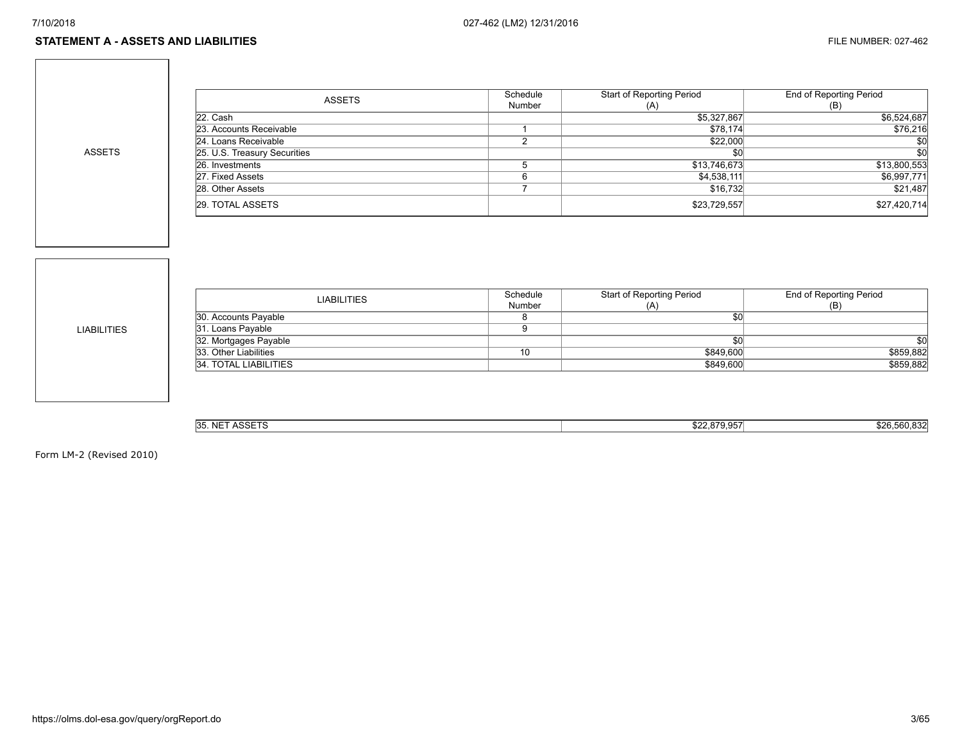#### **STATEMENT A - ASSETS AND LIABILITIES** FILE NUMBER: 027-462

ASSETS

| <b>ASSETS</b>                | Schedule | <b>Start of Reporting Period</b> | End of Reporting Period |
|------------------------------|----------|----------------------------------|-------------------------|
|                              | Number   | (A)                              | (B)                     |
| 22. Cash                     |          | \$5,327,867                      | \$6,524,687             |
| 23. Accounts Receivable      |          | \$78,174                         | \$76,216                |
| 24. Loans Receivable         |          | \$22,000                         | \$0                     |
| 25. U.S. Treasury Securities |          | \$C                              | \$0                     |
| 26. Investments              |          | \$13,746,673                     | \$13,800,553            |
| 27. Fixed Assets             |          | \$4,538,111                      | \$6,997,771             |
| 28. Other Assets             |          | \$16,732                         | \$21,487                |
| 29. TOTAL ASSETS             |          | \$23,729,557                     | \$27,420,714            |

LIABILITIES

| <b>LIABILITIES</b>    | Schedule<br>Number | Start of Reporting Period<br>(A) | End of Reporting Period<br>(B) |
|-----------------------|--------------------|----------------------------------|--------------------------------|
| 30. Accounts Payable  |                    |                                  |                                |
| 31. Loans Payable     |                    |                                  |                                |
| 32. Mortgages Payable |                    |                                  | \$0                            |
| 33. Other Liabilities | 10                 | \$849,600                        | \$859,882                      |
| 34. TOTAL LIABILITIES |                    | \$849,600                        | \$859,882                      |
|                       |                    |                                  |                                |

| 35. NET ASSETS | 0220057<br>922.019.9971 | 0.00000000<br>\$26.560.832 |
|----------------|-------------------------|----------------------------|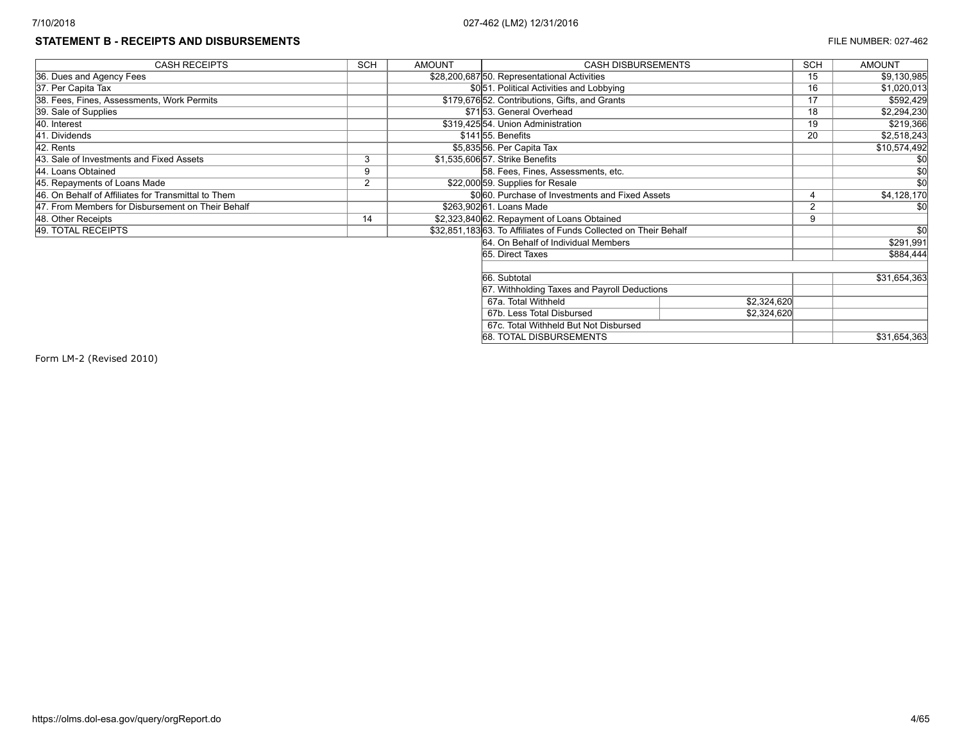# **STATEMENT B - RECEIPTS AND DISBURSEMENTS EXECUTE 27-462**

| <b>CASH RECEIPTS</b>                                | <b>SCH</b>     | <b>AMOUNT</b> | <b>CASH DISBURSEMENTS</b>                                        |             | <b>SCH</b> | <b>AMOUNT</b>   |
|-----------------------------------------------------|----------------|---------------|------------------------------------------------------------------|-------------|------------|-----------------|
| 36. Dues and Agency Fees                            |                |               | \$28,200,687 50. Representational Activities                     |             | 15         | \$9,130,985     |
| 37. Per Capita Tax                                  |                |               | \$0.51. Political Activities and Lobbying                        |             | 16         | \$1,020,013     |
| 38. Fees, Fines, Assessments, Work Permits          |                |               | \$179,67652. Contributions, Gifts, and Grants                    |             | 17         | \$592,429       |
| 39. Sale of Supplies                                |                |               | \$7153. General Overhead                                         |             | 18         | \$2,294,230     |
| 40. Interest                                        |                |               | \$319,42554. Union Administration                                |             | 19         | \$219,366       |
| 41. Dividends                                       |                |               | \$14155. Benefits                                                |             | 20         | \$2,518,243     |
| 42. Rents                                           |                |               | \$5,835556. Per Capita Tax                                       |             |            | \$10,574,492    |
| 43. Sale of Investments and Fixed Assets            | 3              |               | \$1.535.606 57. Strike Benefits                                  |             |            |                 |
| 44. Loans Obtained                                  | 9              |               | 58. Fees, Fines, Assessments, etc.                               |             |            |                 |
| 45. Repayments of Loans Made                        | $\overline{2}$ |               | \$22,000 59. Supplies for Resale                                 |             |            | $\overline{50}$ |
| 46. On Behalf of Affiliates for Transmittal to Them |                |               | \$0 60. Purchase of Investments and Fixed Assets                 |             |            | \$4,128,170     |
| 47. From Members for Disbursement on Their Behalf   |                |               | \$263,902 61. Loans Made                                         |             | $\sim$     |                 |
| 48. Other Receipts                                  | 14             |               | \$2,323,840 62. Repayment of Loans Obtained                      |             | 9          |                 |
| 49. TOTAL RECEIPTS                                  |                |               | \$32,851,18363. To Affiliates of Funds Collected on Their Behalf |             |            | \$0             |
|                                                     |                |               | 64. On Behalf of Individual Members                              |             |            | \$291,991       |
|                                                     |                |               | 65. Direct Taxes                                                 |             |            | \$884,444       |
|                                                     |                |               |                                                                  |             |            |                 |
|                                                     |                |               | 66. Subtotal                                                     |             |            | \$31,654,363    |
|                                                     |                |               | 67. Withholding Taxes and Payroll Deductions                     |             |            |                 |
|                                                     |                |               | 67a. Total Withheld                                              | \$2,324,620 |            |                 |
|                                                     |                |               | 67b. Less Total Disbursed                                        | \$2,324,620 |            |                 |
| 67c. Total Withheld But Not Disbursed               |                |               |                                                                  |             |            |                 |
|                                                     |                |               | 68. TOTAL DISBURSEMENTS                                          |             |            | \$31,654,363    |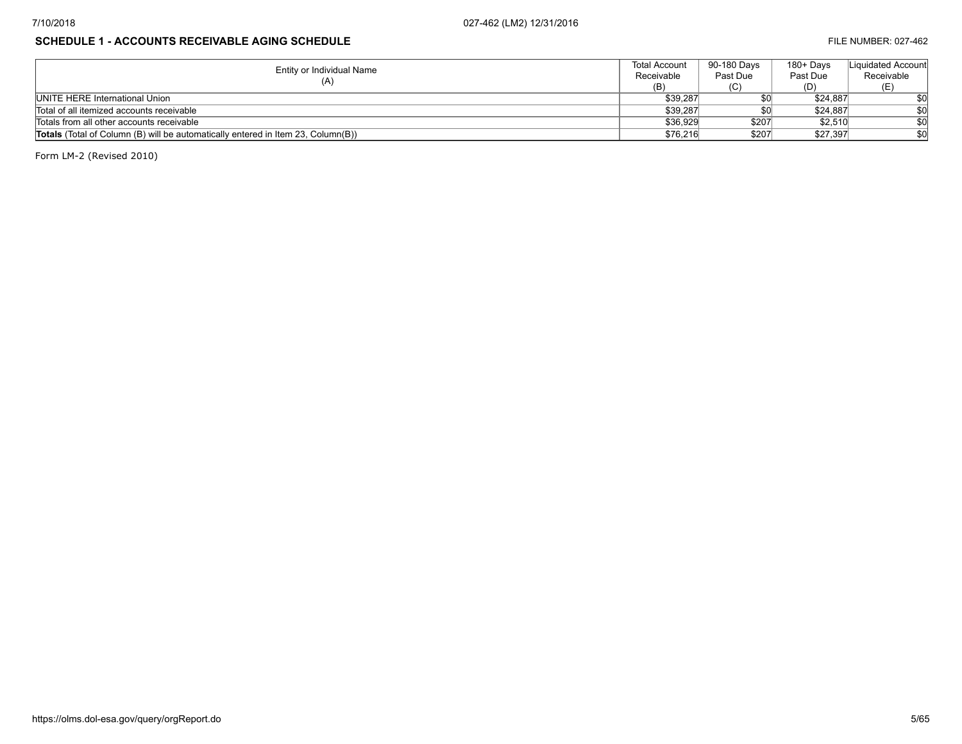# **SCHEDULE 1 - ACCOUNTS RECEIVABLE AGING SCHEDULE Example 2001 120 and 2003 120 and 2003 120 and 2003 120 and 2003 120 and 2003 120 and 2003 120 and 2003 120 and 2003 120 and 2003 120 and 2003 120 and 2003 120 and 2003 12**

| Entity or Individual Name                                                               | <b>Total Account</b> | 90-180 Davs | 180+ Days | Liquidated Account |
|-----------------------------------------------------------------------------------------|----------------------|-------------|-----------|--------------------|
|                                                                                         | Receivable           | Past Due    | Past Due  | Receivable         |
| (A)                                                                                     | (B)                  | (C)         | (D)       | (E.                |
| <b>IUNITE HERE International Union</b>                                                  | \$39,287             |             | \$24.887  | \$0                |
| Total of all itemized accounts receivable                                               | \$39.287             |             | \$24.887  | \$0                |
| Totals from all other accounts receivable                                               | \$36.929             | \$207       | \$2.510   | \$0                |
| <b>Totals</b> (Total of Column (B) will be automatically entered in Item 23, Column(B)) | \$76,216             | \$207       | \$27.397  | \$0                |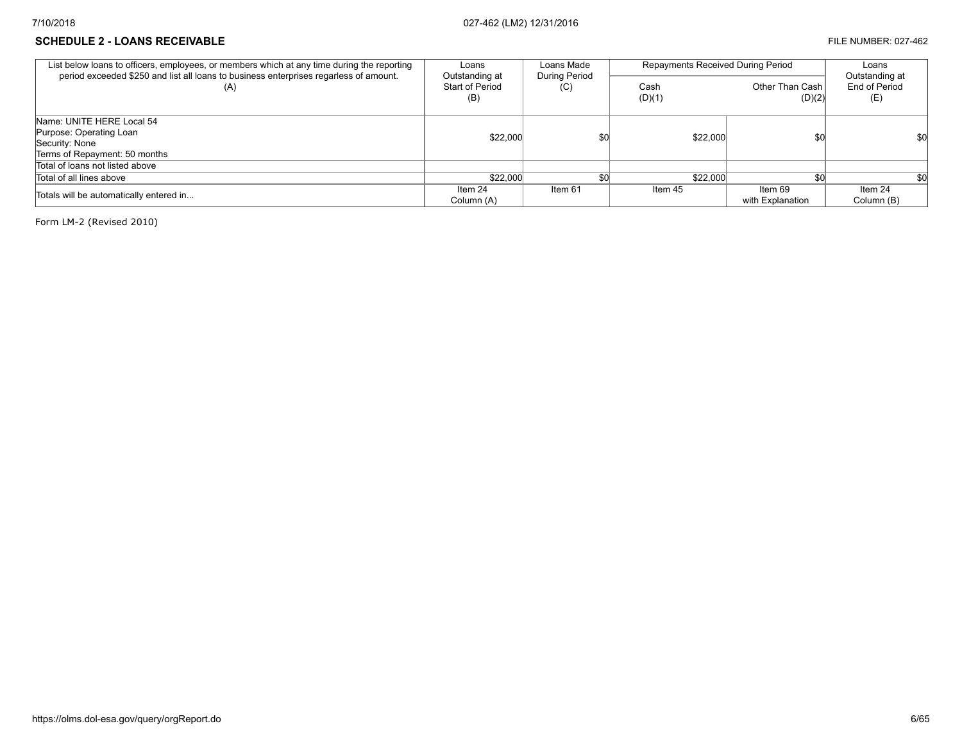### **SCHEDULE 2 - LOANS RECEIVABLE EXECUVABLE FILE NUMBER: 027-462**

| List below loans to officers, employees, or members which at any time during the reporting              | Loans                                    | Loans Made                  | Repayments Received During Period | Loans<br>Outstanding at     |                       |
|---------------------------------------------------------------------------------------------------------|------------------------------------------|-----------------------------|-----------------------------------|-----------------------------|-----------------------|
| period exceeded \$250 and list all loans to business enterprises regarless of amount.<br>(A)            | Outstanding at<br>Start of Period<br>(B) | <b>During Period</b><br>(C) | Cash<br>(D)(1)                    | Other Than Cash<br>(D)(2)   | End of Period<br>(E)  |
| Name: UNITE HERE Local 54<br>Purpose: Operating Loan<br>Security: None<br>Terms of Repayment: 50 months | \$22,000                                 | \$0                         | \$22,000                          | \$0                         | \$O                   |
| Total of loans not listed above                                                                         |                                          |                             |                                   |                             |                       |
| Total of all lines above                                                                                | \$22,000                                 | \$0                         | \$22,000                          | \$0                         | \$0                   |
| Totals will be automatically entered in                                                                 | Item 24<br>Column (A)                    | Item 61                     | Item 45                           | ltem 69<br>with Explanation | Item 24<br>Column (B) |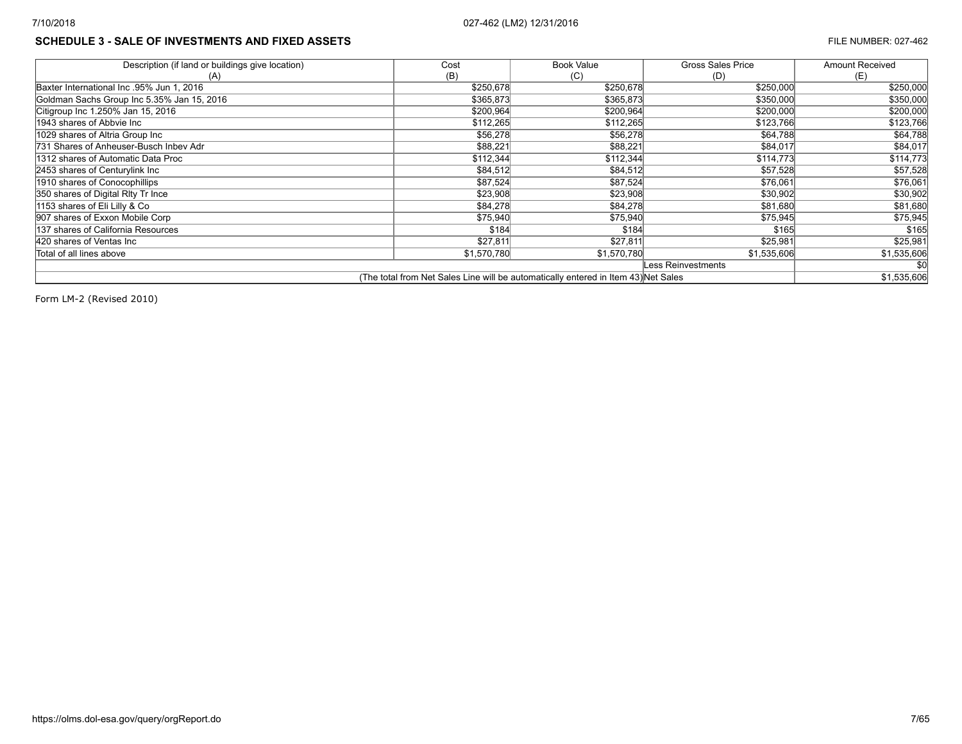# **SCHEDULE 3 - SALE OF INVESTMENTS AND FIXED ASSETS FILE NUMBER: 027-462**

| Description (if land or buildings give location)                                   | Cost        | Book Value  | <b>Gross Sales Price</b> | Amount Received |  |
|------------------------------------------------------------------------------------|-------------|-------------|--------------------------|-----------------|--|
| (A)                                                                                | (B)         | (C)         | (D)                      | (E)             |  |
| Baxter International Inc. 95% Jun 1, 2016                                          | \$250,678   | \$250,678   | \$250,000                | \$250,000       |  |
| Goldman Sachs Group Inc 5.35% Jan 15, 2016                                         | \$365,873   | \$365,873   | \$350,000                | \$350,000       |  |
| Citigroup Inc 1.250% Jan 15, 2016                                                  | \$200,964   | \$200,964   | \$200,000                | \$200,000       |  |
| 1943 shares of Abbyie Inc                                                          | \$112,265   | \$112,265   | \$123,766                | \$123,766       |  |
| 1029 shares of Altria Group Inc                                                    | \$56,278    | \$56,278    | \$64,788                 | \$64,788        |  |
| 731 Shares of Anheuser-Busch Inbev Adr                                             | \$88,221    | \$88,221    | \$84,017                 | \$84,017        |  |
| 11312 shares of Automatic Data Proc                                                | \$112,344   | \$112,344   | \$114,773                | \$114,773       |  |
| 2453 shares of Centurylink Inc                                                     | \$84,512    | \$84,512    | \$57,528                 | \$57,528        |  |
| 1910 shares of Conocophillips                                                      | \$87,524    | \$87,524    | \$76,061                 | \$76,061        |  |
| 350 shares of Digital Rity Tr Ince                                                 | \$23,908    | \$23,908    | \$30,902                 | \$30,902        |  |
| 1153 shares of Eli Lilly & Co                                                      | \$84,278    | \$84,278    | \$81,680                 | \$81,680        |  |
| 907 shares of Exxon Mobile Corp                                                    | \$75,940    | \$75,940    | \$75,945                 | \$75,945        |  |
| 1137 shares of California Resources                                                | \$184       | \$184       | \$165                    | \$165           |  |
| 420 shares of Ventas Inc                                                           | \$27,811    | \$27,811    | \$25,981                 | \$25,981        |  |
| Total of all lines above                                                           | \$1,570,780 | \$1,570,780 | \$1,535,606              | \$1,535,606     |  |
|                                                                                    |             |             | Less Reinvestments       |                 |  |
| (The total from Net Sales Line will be automatically entered in Item 43) Net Sales |             |             |                          |                 |  |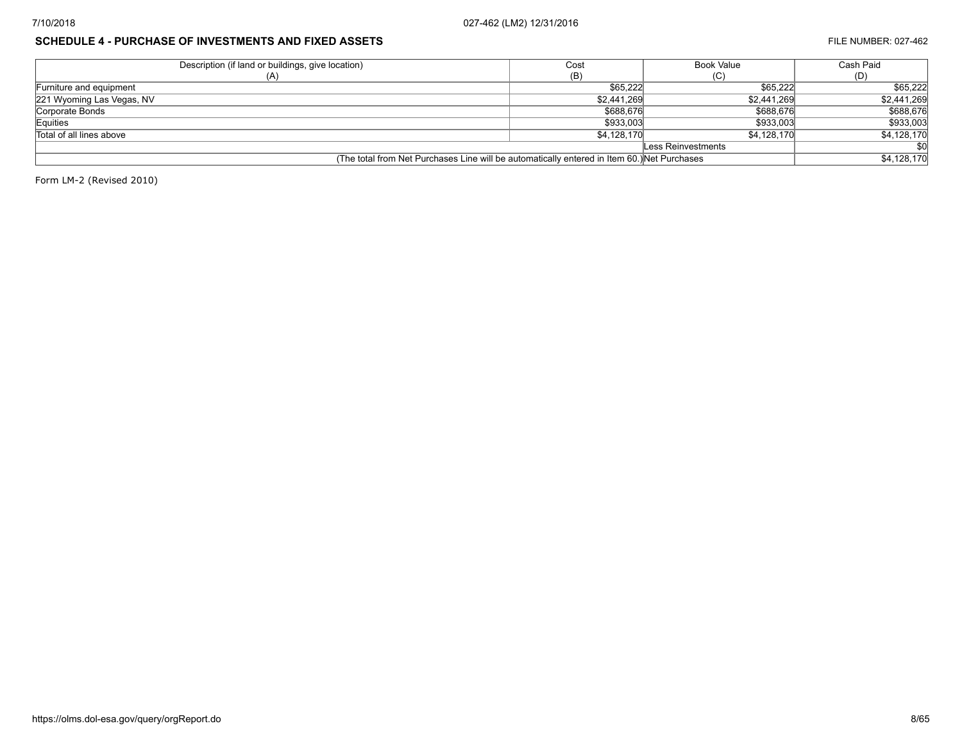# **SCHEDULE 4 - PURCHASE OF INVESTMENTS AND FIXED ASSETS FILE NUMBER: 027-462**

| Description (if land or buildings, give location)                                           | Cost        | <b>Book Value</b>  | Cash Paid   |
|---------------------------------------------------------------------------------------------|-------------|--------------------|-------------|
| (A)                                                                                         | (B)         | (C)                | (D)         |
| Furniture and equipment                                                                     | \$65.222    | \$65,222           | \$65,222    |
| 221 Wyoming Las Vegas, NV                                                                   | \$2,441,269 | \$2.441.269        | \$2,441,269 |
| Corporate Bonds                                                                             | \$688,676   | \$688,676          | \$688,676   |
| Equities                                                                                    | \$933,003   | \$933,003          | \$933,003   |
| Total of all lines above                                                                    | \$4.128.170 | \$4.128.170        | \$4,128,170 |
|                                                                                             |             | Less Reinvestments |             |
| (The total from Net Purchases Line will be automatically entered in Item 60.) Net Purchases |             | \$4,128,170        |             |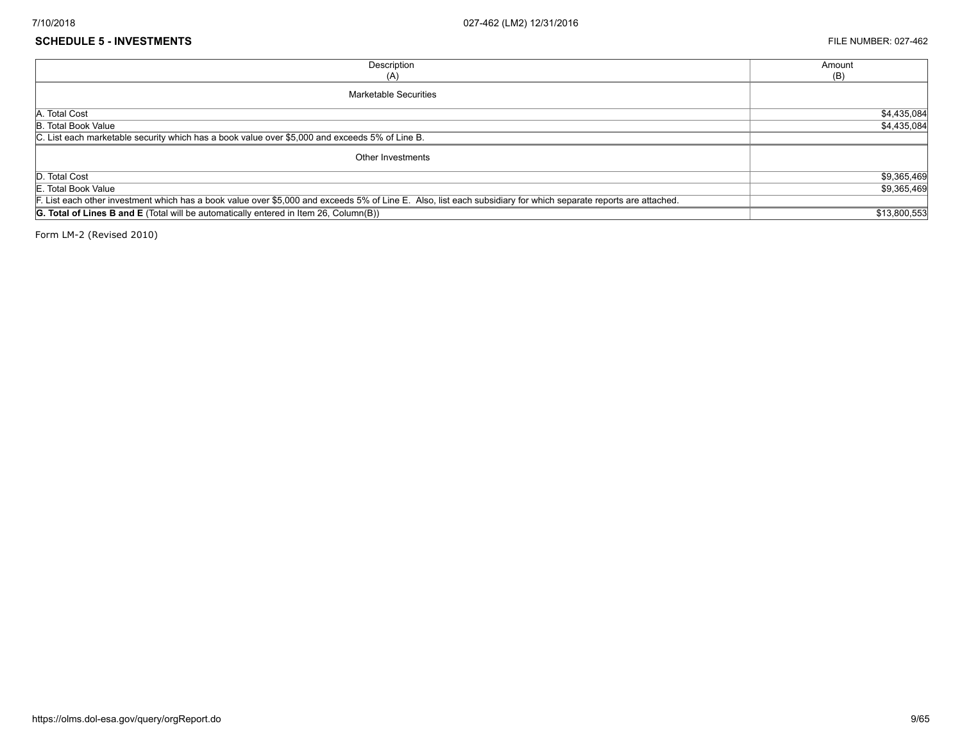#### **SCHEDULE 5 - INVESTMENTS** FILE NUMBER: 027-462

| Description                                                                                                                                                     | Amount       |
|-----------------------------------------------------------------------------------------------------------------------------------------------------------------|--------------|
| (A)                                                                                                                                                             | (B)          |
| <b>Marketable Securities</b>                                                                                                                                    |              |
| A. Total Cost                                                                                                                                                   | \$4,435,084  |
| B. Total Book Value                                                                                                                                             | \$4,435,084  |
| C. List each marketable security which has a book value over \$5,000 and exceeds 5% of Line B.                                                                  |              |
| Other Investments                                                                                                                                               |              |
| D. Total Cost                                                                                                                                                   | \$9,365,469  |
| E. Total Book Value                                                                                                                                             | \$9,365,469  |
| F. List each other investment which has a book value over \$5,000 and exceeds 5% of Line E. Also, list each subsidiary for which separate reports are attached. |              |
| <b>G. Total of Lines B and E</b> (Total will be automatically entered in Item 26, Column(B))                                                                    | \$13,800,553 |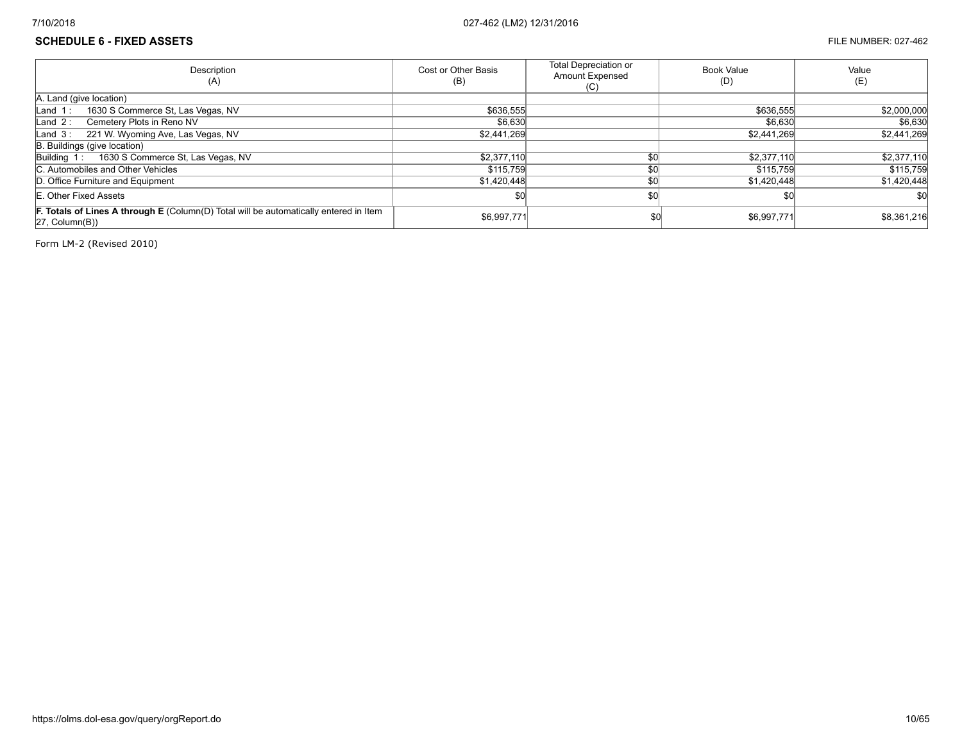## **SCHEDULE 6 - FIXED ASSETS** FILE NUMBER: 027-462

| Description<br>(A)                                                                                                      | Cost or Other Basis<br>(B) | <b>Total Depreciation or</b><br><b>Amount Expensed</b><br>(C) | Book Value<br>(D) | Value<br>(E) |
|-------------------------------------------------------------------------------------------------------------------------|----------------------------|---------------------------------------------------------------|-------------------|--------------|
| A. Land (give location)                                                                                                 |                            |                                                               |                   |              |
| 1630 S Commerce St, Las Vegas, NV<br>$\lfloor$ Land 1:                                                                  | \$636,555                  |                                                               | \$636,555         | \$2,000,000  |
| Cemetery Plots in Reno NV<br>Land $2:$                                                                                  | \$6.630                    |                                                               | \$6,630           | \$6,630      |
| 221 W. Wyoming Ave, Las Vegas, NV<br>Land $3:$                                                                          | \$2,441,269                |                                                               | \$2.441.269       | \$2,441,269  |
| B. Buildings (give location)                                                                                            |                            |                                                               |                   |              |
| Building 1: 1630 S Commerce St, Las Vegas, NV                                                                           | \$2,377,110                | \$0                                                           | \$2,377,110       | \$2,377,110  |
| C. Automobiles and Other Vehicles                                                                                       | \$115,759                  | \$0                                                           | \$115,759         | \$115,759    |
| D. Office Furniture and Equipment                                                                                       | \$1,420,448                | \$0                                                           | \$1,420,448       | \$1,420,448  |
| E. Other Fixed Assets                                                                                                   | \$0                        | SO <sub>0</sub>                                               |                   | \$0          |
| F. Totals of Lines A through E (Column(D) Total will be automatically entered in Item<br>$ 27, \text{Column}(B)\rangle$ | \$6,997,771                | \$0                                                           | \$6,997,771       | \$8,361,216  |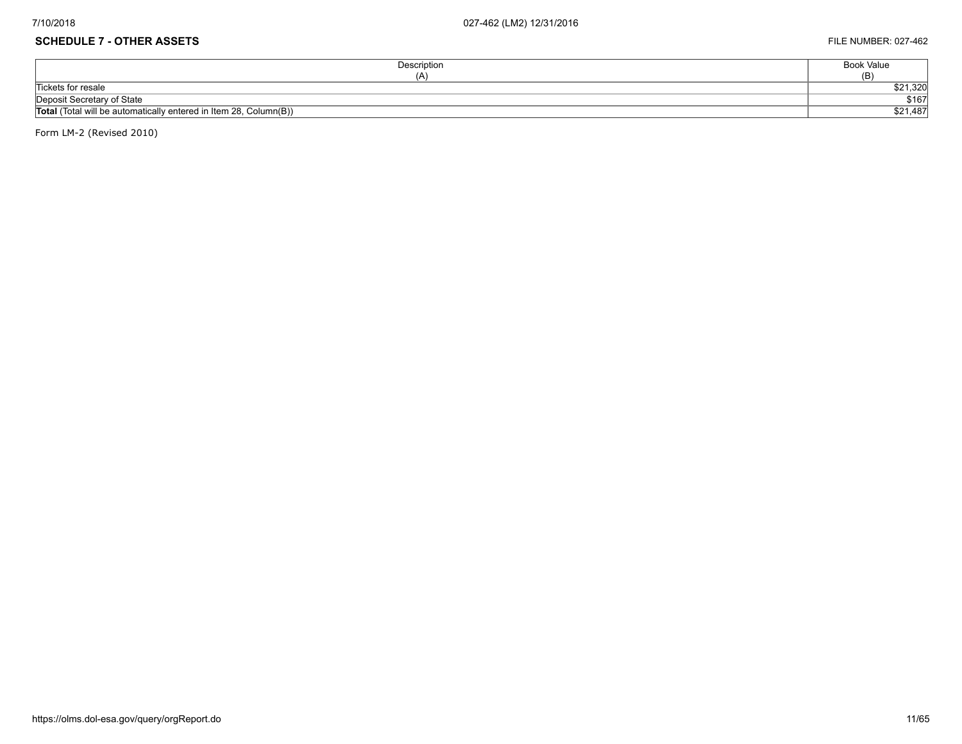# **SCHEDULE 7 - OTHER ASSETS** FILE NUMBER: 027-462

| Description                                                       | Book Value |
|-------------------------------------------------------------------|------------|
|                                                                   | (B)        |
| Tickets for resale                                                | \$21,320   |
| Deposit Secretary of State                                        | \$167      |
| Total (Total will be automatically entered in Item 28, Column(B)) | \$21,487   |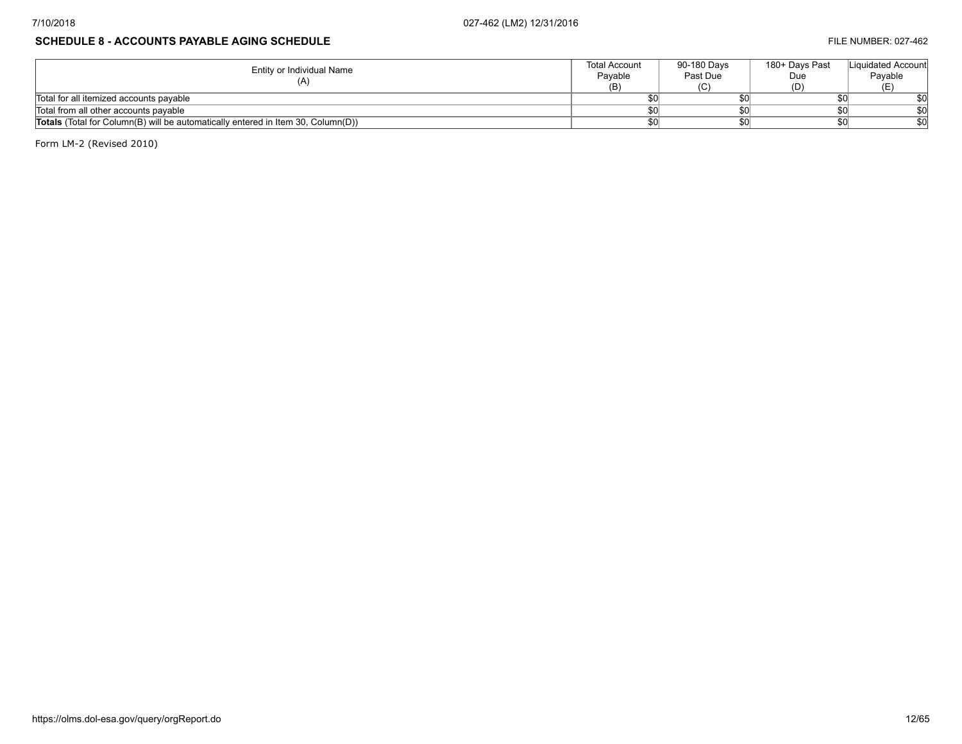# **SCHEDULE 8 - ACCOUNTS PAYABLE AGING SCHEDULE FILE NUMBER: 027-462**

| Entity or Individual Name                                                               | <b>Total Account</b><br>Pavable | 90-180 Davs<br>Past Due | 180+ Davs Past<br>Due | Liquidated Account<br>Payable |
|-----------------------------------------------------------------------------------------|---------------------------------|-------------------------|-----------------------|-------------------------------|
|                                                                                         | (B)                             |                         |                       |                               |
| Total for all itemized accounts payable                                                 |                                 |                         |                       |                               |
| Total from all other accounts payable                                                   |                                 |                         |                       |                               |
| <b>Totals</b> (Total for Column(B) will be automatically entered in Item 30, Column(D)) |                                 |                         |                       |                               |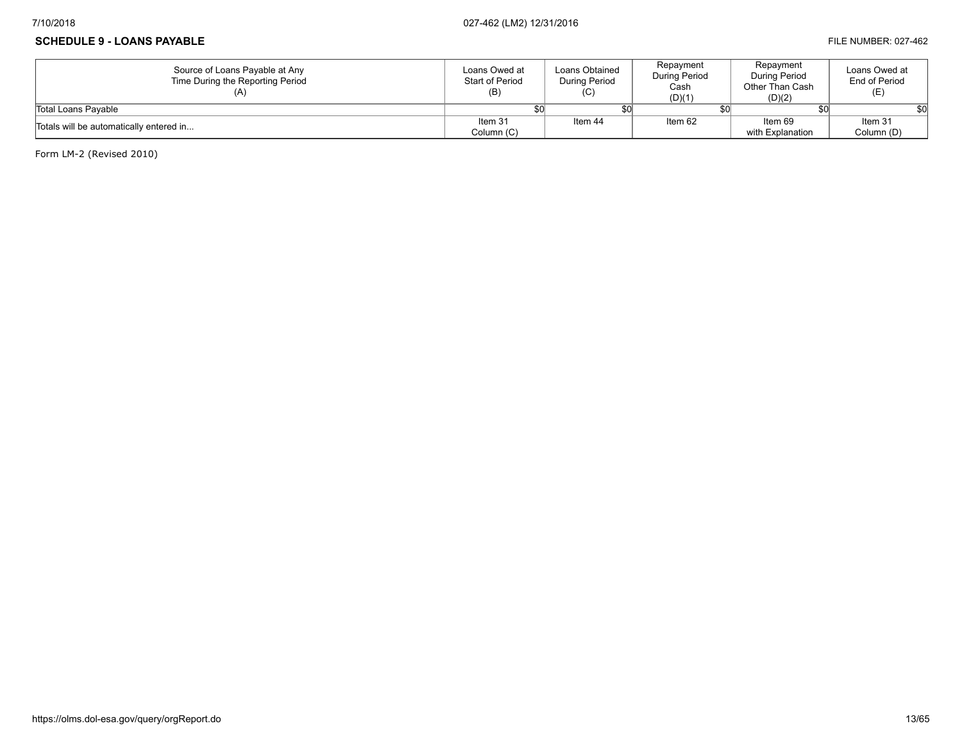## **SCHEDULE 9 - LOANS PAYABLE FILE NUMBER: 027-462**

| Source of Loans Payable at Any<br>Time During the Reporting Period | Loans Owed at<br>Start of Period<br>(B) | Loans Obtained<br>During Period<br>(C) | Repayment<br>During Period<br>Cash<br>(D)(1) | Repayment<br>During Period<br>Other Than Cash<br>(D)(2) | Loans Owed at<br>End of Period<br>(E) |
|--------------------------------------------------------------------|-----------------------------------------|----------------------------------------|----------------------------------------------|---------------------------------------------------------|---------------------------------------|
| Total Loans Pavable                                                |                                         |                                        |                                              |                                                         |                                       |
| Totals will be automatically entered in                            | Item 31                                 | Item 44                                | Item 62                                      | Item 69                                                 | Item 31                               |
|                                                                    | Column (C)                              |                                        |                                              | with Explanation                                        | Column (D)                            |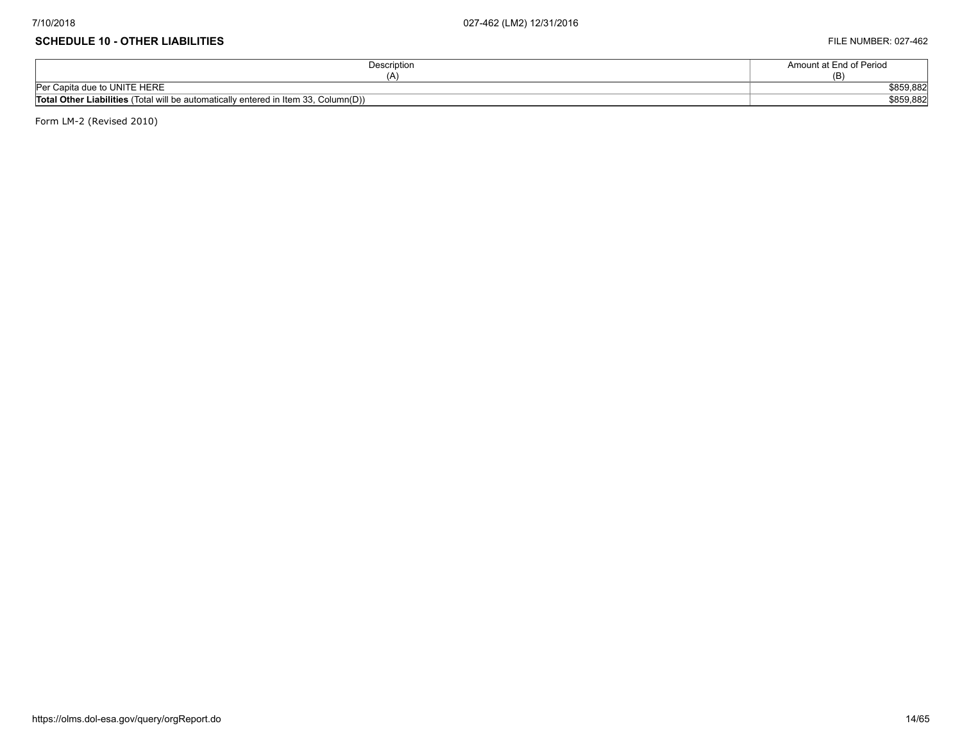#### **SCHEDULE 10 - OTHER LIABILITIES** FILE NUMBER: 027-462

| Description                                                                                | Amount at End of Period |
|--------------------------------------------------------------------------------------------|-------------------------|
| I.                                                                                         | (B)                     |
| Per Capita due to UNITE HERE                                                               | \$859,882               |
| <b>Total Other Liabilities</b> (Total will be automatically entered in Item 33, Column(D)) | \$859,882               |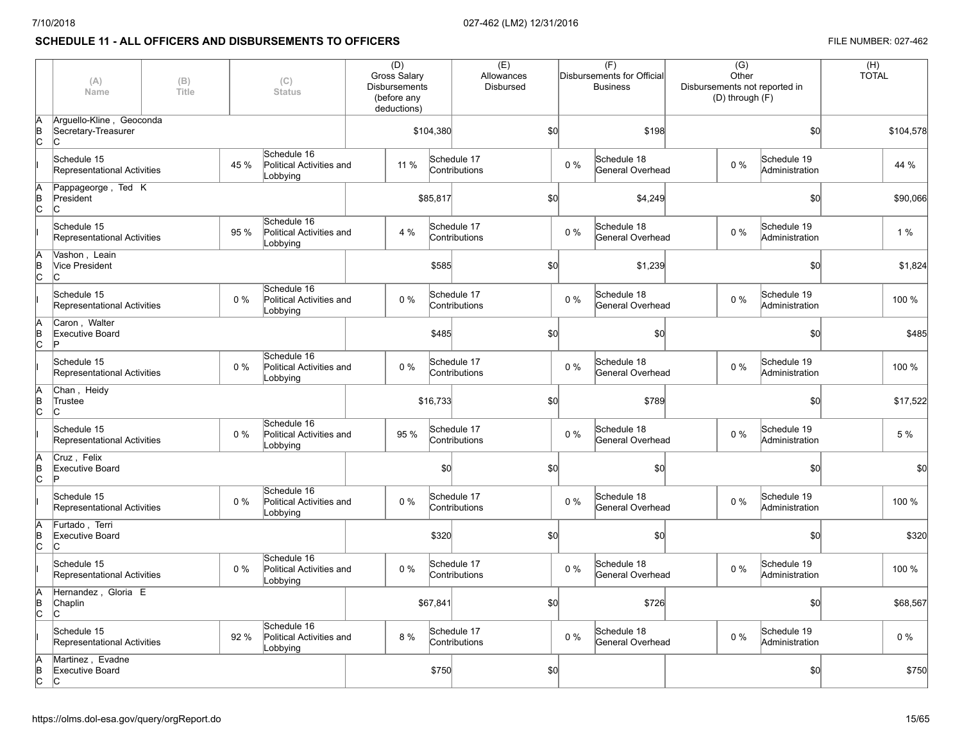# **SCHEDULE 11 - ALL OFFICERS AND DISBURSEMENTS TO OFFICERS FILE NUMBER: 027-462**

|                 | (A)<br>Name                                            | (B)<br>Title |       | (C)<br><b>Status</b>                                | (D)<br><b>Gross Salary</b><br><b>Disbursements</b><br>(before any<br>deductions) |           | (E)<br>Allowances<br>Disbursed |     |       | (F)<br>Disbursements for Official<br><b>Business</b> | $\overline{(G)}$<br>Other<br>Disbursements not reported in<br>(D) through (F) |                               | (H)<br><b>TOTAL</b> |           |
|-----------------|--------------------------------------------------------|--------------|-------|-----------------------------------------------------|----------------------------------------------------------------------------------|-----------|--------------------------------|-----|-------|------------------------------------------------------|-------------------------------------------------------------------------------|-------------------------------|---------------------|-----------|
| A<br>B<br>Iс    | Arquello-Kline, Geoconda<br>Secretary-Treasurer<br>lC. |              |       |                                                     |                                                                                  | \$104,380 | \$0                            |     | \$198 |                                                      | \$0                                                                           |                               |                     | \$104,578 |
|                 | Schedule 15<br>Representational Activities             |              | 45 %  | Schedule 16<br>Political Activities and<br>Lobbying | 11 %                                                                             |           | Schedule 17<br>Contributions   |     | $0\%$ | Schedule 18<br>General Overhead                      | $0\%$                                                                         | Schedule 19<br>Administration |                     | 44 %      |
| lΑ<br>lв<br>lc. | Pappageorge, Ted K<br>President<br>lc.                 |              |       |                                                     |                                                                                  | \$85,817  |                                | \$0 |       | \$4,249                                              |                                                                               | \$0                           |                     | \$90,066  |
|                 | Schedule 15<br>Representational Activities             |              | 95 %  | Schedule 16<br>Political Activities and<br>Lobbying | 4 %                                                                              |           | Schedule 17<br>Contributions   |     | $0\%$ | Schedule 18<br>General Overhead                      | $0\%$                                                                         | Schedule 19<br>Administration |                     | 1%        |
| lA<br>lΒ<br>lc. | Vashon, Leain<br><b>Vice President</b><br>lc.          |              |       |                                                     |                                                                                  | \$585     |                                | \$0 |       | \$1,239                                              |                                                                               | \$0                           |                     | \$1,824   |
|                 | Schedule 15<br>Representational Activities             |              | $0\%$ | Schedule 16<br>Political Activities and<br>Lobbying | 0%                                                                               |           | Schedule 17<br>Contributions   |     | 0%    | Schedule 18<br>General Overhead                      | $0\%$                                                                         | Schedule 19<br>Administration |                     | 100 %     |
| lΑ<br>B<br>lc.  | Caron, Walter<br><b>Executive Board</b><br>Þ           |              |       |                                                     |                                                                                  | \$485     |                                | \$0 |       | \$0                                                  |                                                                               | \$0                           |                     | \$485     |
|                 | Schedule 15<br>Representational Activities             |              | $0\%$ | Schedule 16<br>Political Activities and<br>Lobbying | 0%                                                                               |           | Schedule 17<br>Contributions   |     | 0%    | Schedule 18<br>General Overhead                      | $0\%$                                                                         | Schedule 19<br>Administration |                     | 100 %     |
| İΑ<br>B<br>Iс   | Chan, Heidy<br>Trustee<br>lc.                          |              |       |                                                     |                                                                                  | \$16,733  |                                | \$0 |       | \$789                                                |                                                                               | \$0                           |                     | \$17,522  |
|                 | Schedule 15<br>Representational Activities             |              | $0\%$ | Schedule 16<br>Political Activities and<br>Lobbying | 95 %                                                                             |           | Schedule 17<br>Contributions   |     | $0\%$ | Schedule 18<br>General Overhead                      | $0\%$                                                                         | Schedule 19<br>Administration |                     | 5 %       |
| B<br>lc.        | Cruz, Felix<br>Executive Board<br>Þ                    |              |       |                                                     |                                                                                  | \$0       |                                | \$0 |       | \$0                                                  |                                                                               | \$0                           |                     | \$0       |
|                 | Schedule 15<br>Representational Activities             |              | $0\%$ | Schedule 16<br>Political Activities and<br>Lobbying | 0%                                                                               |           | Schedule 17<br>Contributions   |     | $0\%$ | Schedule 18<br>General Overhead                      | $0\%$                                                                         | Schedule 19<br>Administration |                     | 100 %     |
| B<br>lc         | Furtado, Terri<br>Executive Board<br>lc.               |              |       |                                                     |                                                                                  | \$320     |                                | \$0 |       | \$0                                                  |                                                                               | \$0                           |                     | \$320     |
|                 | Schedule 15<br>Representational Activities             |              | $0\%$ | Schedule 16<br>Political Activities and<br>Lobbying | 0%                                                                               |           | Schedule 17<br>Contributions   |     | $0\%$ | Schedule 18<br>General Overhead                      | $0\%$                                                                         | Schedule 19<br>Administration |                     | 100 %     |
| lA<br>B<br>C    | Hernandez, Gloria E<br>Chaplin<br>lc.                  |              |       |                                                     |                                                                                  | \$67,841  |                                | \$0 |       | \$726                                                |                                                                               | \$0                           |                     | \$68,567  |
|                 | Schedule 15<br>Representational Activities             |              | 92 %  | Schedule 16<br>Political Activities and<br>Lobbying | 8 %                                                                              |           | Schedule 17<br>Contributions   |     | 0%    | Schedule 18<br>General Overhead                      | $0\%$                                                                         | Schedule 19<br>Administration |                     | $0\%$     |
| B<br>Iс         | Martinez, Evadne<br>Executive Board<br>lC.             |              |       |                                                     |                                                                                  | \$750     |                                | \$0 |       |                                                      |                                                                               | 50                            |                     | \$750     |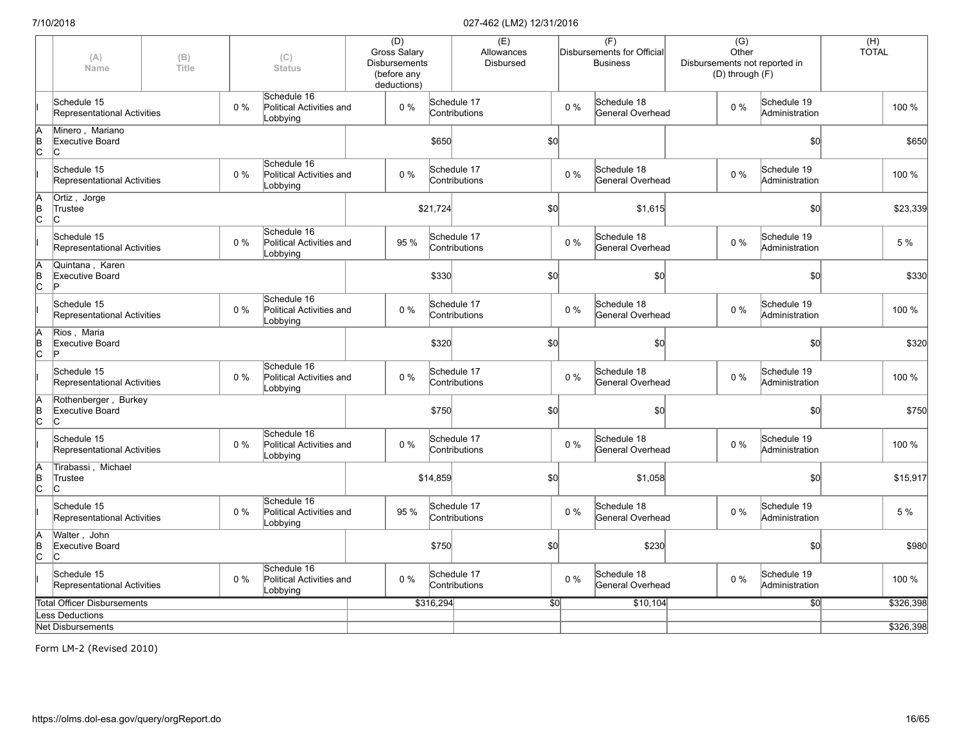|                     | (A)<br>Name                                         | (B)<br>(C)<br>Title<br><b>Status</b> |       |                                                     | (D)<br><b>Gross Salary</b><br><b>Disbursements</b><br>(before any<br>deductions) |           | (E)<br>Allowances<br>Disbursed |                 |       | (F)<br>Disbursements for Official<br><b>Business</b> | $\overline{(G)}$<br>Other<br>Disbursements not reported in<br>(D) through (F) |           |                               | (H)<br><b>TOTAL</b> |           |
|---------------------|-----------------------------------------------------|--------------------------------------|-------|-----------------------------------------------------|----------------------------------------------------------------------------------|-----------|--------------------------------|-----------------|-------|------------------------------------------------------|-------------------------------------------------------------------------------|-----------|-------------------------------|---------------------|-----------|
|                     | Schedule 15<br>Representational Activities          |                                      | $0\%$ | Schedule 16<br>Political Activities and<br>Lobbying | $0\%$                                                                            |           | Schedule 17<br>Contributions   |                 | $0\%$ | Schedule 18<br>General Overhead                      |                                                                               | $0\%$     | Schedule 19<br>Administration |                     | 100 %     |
| $\overline{C}$      | Minero, Mariano<br><b>Executive Board</b><br>IС     |                                      |       |                                                     |                                                                                  | \$650     |                                | \$0             |       |                                                      |                                                                               |           | \$0                           |                     | \$650     |
|                     | Schedule 15<br>Representational Activities          |                                      | $0\%$ | Schedule 16<br>Political Activities and<br>Lobbying | $0\%$                                                                            |           | Schedule 17<br>Contributions   |                 | $0\%$ | Schedule 18<br>General Overhead                      |                                                                               | $0\%$     | Schedule 19<br>Administration |                     | 100 %     |
| A<br>B<br>C         | Ortiz, Jorge<br>Trustee<br>lC.                      |                                      |       |                                                     |                                                                                  | \$21,724  |                                | \$0             |       | \$1,615                                              |                                                                               |           | \$0                           |                     | \$23,339  |
|                     | Schedule 15<br>Representational Activities          |                                      | 0%    | Schedule 16<br>Political Activities and<br>Lobbying | 95 %                                                                             |           | Schedule 17<br>Contributions   |                 | $0\%$ | Schedule 18<br>General Overhead                      |                                                                               | 0%        | Schedule 19<br>Administration |                     | 5 %       |
| A<br>B<br>C         | Quintana, Karen<br>Executive Board                  |                                      |       |                                                     |                                                                                  | \$330     |                                | \$0             |       | \$0                                                  |                                                                               |           | \$0                           |                     | \$330     |
|                     | Schedule 15<br><b>Representational Activities</b>   |                                      | 0%    | Schedule 16<br>Political Activities and<br>Lobbying | $0\%$                                                                            |           | Schedule 17<br>Contributions   |                 | $0\%$ | Schedule 18<br>General Overhead                      |                                                                               | $0\%$     | Schedule 19<br>Administration |                     | 100 %     |
| A<br>$\overline{C}$ | Rios, Maria<br><b>Executive Board</b>               |                                      |       |                                                     |                                                                                  | \$320     |                                | \$0             |       | \$0                                                  |                                                                               |           | \$0                           |                     | \$320     |
|                     | Schedule 15<br><b>Representational Activities</b>   |                                      | $0\%$ | Schedule 16<br>Political Activities and<br>Lobbying | 0%                                                                               |           | Schedule 17<br>Contributions   |                 | $0\%$ | Schedule 18<br>General Overhead                      |                                                                               | $0\%$     | Schedule 19<br>Administration |                     | 100 %     |
| A<br>B<br>C         | Rothenberger, Burkey<br><b>Executive Board</b><br>C |                                      |       |                                                     |                                                                                  | \$750     |                                | \$0             |       | \$0                                                  |                                                                               |           | \$0                           |                     | \$750     |
|                     | Schedule 15<br>Representational Activities          |                                      | $0\%$ | Schedule 16<br>Political Activities and<br>Lobbying | $0\%$                                                                            |           | Schedule 17<br>Contributions   |                 | $0\%$ | Schedule 18<br>General Overhead                      |                                                                               | $0\%$     | Schedule 19<br>Administration |                     | 100 %     |
| B<br>C              | Tirabassi, Michael<br>Trustee<br>IС                 |                                      |       |                                                     |                                                                                  | \$14,859  |                                | \$0             |       | \$1,058                                              |                                                                               |           | \$0                           |                     | \$15,917  |
|                     | Schedule 15<br>Representational Activities          |                                      | $0\%$ | Schedule 16<br>Political Activities and<br>Lobbying | 95 %                                                                             |           | Schedule 17<br>Contributions   |                 | $0\%$ | Schedule 18<br>General Overhead                      |                                                                               | $0\%$     | Schedule 19<br>Administration |                     | 5 %       |
| Ā<br>$\overline{c}$ | Walter, John<br>Executive Board<br>lc.              |                                      |       |                                                     |                                                                                  | \$750     |                                | \$0             |       | \$230                                                |                                                                               |           | \$0                           |                     | \$980     |
|                     | Schedule 15<br>Representational Activities          |                                      | 0%    | Schedule 16<br>Political Activities and<br>Lobbying | 0%                                                                               |           | Schedule 17<br>Contributions   |                 | $0\%$ | Schedule 18<br>General Overhead                      |                                                                               | 0%        | Schedule 19<br>Administration |                     | 100 %     |
|                     | <b>Total Officer Disbursements</b>                  |                                      |       |                                                     |                                                                                  | \$316,294 |                                | $\overline{30}$ |       | \$10,104                                             |                                                                               |           | 50                            |                     | \$326,398 |
|                     | Less Deductions                                     |                                      |       |                                                     |                                                                                  |           |                                |                 |       |                                                      |                                                                               |           |                               |                     |           |
|                     | <b>Net Disbursements</b>                            |                                      |       |                                                     |                                                                                  |           |                                |                 |       |                                                      |                                                                               | \$326,398 |                               |                     |           |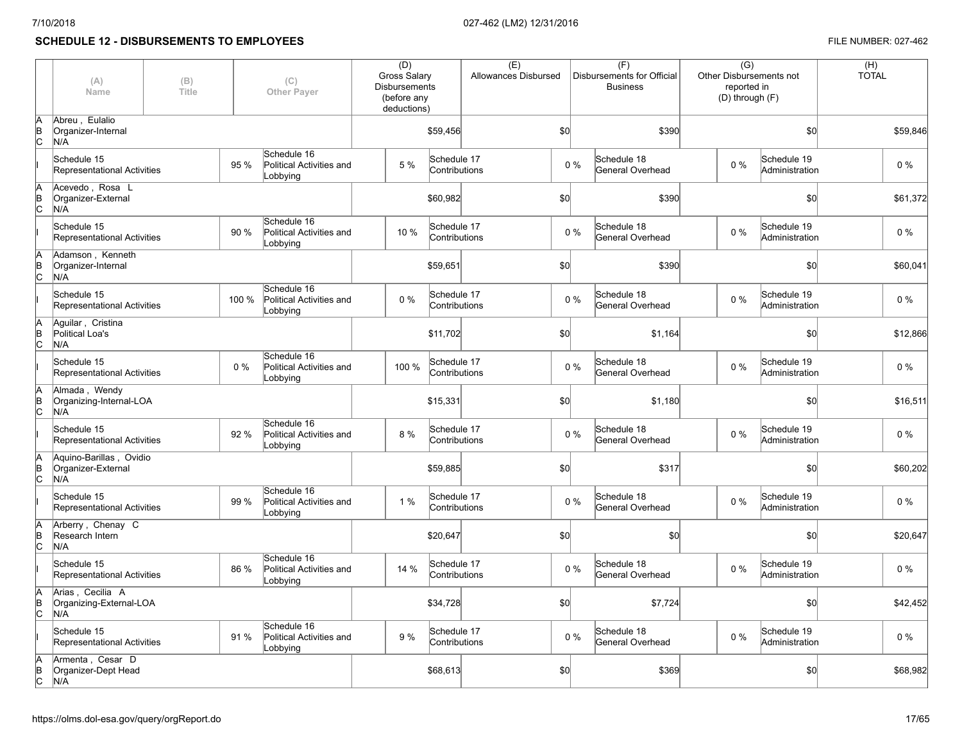# **SCHEDULE 12 - DISBURSEMENTS TO EMPLOYEES FILE NUMBER: 027-462**

|                 | (A)<br>Name                                          | (B)<br>Title |       | (C)<br>Other Payer                                  | (D)<br><b>Gross Salary</b><br><b>Disbursements</b><br>(before any<br>deductions) |                              | (E)<br>Allowances Disbursed |       | (F)<br>Disbursements for Official<br><b>Business</b> | $\overline{(G)}$<br>Other Disbursements not<br>reported in<br>(D) through (F) |                               | (H)<br><b>TOTAL</b> |
|-----------------|------------------------------------------------------|--------------|-------|-----------------------------------------------------|----------------------------------------------------------------------------------|------------------------------|-----------------------------|-------|------------------------------------------------------|-------------------------------------------------------------------------------|-------------------------------|---------------------|
| ΙB<br>lс        | Abreu, Eulalio<br>Organizer-Internal<br>N/A          |              |       |                                                     |                                                                                  | \$59,456                     |                             | \$0   | \$390                                                | \$0                                                                           |                               | \$59,846            |
|                 | Schedule 15<br>Representational Activities           |              | 95 %  | Schedule 16<br>Political Activities and<br>Lobbying | 5 %                                                                              | Schedule 17<br>Contributions |                             | $0\%$ | Schedule 18<br>General Overhead                      | 0%                                                                            | Schedule 19<br>Administration | $0\%$               |
| lA<br>B<br>Iс   | Acevedo, Rosa L<br>Organizer-External<br>N/A         |              |       |                                                     |                                                                                  | \$60,982                     |                             | \$0   | \$390                                                |                                                                               | \$0                           | \$61,372            |
|                 | Schedule 15<br>Representational Activities           |              | 90 %  | Schedule 16<br>Political Activities and<br>Lobbying | 10 %                                                                             | Schedule 17<br>Contributions |                             | 0%    | Schedule 18<br>General Overhead                      | 0%                                                                            | Schedule 19<br>Administration | 0 %                 |
| lA<br>ΙB<br>lc. | Adamson, Kenneth<br>Organizer-Internal<br>N/A        |              |       |                                                     |                                                                                  | \$59,651                     |                             | \$0   | \$390                                                |                                                                               | SO <sub>o</sub>               | \$60,041            |
|                 | Schedule 15<br>Representational Activities           |              | 100 % | Schedule 16<br>Political Activities and<br>Lobbying | $0\%$                                                                            | Schedule 17<br>Contributions |                             | 0%    | Schedule 18<br>General Overhead                      | 0%                                                                            | Schedule 19<br>Administration | 0 %                 |
| lΑ<br>B<br>lc.  | Aguilar, Cristina<br>Political Loa's<br>N/A          |              |       |                                                     |                                                                                  | \$11,702                     |                             | \$0   | \$1,164                                              |                                                                               | \$0                           | \$12,866            |
|                 | Schedule 15<br>Representational Activities           |              | $0\%$ | Schedule 16<br>Political Activities and<br>Lobbying | 100 %                                                                            | Schedule 17<br>Contributions |                             | 0%    | Schedule 18<br>General Overhead                      | 0%                                                                            | Schedule 19<br>Administration | $0\%$               |
| B<br>lc         | Almada, Wendy<br>Organizing-Internal-LOA<br>N/A      |              |       |                                                     |                                                                                  | \$15,331                     |                             | \$0   | \$1,180                                              |                                                                               | SO <sub>o</sub>               | \$16,511            |
|                 | Schedule 15<br>Representational Activities           |              | 92 %  | Schedule 16<br>Political Activities and<br>Lobbying | 8 %                                                                              | Schedule 17<br>Contributions |                             | 0%    | Schedule 18<br>General Overhead                      | $0\%$                                                                         | Schedule 19<br>Administration | $0\%$               |
| ΙB<br>lc.       | Aguino-Barillas, Ovidio<br>Organizer-External<br>N/A |              |       |                                                     |                                                                                  | \$59,885                     |                             | \$0   | \$317                                                |                                                                               | \$0                           | \$60,202            |
|                 | Schedule 15<br>Representational Activities           |              | 99 %  | Schedule 16<br>Political Activities and<br>Lobbying | 1%                                                                               | Schedule 17<br>Contributions |                             | $0\%$ | Schedule 18<br>General Overhead                      | 0%                                                                            | Schedule 19<br>Administration | $0\%$               |
| B<br>Iс         | Arberry, Chenay C<br>Research Intern<br>N/A          |              |       |                                                     |                                                                                  | \$20,647                     |                             | \$0   | \$0                                                  |                                                                               | \$0                           | \$20,647            |
|                 | Schedule 15<br>Representational Activities           |              | 86 %  | Schedule 16<br>Political Activities and<br>Lobbying | 14 %                                                                             | Schedule 17<br>Contributions |                             | $0\%$ | Schedule 18<br>General Overhead                      | $0\%$                                                                         | Schedule 19<br>Administration | $0\%$               |
| ΙB<br>lс        | Arias, Cecilia A<br>Organizing-External-LOA<br>N/A   |              |       |                                                     |                                                                                  | \$34,728                     |                             | \$0   | \$7,724                                              |                                                                               | \$0                           | \$42,452            |
|                 | Schedule 15<br>Representational Activities           |              | 91 %  | Schedule 16<br>Political Activities and<br>Lobbying | 9 %                                                                              | Schedule 17<br>Contributions |                             | 0%    | Schedule 18<br>General Overhead                      | $0\%$                                                                         | Schedule 19<br>Administration | $0\%$               |
| B<br>lс         | Armenta, Cesar D<br>Organizer-Dept Head<br>N/A       |              |       |                                                     |                                                                                  | \$68,613                     |                             | \$0   | \$369                                                |                                                                               | \$0                           | \$68,982            |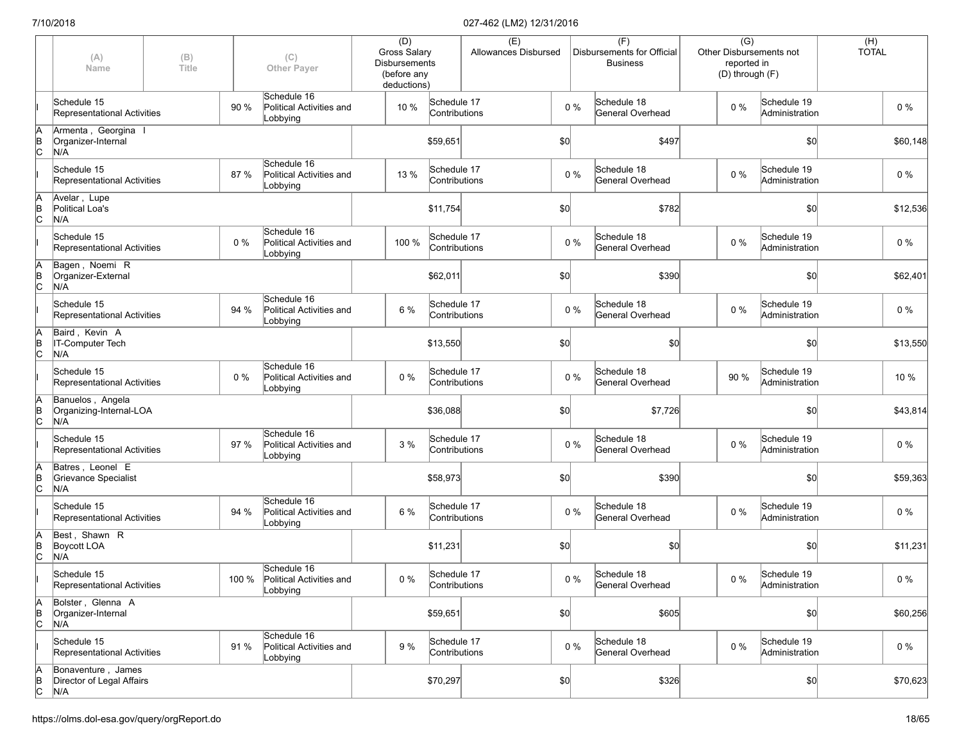|             | (A)<br>Name                                            | (B)<br><b>Title</b> |       | (C)<br><b>Other Paver</b>                                 | (D)<br><b>Gross Salary</b><br>Disbursements<br>(before any<br>deductions) |                              | (E)<br>Allowances Disbursed |       |       | (F)<br>Disbursements for Official<br><b>Business</b> |       | $\overline{(G)}$<br>Other Disbursements not<br>reported in<br>(D) through (F) | $(H)$<br>TOTAL |
|-------------|--------------------------------------------------------|---------------------|-------|-----------------------------------------------------------|---------------------------------------------------------------------------|------------------------------|-----------------------------|-------|-------|------------------------------------------------------|-------|-------------------------------------------------------------------------------|----------------|
|             | Schedule 15<br>Representational Activities             |                     | 90 %  | Schedule 16<br>Political Activities and<br>Lobbying       | 10 %                                                                      | Schedule 17<br>Contributions |                             |       | $0\%$ | Schedule 18<br>General Overhead                      | $0\%$ | Schedule 19<br>Administration                                                 | $0\%$          |
| A<br>B<br>C | Armenta, Georgina I<br>Organizer-Internal<br>N/A       |                     |       |                                                           |                                                                           | \$59,651                     |                             | \$0   |       | \$497                                                |       | \$0                                                                           | \$60,148       |
|             | Schedule 15<br>Representational Activities             |                     | 87 %  | Schedule 16<br>Political Activities and<br>Lobbying       | 13 %                                                                      | Schedule 17<br>Contributions |                             |       | $0\%$ | Schedule 18<br>General Overhead                      | $0\%$ | Schedule 19<br>Administration                                                 | 0 %            |
| A<br>B<br>C | Avelar, Lupe<br>Political Loa's<br>N/A                 |                     |       |                                                           |                                                                           | \$11,754                     |                             | \$0   |       | \$782                                                |       | \$0                                                                           | \$12,536       |
|             | Schedule 15<br>Representational Activities             |                     | 0%    | Schedule 16<br>Political Activities and<br>Lobbying       | 100 %                                                                     | Schedule 17<br>Contributions |                             | $0\%$ |       | Schedule 18<br>General Overhead                      | $0\%$ | Schedule 19<br>Administration                                                 | $0\%$          |
| A<br>B<br>C | Bagen, Noemi R<br>Organizer-External<br>N/A            |                     |       |                                                           |                                                                           | \$62,011                     |                             | \$0   |       | \$390                                                |       | \$0                                                                           | \$62,401       |
|             | Schedule 15<br>Representational Activities             |                     | 94 %  | Schedule 16<br>Political Activities and<br>Lobbying       | 6 %                                                                       | Schedule 17<br>Contributions |                             |       | $0\%$ | Schedule 18<br>General Overhead                      | $0\%$ | Schedule 19<br>Administration                                                 | $0\%$          |
| A<br>B<br>C | Baird, Kevin A<br><b>IT-Computer Tech</b><br>N/A       |                     |       |                                                           |                                                                           | \$13,550                     |                             | \$0   |       | \$0                                                  |       | \$0                                                                           | \$13,550       |
|             | Schedule 15<br>Representational Activities             |                     | $0\%$ | Schedule 16<br>Political Activities and<br>Lobbying       | 0%                                                                        | Schedule 17<br>Contributions |                             |       | $0\%$ | Schedule 18<br>General Overhead                      | 90 %  | Schedule 19<br>Administration                                                 | 10 %           |
| A<br>B<br>C | Banuelos, Angela<br>Organizing-Internal-LOA<br>N/A     |                     |       |                                                           |                                                                           | \$36,088                     |                             | \$0   |       | \$7,726                                              |       | \$0                                                                           | \$43,814       |
|             | Schedule 15<br>Representational Activities             |                     | 97 %  | Schedule 16<br>Political Activities and<br>Lobbying       | 3 %                                                                       | Schedule 17<br>Contributions |                             | $0\%$ |       | Schedule 18<br>General Overhead                      | $0\%$ | Schedule 19<br>Administration                                                 | $0\%$          |
| A<br>B<br>C | Batres, Leonel E<br>Grievance Specialist<br>N/A        |                     |       |                                                           |                                                                           | \$58,973                     |                             | \$0   |       | \$390                                                |       | \$0                                                                           | \$59,363       |
|             | Schedule 15<br>Representational Activities             |                     | 94 %  | Schedule 16<br>Political Activities and<br>Lobbying       | 6 %                                                                       | Schedule 17<br>Contributions |                             | $0\%$ |       | Schedule 18<br>General Overhead                      | $0\%$ | Schedule 19<br>Administration                                                 | $0\%$          |
| A<br>B<br>C | Best, Shawn R<br>Boycott LOA<br>N/A                    |                     |       |                                                           |                                                                           | \$11,231                     |                             | \$0   |       | \$0                                                  |       | \$0                                                                           | \$11,231       |
|             | Schedule 15<br>Representational Activities             |                     |       | Schedule 16<br>100 % Political Activities and<br>Lobbying | $0\%$                                                                     | Schedule 17<br>Contributions |                             |       | $0\%$ | Schedule 18<br>General Overhead                      | $0\%$ | Schedule 19<br>Administration                                                 | $0\%$          |
| A<br>B<br>C | Bolster . Glenna A<br>Organizer-Internal<br>N/A        |                     |       |                                                           |                                                                           | \$59,651                     |                             | \$0   |       | \$605                                                |       | \$0                                                                           | \$60,256       |
|             | Schedule 15<br>Representational Activities             |                     | 91 %  | Schedule 16<br>Political Activities and<br>Lobbying       | 9 %                                                                       | Schedule 17<br>Contributions |                             |       | $0\%$ | Schedule 18<br>General Overhead                      | 0%    | Schedule 19<br>Administration                                                 | $0\%$          |
| A<br>B<br>C | Bonaventure, James<br>Director of Legal Affairs<br>N/A |                     |       |                                                           |                                                                           | \$70,297                     |                             | \$0   |       | \$326                                                |       | \$0                                                                           | \$70,623       |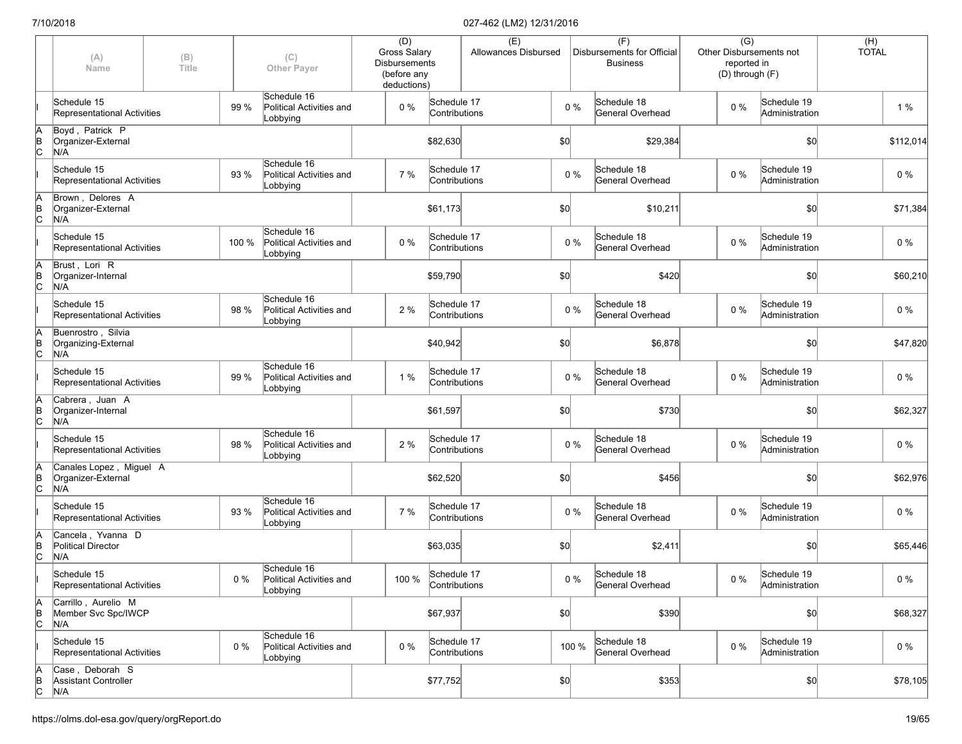|                      | (A)<br>(B)<br>Title<br>Name                          |  | (C)<br><b>Other Payer</b> | (D)<br><b>Gross Salary</b><br><b>Disbursements</b><br>(before any<br>deductions) |     | (E)<br>Allowances Disbursed        |  |     | (F)<br>Disbursements for Official<br><b>Business</b> | $\overline{(G)}$<br>Other Disbursements not<br>reported in<br>(D) through (F) |  |       | (H)<br><b>TOTAL</b>           |  |           |
|----------------------|------------------------------------------------------|--|---------------------------|----------------------------------------------------------------------------------|-----|------------------------------------|--|-----|------------------------------------------------------|-------------------------------------------------------------------------------|--|-------|-------------------------------|--|-----------|
|                      | Schedule 15<br>Representational Activities           |  | 99 %                      | Schedule 16<br>Political Activities and<br>Lobbying                              | 0%  | Schedule 17<br>Contributions       |  |     | $0\%$                                                | Schedule 18<br>General Overhead                                               |  | $0\%$ | Schedule 19<br>Administration |  | 1%        |
| ΙA<br>$\overline{C}$ | Boyd, Patrick P<br>Organizer-External<br>N/A         |  |                           |                                                                                  |     | \$82,630                           |  | \$0 |                                                      | \$29,384                                                                      |  |       | \$0                           |  | \$112,014 |
|                      | Schedule 15<br>Representational Activities           |  | 93 %                      | Schedule 16<br>Political Activities and<br>Lobbying                              | 7 % | Schedule 17<br>Contributions       |  |     | $0\%$                                                | Schedule 18<br>General Overhead                                               |  | $0\%$ | Schedule 19<br>Administration |  | $0\%$     |
| ΙA<br>$\overline{C}$ | Brown, Delores A<br>Organizer-External<br>N/A        |  |                           |                                                                                  |     | \$61,173                           |  | \$0 |                                                      | \$10,211                                                                      |  |       | \$0                           |  | \$71,384  |
|                      | Schedule 15<br>Representational Activities           |  | 100 %                     | Schedule 16<br>Political Activities and<br>Lobbying                              | 0%  | Schedule 17<br>Contributions       |  |     | $0\%$                                                | Schedule 18<br>General Overhead                                               |  | $0\%$ | Schedule 19<br>Administration |  | $0\%$     |
| ΙA<br>$\overline{C}$ | Brust, Lori R<br>Organizer-Internal<br>N/A           |  |                           |                                                                                  |     | \$59,790                           |  | \$0 |                                                      | \$420                                                                         |  |       | \$0                           |  | \$60,210  |
|                      | Schedule 15<br>Representational Activities           |  | 98 %                      | Schedule 16<br>Political Activities and<br>Lobbying                              | 2 % | Schedule 17<br>Contributions       |  |     | $0\%$                                                | Schedule 18<br>General Overhead                                               |  | $0\%$ | Schedule 19<br>Administration |  | $0\%$     |
| ΙA<br>$\overline{C}$ | Buenrostro, Silvia<br>Organizing-External<br>N/A     |  |                           |                                                                                  |     | \$40,942                           |  | \$0 |                                                      | \$6,878                                                                       |  |       | \$0                           |  | \$47,820  |
|                      | Schedule 15<br>Representational Activities           |  | 99 %                      | Schedule 16<br>Political Activities and<br>Lobbying                              | 1 % | Schedule 17<br>Contributions       |  |     | $0\%$                                                | Schedule 18<br>General Overhead                                               |  | $0\%$ | Schedule 19<br>Administration |  | $0\%$     |
| ΙA<br>$\overline{C}$ | Cabrera, Juan A<br>Organizer-Internal<br>N/A         |  |                           |                                                                                  |     | \$61,597                           |  | \$0 |                                                      | \$730                                                                         |  |       | \$0                           |  | \$62,327  |
|                      | Schedule 15<br>Representational Activities           |  | 98 %                      | Schedule 16<br>Political Activities and<br>Lobbying                              | 2 % | Schedule 17<br>Contributions       |  |     | $0\%$                                                | Schedule 18<br>General Overhead                                               |  | $0\%$ | Schedule 19<br>Administration |  | 0%        |
| ΙA<br>$\overline{C}$ | Canales Lopez, Miguel A<br>Organizer-External<br>N/A |  |                           |                                                                                  |     | \$62,520                           |  | \$0 |                                                      | \$456                                                                         |  |       | \$0                           |  | \$62,976  |
|                      | Schedule 15<br>Representational Activities           |  | 93 %                      | Schedule 16<br>Political Activities and<br>Lobbying                              | 7 % | Schedule 17<br>Contributions       |  |     | $0\%$                                                | Schedule 18<br>General Overhead                                               |  | $0\%$ | Schedule 19<br>Administration |  | $0\%$     |
| ΙA<br>$\overline{C}$ | Cancela, Yvanna D<br>Political Director<br>N/A       |  |                           |                                                                                  |     | \$63,035                           |  | \$0 |                                                      | \$2,411                                                                       |  |       | \$0                           |  | \$65,446  |
|                      | Schedule 15<br>Representational Activities           |  | 0 %                       | Schedule 16<br>Political Activities and<br>Lobbying                              |     | 100 % Schedule 17<br>Contributions |  |     | $0\%$                                                | Schedule 18<br>General Overhead                                               |  | $0\%$ | Schedule 19<br>Administration |  | $0\%$     |
| ΙA<br>$\overline{C}$ | Carrillo, Aurelio M<br>Member Svc Spc/IWCP<br>N/A    |  |                           |                                                                                  |     | \$67,937                           |  | 50  |                                                      | \$390                                                                         |  |       | \$0                           |  | \$68,327  |
|                      | Schedule 15<br>Representational Activities           |  | 0%                        | Schedule 16<br>Political Activities and<br>Lobbying                              | 0%  | Schedule 17<br>Contributions       |  |     | 100 %                                                | Schedule 18<br>General Overhead                                               |  | $0\%$ | Schedule 19<br>Administration |  | $0\%$     |
| $\overline{C}$       | Case, Deborah S<br>Assistant Controller<br>N/A       |  |                           |                                                                                  |     | \$77,752                           |  | 50  |                                                      | \$353                                                                         |  |       | \$0                           |  | \$78,105  |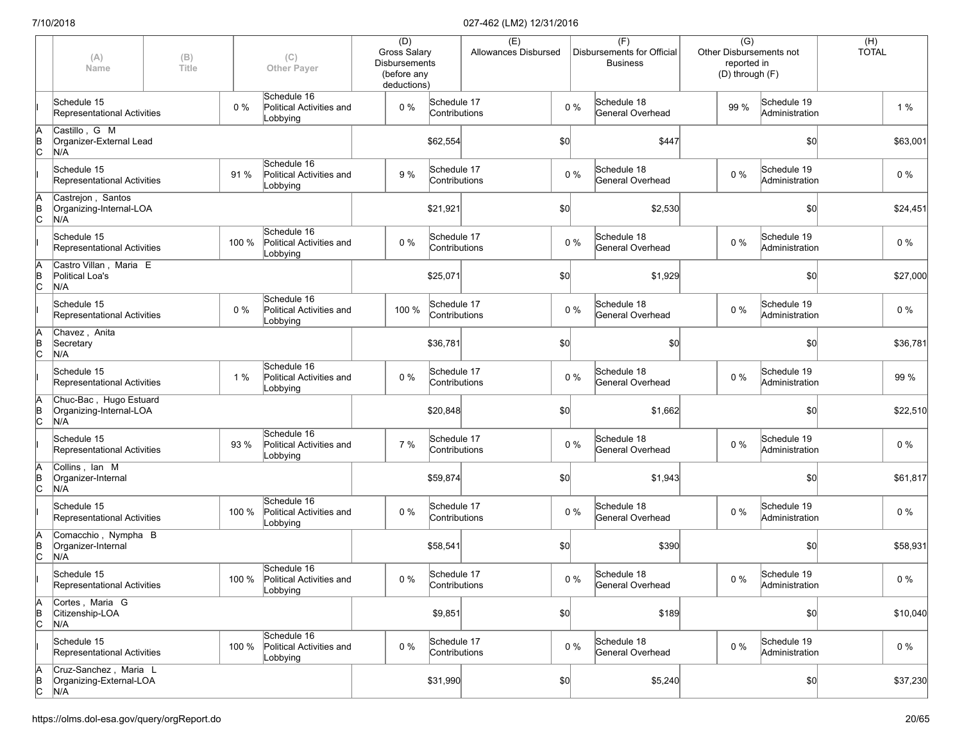|                      | (A)<br>(B)<br>Title<br>Name                              |  | (C)<br><b>Other Payer</b> | (D)<br><b>Gross Salary</b><br><b>Disbursements</b><br>(before any<br>deductions) |       | (E)<br>Allowances Disbursed  |  |     | (F)<br>Disbursements for Official<br><b>Business</b> | $\overline{(G)}$<br>Other Disbursements not<br>reported in<br>(D) through (F) |       | $(H)$<br>TOTAL                |  |          |
|----------------------|----------------------------------------------------------|--|---------------------------|----------------------------------------------------------------------------------|-------|------------------------------|--|-----|------------------------------------------------------|-------------------------------------------------------------------------------|-------|-------------------------------|--|----------|
|                      | Schedule 15<br>Representational Activities               |  | 0%                        | Schedule 16<br>Political Activities and<br>Lobbying                              | $0\%$ | Schedule 17<br>Contributions |  |     | $0\%$                                                | Schedule 18<br><b>General Overhead</b>                                        | 99 %  | Schedule 19<br>Administration |  | 1%       |
| A<br>B<br>C          | Castillo, G M<br>Organizer-External Lead<br>N/A          |  |                           |                                                                                  |       | \$62,554                     |  | \$0 |                                                      | \$447                                                                         |       | \$0                           |  | \$63,001 |
|                      | Schedule 15<br>Representational Activities               |  | 91 %                      | Schedule 16<br>Political Activities and<br>Lobbying                              | 9 %   | Schedule 17<br>Contributions |  |     | $0\%$                                                | Schedule 18<br><b>General Overhead</b>                                        | $0\%$ | Schedule 19<br>Administration |  | $0\%$    |
| ΙA<br>$\overline{C}$ | Castrejon, Santos<br>Organizing-Internal-LOA<br>N/A      |  |                           |                                                                                  |       | \$21,921                     |  | \$0 |                                                      | \$2,530                                                                       |       | \$0                           |  | \$24,451 |
|                      | Schedule 15<br>Representational Activities               |  | 100 %                     | Schedule 16<br>Political Activities and<br>Lobbying                              | 0%    | Schedule 17<br>Contributions |  |     | $0\%$                                                | Schedule 18<br>General Overhead                                               | 0%    | Schedule 19<br>Administration |  | $0\%$    |
| ΙA<br>$\overline{C}$ | Castro Villan, Maria E<br>Political Loa's<br>N/A         |  |                           |                                                                                  |       | \$25,071                     |  | \$0 |                                                      | \$1,929                                                                       |       | \$0                           |  | \$27,000 |
|                      | Schedule 15<br>Representational Activities               |  | 0%                        | Schedule 16<br>Political Activities and<br>Lobbying                              | 100 % | Schedule 17<br>Contributions |  |     | 0%                                                   | Schedule 18<br>General Overhead                                               | $0\%$ | Schedule 19<br>Administration |  | $0\%$    |
| ΙA<br>$\overline{C}$ | Chavez, Anita<br>Secretary<br>N/A                        |  |                           |                                                                                  |       | \$36,781                     |  | \$0 |                                                      | \$0                                                                           |       | \$0                           |  | \$36,781 |
|                      | Schedule 15<br>Representational Activities               |  | 1%                        | Schedule 16<br>Political Activities and<br>Lobbying                              | $0\%$ | Schedule 17<br>Contributions |  |     | $0\%$                                                | Schedule 18<br>General Overhead                                               | $0\%$ | Schedule 19<br>Administration |  | 99 %     |
| ΙA<br>$\overline{B}$ | Chuc-Bac, Hugo Estuard<br>Organizing-Internal-LOA<br>N/A |  |                           |                                                                                  |       | \$20,848                     |  | \$0 |                                                      | \$1,662                                                                       |       | \$0                           |  | \$22,510 |
|                      | Schedule 15<br>Representational Activities               |  | 93 %                      | Schedule 16<br>Political Activities and<br>Lobbying                              | 7 %   | Schedule 17<br>Contributions |  |     | $0\%$                                                | Schedule 18<br>General Overhead                                               | $0\%$ | Schedule 19<br>Administration |  | $0\%$    |
| ΙA<br>$\overline{C}$ | Collins, Ian M<br>Organizer-Internal<br>N/A              |  |                           |                                                                                  |       | \$59,874                     |  | \$0 |                                                      | \$1,943                                                                       |       | \$0                           |  | \$61,817 |
|                      | Schedule 15<br>Representational Activities               |  | 100 %                     | Schedule 16<br>Political Activities and<br>Lobbying                              | $0\%$ | Schedule 17<br>Contributions |  |     | $0\%$                                                | Schedule 18<br>General Overhead                                               | $0\%$ | Schedule 19<br>Administration |  | $0\%$    |
| A<br>$\overline{C}$  | Comacchio, Nympha B<br>Organizer-Internal<br>N/A         |  |                           |                                                                                  |       | \$58,541                     |  | \$0 |                                                      | \$390                                                                         |       | \$0                           |  | \$58,931 |
|                      | Schedule 15<br>Representational Activities               |  |                           | Schedule 16<br>100 % Political Activities and<br>Lobbying                        | $0\%$ | Schedule 17<br>Contributions |  |     | $0\%$                                                | Schedule 18<br>General Overhead                                               | $0\%$ | Schedule 19<br>Administration |  | $0\%$    |
| A<br>$\overline{C}$  | Cortes, Maria G<br>Citizenship-LOA<br>N/A                |  |                           |                                                                                  |       | \$9,851                      |  | \$0 |                                                      | \$189                                                                         |       | \$0                           |  | \$10,040 |
|                      | Schedule 15<br>Representational Activities               |  | 100 %                     | Schedule 16<br>Political Activities and<br>Lobbying                              | $0\%$ | Schedule 17<br>Contributions |  |     | $0\%$                                                | Schedule 18<br>General Overhead                                               | $0\%$ | Schedule 19<br>Administration |  | $0\%$    |
| A<br>B<br>C          | Cruz-Sanchez, Maria L<br>Organizing-External-LOA<br>N/A  |  |                           |                                                                                  |       | \$31,990                     |  | \$0 |                                                      | \$5,240                                                                       |       | \$0                           |  | \$37,230 |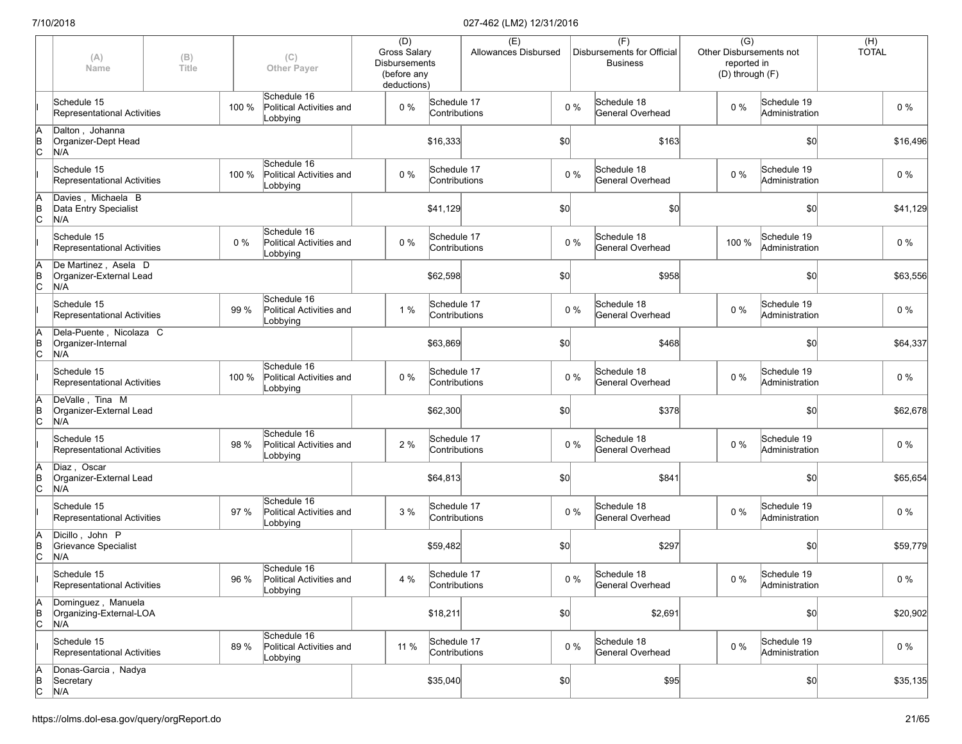|                      | (A)<br>Name                                            | (B)<br>Title |       | (C)<br><b>Other Payer</b>                           | (D)<br>Gross Salary<br><b>Disbursements</b><br>(before any<br>deductions) |                              | (E)<br>Allowances Disbursed |     |       | (F)<br>Disbursements for Official<br><b>Business</b> | $\overline{(G)}$<br>Other Disbursements not<br>reported in<br>(D) through (F) |                               | (H)<br><b>TOTAL</b> |          |
|----------------------|--------------------------------------------------------|--------------|-------|-----------------------------------------------------|---------------------------------------------------------------------------|------------------------------|-----------------------------|-----|-------|------------------------------------------------------|-------------------------------------------------------------------------------|-------------------------------|---------------------|----------|
|                      | Schedule 15<br>Representational Activities             |              | 100 % | Schedule 16<br>Political Activities and<br>Lobbying | $0\%$                                                                     | Schedule 17<br>Contributions |                             |     | $0\%$ | Schedule 18<br>General Overhead                      | $0\%$                                                                         | Schedule 19<br>Administration |                     | $0\%$    |
| ΙA<br>$\overline{B}$ | Dalton, Johanna<br>Organizer-Dept Head<br>N/A          |              |       |                                                     |                                                                           | \$16,333                     |                             | \$0 |       | \$163                                                |                                                                               | \$0                           |                     | \$16,496 |
|                      | Schedule 15<br>Representational Activities             |              | 100 % | Schedule 16<br>Political Activities and<br>Lobbying | $0\%$                                                                     | Schedule 17<br>Contributions |                             |     | $0\%$ | Schedule 18<br>General Overhead                      | $0\%$                                                                         | Schedule 19<br>Administration |                     | 0%       |
| ΙA<br>$\overline{C}$ | Davies, Michaela B<br>Data Entry Specialist<br>N/A     |              |       |                                                     |                                                                           | \$41,129                     |                             | \$0 |       | \$0                                                  |                                                                               | \$0                           |                     | \$41,129 |
|                      | Schedule 15<br>Representational Activities             |              | 0%    | Schedule 16<br>Political Activities and<br>Lobbying | $0\%$                                                                     | Schedule 17<br>Contributions |                             |     | $0\%$ | Schedule 18<br>General Overhead                      | 100 %                                                                         | Schedule 19<br>Administration |                     | $0\%$    |
| ΙA<br>$\overline{C}$ | De Martinez, Asela D<br>Organizer-External Lead<br>N/A |              |       |                                                     |                                                                           | \$62,598                     |                             | \$0 |       | \$958                                                |                                                                               | \$0                           |                     | \$63,556 |
|                      | Schedule 15<br>Representational Activities             |              | 99 %  | Schedule 16<br>Political Activities and<br>Lobbying | 1%                                                                        | Schedule 17<br>Contributions |                             |     | $0\%$ | Schedule 18<br>General Overhead                      | $0\%$                                                                         | Schedule 19<br>Administration |                     | $0\%$    |
| ΙA<br>ΙB<br>lc.      | Dela-Puente . Nicolaza C<br>Organizer-Internal<br>N/A  |              |       |                                                     |                                                                           | \$63,869                     |                             | \$0 |       | \$468                                                |                                                                               | \$0                           |                     | \$64,337 |
|                      | Schedule 15<br>Representational Activities             |              | 100 % | Schedule 16<br>Political Activities and<br>Lobbying | 0%                                                                        | Schedule 17<br>Contributions |                             |     | $0\%$ | Schedule 18<br>General Overhead                      | $0\%$                                                                         | Schedule 19<br>Administration |                     | $0\%$    |
| ΙA<br>$\overline{B}$ | DeValle, Tina M<br>Organizer-External Lead<br>N/A      |              |       |                                                     |                                                                           | \$62,300                     |                             | \$0 |       | \$378                                                |                                                                               | \$0                           |                     | \$62,678 |
|                      | Schedule 15<br>Representational Activities             |              | 98 %  | Schedule 16<br>Political Activities and<br>Lobbying | 2 %                                                                       | Schedule 17<br>Contributions |                             |     | $0\%$ | Schedule 18<br>General Overhead                      | $0\%$                                                                         | Schedule 19<br>Administration |                     | $0\%$    |
| ΙA<br>$\overline{C}$ | Diaz, Oscar<br>Organizer-External Lead<br>N/A          |              |       |                                                     |                                                                           | \$64,813                     |                             | \$0 |       | \$841                                                |                                                                               | \$0                           |                     | \$65,654 |
|                      | Schedule 15<br>Representational Activities             |              | 97 %  | Schedule 16<br>Political Activities and<br>Lobbying | 3 %                                                                       | Schedule 17<br>Contributions |                             |     | $0\%$ | Schedule 18<br>General Overhead                      | $0\%$                                                                         | Schedule 19<br>Administration |                     | $0\%$    |
| ΙA<br>$\overline{C}$ | Dicillo, John P<br>Grievance Specialist<br>N/A         |              |       |                                                     |                                                                           | \$59,482                     |                             | \$0 |       | \$297                                                |                                                                               | \$0                           |                     | \$59,779 |
|                      | Schedule 15<br>Representational Activities             |              | 96 %  | Schedule 16<br>Political Activities and<br>Lobbying | 4 %                                                                       | Schedule 17<br>Contributions |                             |     | $0\%$ | Schedule 18<br>General Overhead                      | $0\%$                                                                         | Schedule 19<br>Administration |                     | $0\%$    |
| A<br>$\overline{C}$  | Dominguez, Manuela<br>Organizing-External-LOA<br>N/A   |              |       |                                                     |                                                                           | \$18,211                     |                             | \$0 |       | \$2,691                                              |                                                                               | \$0                           |                     | \$20,902 |
|                      | Schedule 15<br>Representational Activities             |              | 89 %  | Schedule 16<br>Political Activities and<br>Lobbying | 11 %                                                                      | Schedule 17<br>Contributions |                             |     | $0\%$ | Schedule 18<br>General Overhead                      | 0%                                                                            | Schedule 19<br>Administration |                     | $0\%$    |
| A<br>B<br>C          | Donas-Garcia, Nadya<br>Secretary<br>N/A                |              |       |                                                     |                                                                           | \$35,040                     |                             | 50  |       | \$95                                                 |                                                                               | \$0                           |                     | \$35,135 |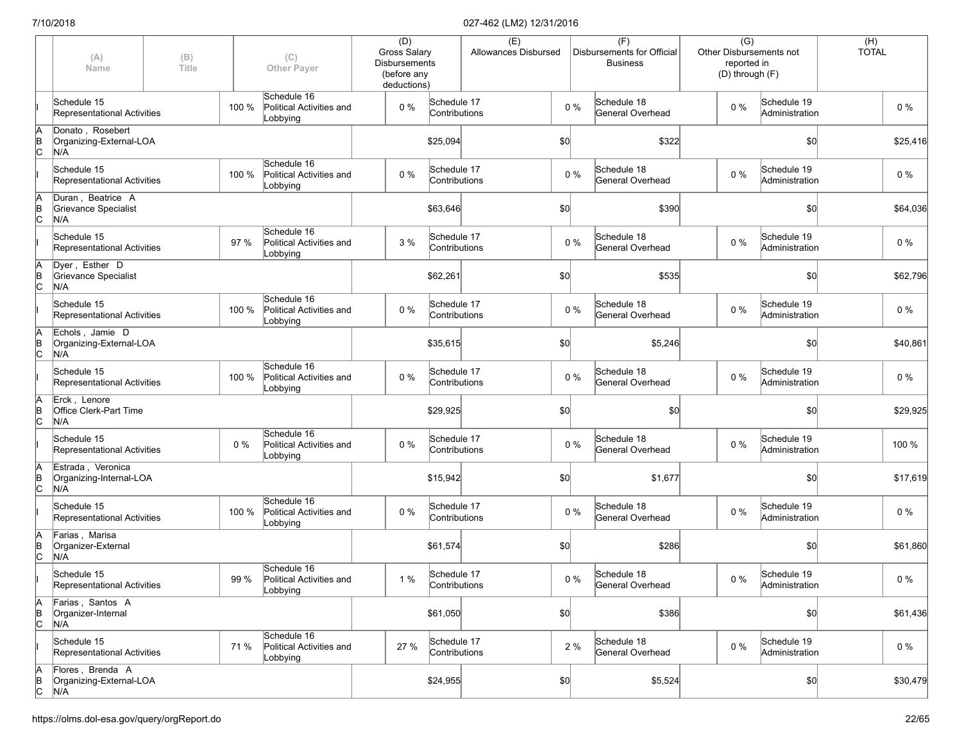|               | (A)<br>Name                                         | (B)<br><b>Title</b> |       | (C)<br><b>Other Payer</b>                           | (D)<br><b>Gross Salary</b><br><b>Disbursements</b><br>(before any |                              | (E)<br>Allowances Disbursed |       | (F)<br>Disbursements for Official<br><b>Business</b> |         | $\overline{(G)}$<br>reported in<br>(D) through (F) | Other Disbursements not       | (H)<br><b>TOTAL</b> |
|---------------|-----------------------------------------------------|---------------------|-------|-----------------------------------------------------|-------------------------------------------------------------------|------------------------------|-----------------------------|-------|------------------------------------------------------|---------|----------------------------------------------------|-------------------------------|---------------------|
|               | Schedule 15<br><b>Representational Activities</b>   |                     | 100 % | Schedule 16<br>Political Activities and<br>Lobbying | deductions)<br>0%                                                 | Schedule 17<br>Contributions |                             | $0\%$ | Schedule 18<br>General Overhead                      |         | $0\%$                                              | Schedule 19<br>Administration | $0\%$               |
| A<br>B<br>C   | Donato, Rosebert<br>Organizing-External-LOA<br>N/A  |                     |       |                                                     |                                                                   | \$25,094                     |                             | \$0   |                                                      | \$322   |                                                    | \$0                           | \$25,416            |
|               | Schedule 15<br>Representational Activities          |                     | 100 % | Schedule 16<br>Political Activities and<br>Lobbying | $0\%$                                                             | Schedule 17<br>Contributions |                             | $0\%$ | Schedule 18<br>General Overhead                      |         | $0\%$                                              | Schedule 19<br>Administration | $0\%$               |
| A<br>B<br>C   | Duran, Beatrice A<br>Grievance Specialist<br>N/A    |                     |       |                                                     |                                                                   | \$63,646                     |                             | \$0   |                                                      | \$390   |                                                    | \$0                           | \$64,036            |
|               | Schedule 15<br>Representational Activities          |                     | 97%   | Schedule 16<br>Political Activities and<br>Lobbying | 3 %                                                               | Schedule 17<br>Contributions |                             | $0\%$ | Schedule 18<br>General Overhead                      |         | $0\%$                                              | Schedule 19<br>Administration | $0\%$               |
| Ā<br>B<br>C   | Dyer, Esther D<br>Grievance Specialist<br>N/A       |                     |       |                                                     |                                                                   | \$62,261                     |                             | \$0   |                                                      | \$535   |                                                    | \$0                           | \$62,796            |
|               | Schedule 15<br>Representational Activities          |                     | 100 % | Schedule 16<br>Political Activities and<br>Lobbying | $0\%$                                                             | Schedule 17<br>Contributions |                             | 0%    | Schedule 18<br>General Overhead                      |         | $0\%$                                              | Schedule 19<br>Administration | $0\%$               |
| A<br>B<br>C   | Echols, Jamie D<br>Organizing-External-LOA<br>N/A   |                     |       |                                                     |                                                                   | \$35,615                     |                             | \$0   |                                                      | \$5,246 |                                                    | \$0                           | \$40,861            |
|               | Schedule 15<br>Representational Activities          |                     | 100 % | Schedule 16<br>Political Activities and<br>Lobbying | 0%                                                                | Schedule 17<br>Contributions |                             | $0\%$ | Schedule 18<br>General Overhead                      |         | $0\%$                                              | Schedule 19<br>Administration | $0\%$               |
| A<br>B<br>C   | Erck, Lenore<br>Office Clerk-Part Time<br>N/A       |                     |       |                                                     |                                                                   | \$29,925                     |                             | \$0   |                                                      | \$0     |                                                    | \$0                           | \$29,925            |
|               | Schedule 15<br>Representational Activities          |                     | 0%    | Schedule 16<br>Political Activities and<br>Lobbying | $0\%$                                                             | Schedule 17<br>Contributions |                             | 0%    | Schedule 18<br>General Overhead                      |         | $0\%$                                              | Schedule 19<br>Administration | 100 %               |
| $\frac{A}{B}$ | Estrada, Veronica<br>Organizing-Internal-LOA<br>N/A |                     |       |                                                     |                                                                   | \$15,942                     |                             | \$0   |                                                      | \$1,677 |                                                    | \$0                           | \$17,619            |
|               | Schedule 15<br>Representational Activities          |                     | 100 % | Schedule 16<br>Political Activities and<br>Lobbying | $0\%$                                                             | Schedule 17<br>Contributions |                             | $0\%$ | Schedule 18<br>General Overhead                      |         | $0\%$                                              | Schedule 19<br>Administration | $0\%$               |
| Ā<br>B<br>C   | Farias, Marisa<br>Organizer-External<br>N/A         |                     |       |                                                     |                                                                   | \$61,574                     |                             | \$0   |                                                      | \$286   |                                                    | \$0                           | \$61,860            |
|               | Schedule 15<br>Representational Activities          |                     | 99 %  | Schedule 16<br>Political Activities and<br>Lobbying | 1%                                                                | Schedule 17<br>Contributions |                             | $0\%$ | Schedule 18<br>General Overhead                      |         | $0\%$                                              | Schedule 19<br>Administration | $0\%$               |
| A<br>B<br>C   | Farias, Santos A<br>Organizer-Internal<br>N/A       |                     |       |                                                     |                                                                   | \$61,050                     |                             | \$0   |                                                      | \$386   |                                                    | \$0                           | \$61,436            |
|               | Schedule 15<br>Representational Activities          |                     | 71 %  | Schedule 16<br>Political Activities and<br>Lobbying | 27 %                                                              | Schedule 17<br>Contributions |                             | 2 %   | Schedule 18<br>General Overhead                      |         | $0\%$                                              | Schedule 19<br>Administration | $0\%$               |
| A<br>B<br>C   | Flores, Brenda A<br>Organizing-External-LOA<br>N/A  |                     |       |                                                     |                                                                   | \$24,955                     |                             | \$0]  |                                                      | \$5,524 |                                                    | \$0                           | \$30,479            |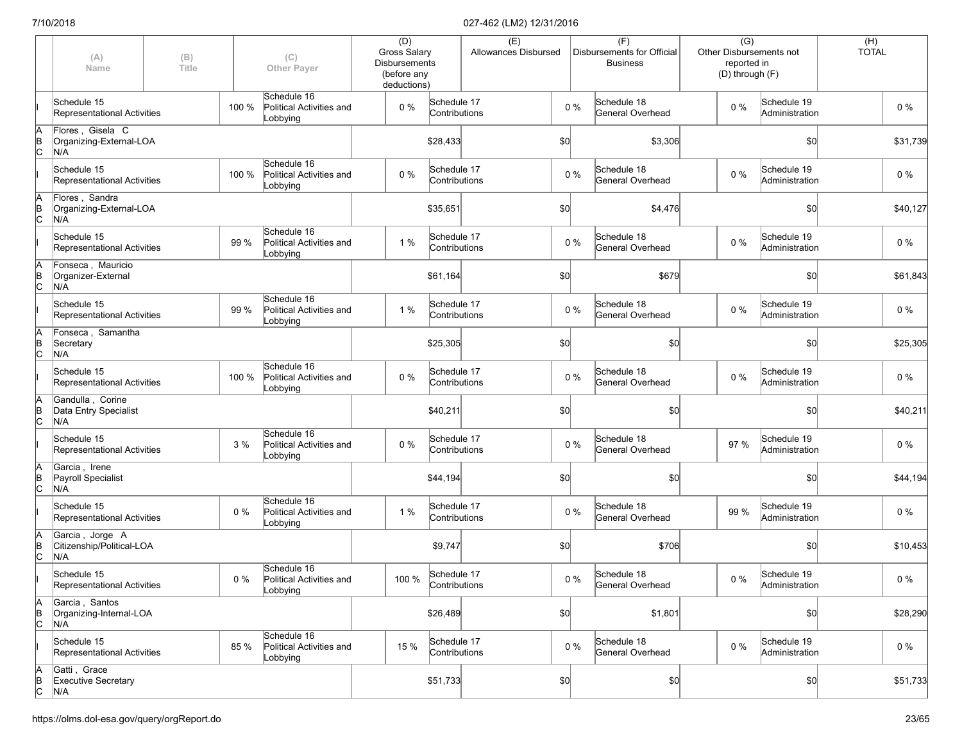|             | (A)<br>Name                                         | (B)<br>Title |       | (C)<br><b>Other Payer</b>                           | (D)<br><b>Gross Salary</b><br><b>Disbursements</b><br>(before any<br>deductions) |                              | (E)<br>Allowances Disbursed |     |       | (F)<br>Disbursements for Official<br><b>Business</b> | $\overline{(G)}$<br>reported in<br>(D) through (F) | Other Disbursements not       | (H)<br><b>TOTAL</b> |          |
|-------------|-----------------------------------------------------|--------------|-------|-----------------------------------------------------|----------------------------------------------------------------------------------|------------------------------|-----------------------------|-----|-------|------------------------------------------------------|----------------------------------------------------|-------------------------------|---------------------|----------|
|             | Schedule 15<br>Representational Activities          |              | 100 % | Schedule 16<br>Political Activities and<br>Lobbying | $0\%$                                                                            | Schedule 17<br>Contributions |                             |     | $0\%$ | Schedule 18<br><b>General Overhead</b>               | $0\%$                                              | Schedule 19<br>Administration |                     | $0\%$    |
| A<br>B<br>C | Flores, Gisela C<br>Organizing-External-LOA<br>N/A  |              |       |                                                     |                                                                                  | \$28,433                     |                             | \$0 |       | \$3,306                                              |                                                    | \$0                           |                     | \$31,739 |
|             | Schedule 15<br>Representational Activities          |              | 100 % | Schedule 16<br>Political Activities and<br>Lobbying | $0\%$                                                                            | Schedule 17<br>Contributions |                             |     | $0\%$ | Schedule 18<br>General Overhead                      | $0\%$                                              | Schedule 19<br>Administration |                     | $0\%$    |
| A<br>B<br>C | Flores, Sandra<br>Organizing-External-LOA<br>N/A    |              |       |                                                     |                                                                                  | \$35,651                     |                             | \$0 |       | \$4,476                                              |                                                    | \$0                           |                     | \$40,127 |
|             | Schedule 15<br>Representational Activities          |              | 99 %  | Schedule 16<br>Political Activities and<br>Lobbying | 1 %                                                                              | Schedule 17<br>Contributions |                             |     | $0\%$ | Schedule 18<br>General Overhead                      | $0\%$                                              | Schedule 19<br>Administration |                     | $0\%$    |
| A<br>B<br>C | Fonseca, Mauricio<br>Organizer-External<br>N/A      |              |       |                                                     |                                                                                  | \$61,164                     |                             | \$0 |       | \$679                                                |                                                    | \$0                           |                     | \$61,843 |
|             | Schedule 15<br>Representational Activities          |              | 99 %  | Schedule 16<br>Political Activities and<br>Lobbying | 1 %                                                                              | Schedule 17<br>Contributions |                             |     | $0\%$ | Schedule 18<br>General Overhead                      | $0\%$                                              | Schedule 19<br>Administration |                     | $0\%$    |
| A<br>B<br>C | Fonseca, Samantha<br>Secretary<br>N/A               |              |       |                                                     |                                                                                  | \$25,305                     |                             | \$0 |       | \$0                                                  |                                                    | \$0                           |                     | \$25,305 |
|             | Schedule 15<br>Representational Activities          |              | 100 % | Schedule 16<br>Political Activities and<br>Lobbying | $0\%$                                                                            | Schedule 17<br>Contributions |                             |     | $0\%$ | Schedule 18<br>General Overhead                      | $0\%$                                              | Schedule 19<br>Administration |                     | $0\%$    |
| A<br>B<br>C | Gandulla, Corine<br>Data Entry Specialist<br>N/A    |              |       |                                                     |                                                                                  | \$40,211                     |                             | \$0 |       | \$0                                                  |                                                    | \$0                           |                     | \$40,211 |
|             | Schedule 15<br>Representational Activities          |              | 3 %   | Schedule 16<br>Political Activities and<br>Lobbying | 0%                                                                               | Schedule 17<br>Contributions |                             |     | $0\%$ | Schedule 18<br>General Overhead                      | 97 %                                               | Schedule 19<br>Administration |                     | $0\%$    |
| A<br>B<br>C | Garcia, Irene<br>Payroll Specialist<br>N/A          |              |       |                                                     |                                                                                  | \$44,194                     |                             | \$0 |       | \$0                                                  |                                                    | \$0                           |                     | \$44,194 |
|             | Schedule 15<br>Representational Activities          |              | 0%    | Schedule 16<br>Political Activities and<br>Lobbying | 1 %                                                                              | Schedule 17<br>Contributions |                             |     | $0\%$ | Schedule 18<br>General Overhead                      | 99 %                                               | Schedule 19<br>Administration |                     | $0\%$    |
| A<br>B<br>C | Garcia, Jorge A<br>Citizenship/Political-LOA<br>N/A |              |       |                                                     |                                                                                  | \$9,747                      |                             | \$0 |       | \$706                                                |                                                    | \$0                           |                     | \$10,453 |
|             | Schedule 15<br>Representational Activities          |              | $0\%$ | Schedule 16<br>Political Activities and<br>Lobbying | 100 %                                                                            | Schedule 17<br>Contributions |                             |     | $0\%$ | Schedule 18<br>General Overhead                      | $0\%$                                              | Schedule 19<br>Administration |                     | $0\%$    |
| A<br>B<br>C | Garcia, Santos<br>Organizing-Internal-LOA<br>N/A    |              |       |                                                     |                                                                                  | \$26,489                     |                             | 50  |       | \$1,801                                              |                                                    | \$0                           |                     | \$28,290 |
|             | Schedule 15<br>Representational Activities          |              | 85 %  | Schedule 16<br>Political Activities and<br>Lobbying | 15 %                                                                             | Schedule 17<br>Contributions |                             |     | $0\%$ | Schedule 18<br>General Overhead                      | $0\%$                                              | Schedule 19<br>Administration |                     | $0\%$    |
| A<br>B<br>C | Gatti, Grace<br>Executive Secretary<br>N/A          |              |       |                                                     |                                                                                  | \$51,733                     |                             | 50  |       | \$0                                                  |                                                    | \$0                           |                     | \$51,733 |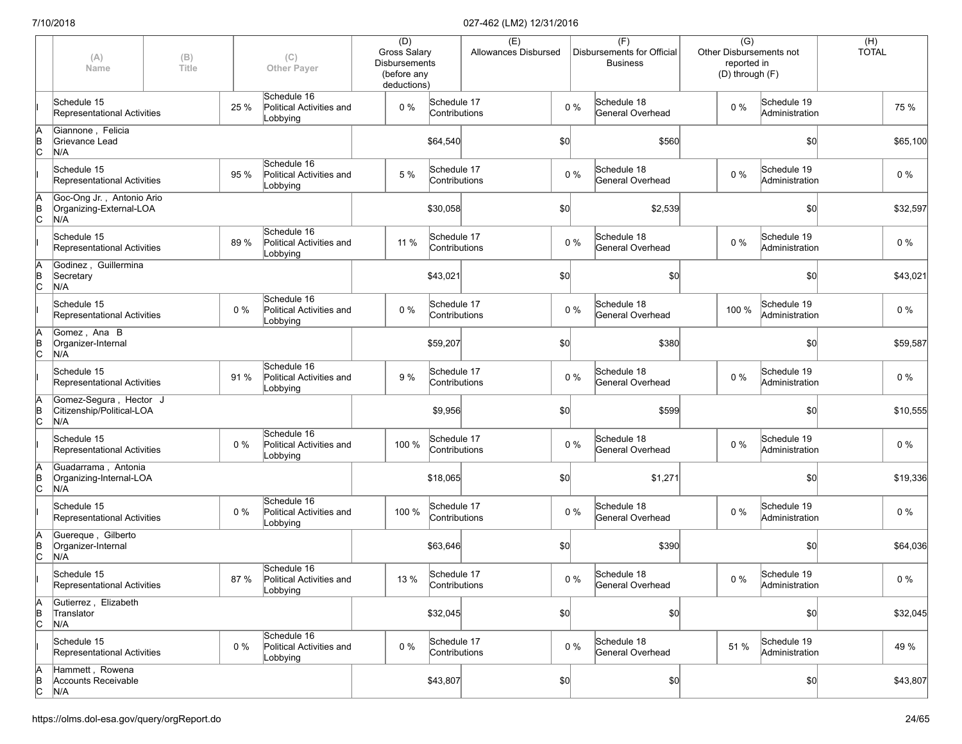|                         | (A)<br>Name                                                 | (B)<br>Title |      | (C)<br><b>Other Payer</b>                           | (D)<br><b>Gross Salary</b><br><b>Disbursements</b><br>(before any<br>deductions) |                              | (E)<br>Allowances Disbursed |       |       | (F)<br>Disbursements for Official<br><b>Business</b> | $\overline{(G)}$<br>Other Disbursements not<br>reported in<br>(D) through (F) |                               | (H)<br><b>TOTAL</b> |          |
|-------------------------|-------------------------------------------------------------|--------------|------|-----------------------------------------------------|----------------------------------------------------------------------------------|------------------------------|-----------------------------|-------|-------|------------------------------------------------------|-------------------------------------------------------------------------------|-------------------------------|---------------------|----------|
|                         | Schedule 15<br>Representational Activities                  |              | 25 % | Schedule 16<br>Political Activities and<br>Lobbying | 0%                                                                               | Schedule 17<br>Contributions |                             |       | $0\%$ | Schedule 18<br>General Overhead                      | $0\%$                                                                         | Schedule 19<br>Administration |                     | 75 %     |
| ΙA<br>$\overline{C}$    | Giannone, Felicia<br>Grievance Lead<br>N/A                  |              |      |                                                     |                                                                                  | \$64,540                     |                             | \$0   |       | \$560                                                |                                                                               | \$0                           |                     | \$65,100 |
|                         | Schedule 15<br>Representational Activities                  |              | 95 % | Schedule 16<br>Political Activities and<br>Lobbying | 5 %                                                                              | Schedule 17<br>Contributions |                             |       | $0\%$ | Schedule 18<br>General Overhead                      | $0\%$                                                                         | Schedule 19<br>Administration |                     | 0%       |
| ΙA<br>$\overline{C}$    | Goc-Ong Jr., Antonio Ario<br>Organizing-External-LOA<br>N/A |              |      |                                                     |                                                                                  | \$30,058                     |                             | \$0   |       | \$2,539                                              |                                                                               | \$0                           |                     | \$32,597 |
|                         | Schedule 15<br>Representational Activities                  |              | 89 % | Schedule 16<br>Political Activities and<br>Lobbying | 11 %                                                                             | Schedule 17<br>Contributions |                             | $0\%$ |       | Schedule 18<br>General Overhead                      | 0%                                                                            | Schedule 19<br>Administration |                     | $0\%$    |
| ΙA<br>$\overline{C}$    | Godinez, Guillermina<br>Secretary<br>N/A                    |              |      |                                                     |                                                                                  | \$43,021                     |                             | \$0   |       | \$0                                                  |                                                                               | \$0                           |                     | \$43,021 |
|                         | Schedule 15<br>Representational Activities                  |              | 0%   | Schedule 16<br>Political Activities and<br>Lobbying | 0%                                                                               | Schedule 17<br>Contributions |                             |       | $0\%$ | Schedule 18<br>General Overhead                      | 100 %                                                                         | Schedule 19<br>Administration |                     | 0%       |
| ΙA<br>B<br>lс           | Gomez, Ana B<br>Organizer-Internal<br>N/A                   |              |      |                                                     |                                                                                  | \$59,207                     |                             | \$0   |       | \$380                                                |                                                                               | \$0                           |                     | \$59,587 |
|                         | Schedule 15<br>Representational Activities                  |              | 91 % | Schedule 16<br>Political Activities and<br>Lobbying | 9 %                                                                              | Schedule 17<br>Contributions |                             |       | $0\%$ | Schedule 18<br>General Overhead                      | 0%                                                                            | Schedule 19<br>Administration |                     | 0%       |
| $\overline{B}$          | Gomez-Segura, Hector J<br>Citizenship/Political-LOA<br>N/A  |              |      |                                                     |                                                                                  | \$9,956                      |                             | \$0   |       | \$599                                                |                                                                               | \$0                           |                     | \$10,555 |
|                         | Schedule 15<br>Representational Activities                  |              | 0%   | Schedule 16<br>Political Activities and<br>Lobbying | 100 %                                                                            | Schedule 17<br>Contributions |                             |       | $0\%$ | Schedule 18<br>General Overhead                      | 0%                                                                            | Schedule 19<br>Administration |                     | 0%       |
| ΙA<br>Þ<br>$\mathsf{c}$ | Guadarrama, Antonia<br>Organizing-Internal-LOA<br>N/A       |              |      |                                                     |                                                                                  | \$18,065                     |                             | \$0   |       | \$1,271                                              |                                                                               | \$0                           |                     | \$19,336 |
|                         | Schedule 15<br>Representational Activities                  |              | 0%   | Schedule 16<br>Political Activities and<br>Lobbying | 100 %                                                                            | Schedule 17<br>Contributions |                             |       | $0\%$ | Schedule 18<br>General Overhead                      | $0\%$                                                                         | Schedule 19<br>Administration |                     | $0\%$    |
| ΙA<br>$\overline{C}$    | Guereque, Gilberto<br>Organizer-Internal<br>N/A             |              |      |                                                     |                                                                                  | \$63,646                     |                             | \$0   |       | \$390                                                |                                                                               | \$0]                          |                     | \$64,036 |
|                         | Schedule 15<br>Representational Activities                  |              | 87 % | Schedule 16<br>Political Activities and<br>Lobbying | 13 %                                                                             | Schedule 17<br>Contributions |                             |       | $0\%$ | Schedule 18<br>General Overhead                      | $0\%$                                                                         | Schedule 19<br>Administration |                     | $0\%$    |
| A<br>$\overline{C}$     | Gutierrez, Elizabeth<br>Translator<br>N/A                   |              |      |                                                     |                                                                                  | \$32,045                     |                             | \$0   |       | \$0                                                  |                                                                               | \$0                           |                     | \$32,045 |
|                         | Schedule 15<br>Representational Activities                  |              | 0%   | Schedule 16<br>Political Activities and<br>Lobbying | $0\%$                                                                            | Schedule 17<br>Contributions |                             | $0\%$ |       | Schedule 18<br>General Overhead                      | 51 %                                                                          | Schedule 19<br>Administration |                     | 49 %     |
| ΙA<br>B<br>C            | Hammett, Rowena<br>Accounts Receivable<br>N/A               |              |      |                                                     |                                                                                  | \$43,807                     |                             | \$0   |       | \$0                                                  |                                                                               | \$0]                          |                     | \$43,807 |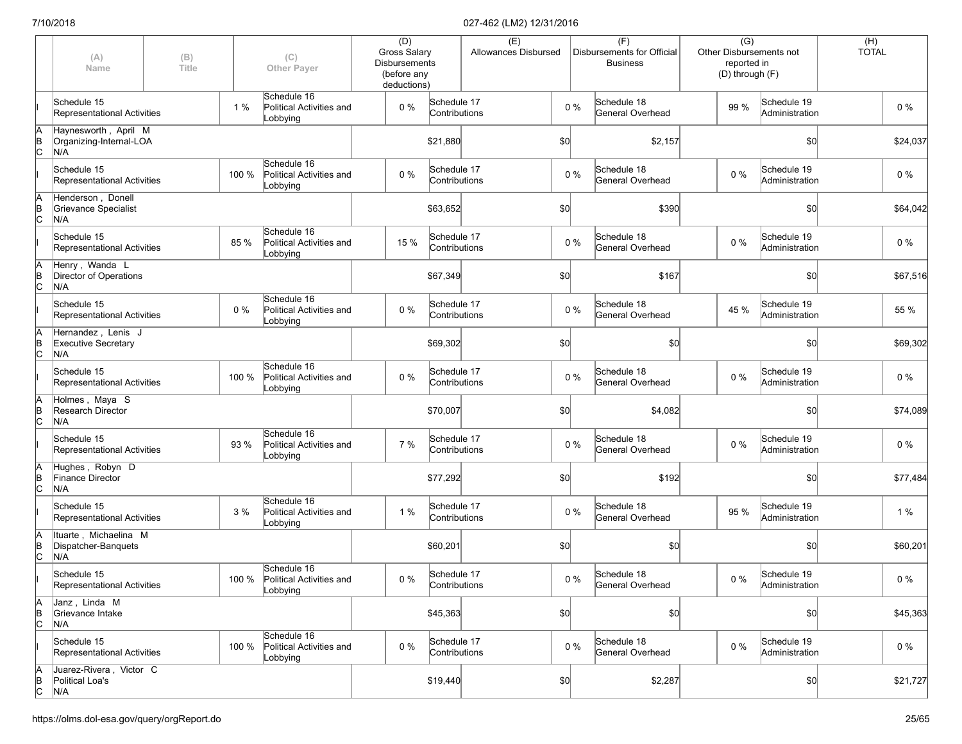|                      | (A)<br>Name                                             | (B)<br>Title |       | (C)<br><b>Other Payer</b>                                 | (D)<br><b>Gross Salary</b><br><b>Disbursements</b><br>(before any<br>deductions) |                              | (E)<br>Allowances Disbursed |     |       | (F)<br>Disbursements for Official<br><b>Business</b> | $\overline{(G)}$<br>reported in<br>(D) through (F) | Other Disbursements not       | (H)<br><b>TOTAL</b> |          |
|----------------------|---------------------------------------------------------|--------------|-------|-----------------------------------------------------------|----------------------------------------------------------------------------------|------------------------------|-----------------------------|-----|-------|------------------------------------------------------|----------------------------------------------------|-------------------------------|---------------------|----------|
|                      | Schedule 15<br>Representational Activities              |              | 1%    | Schedule 16<br>Political Activities and<br>Lobbying       | $0\%$                                                                            | Schedule 17<br>Contributions |                             |     | $0\%$ | Schedule 18<br><b>General Overhead</b>               | 99 %                                               | Schedule 19<br>Administration |                     | $0\%$    |
| A<br>$\overline{B}$  | Haynesworth, April M<br>Organizing-Internal-LOA<br>N/A  |              |       |                                                           |                                                                                  | \$21,880                     |                             | \$0 |       | \$2,157                                              |                                                    | \$0                           |                     | \$24,037 |
|                      | Schedule 15<br>Representational Activities              |              | 100 % | Schedule 16<br>Political Activities and<br>Lobbying       | $0\%$                                                                            | Schedule 17<br>Contributions |                             |     | $0\%$ | Schedule 18<br>General Overhead                      | $0\%$                                              | Schedule 19<br>Administration |                     | $0\%$    |
| ΙA<br>$\overline{C}$ | Henderson, Donell<br>Grievance Specialist<br>N/A        |              |       |                                                           |                                                                                  | \$63,652                     |                             | \$0 |       | \$390                                                |                                                    | \$0                           |                     | \$64,042 |
|                      | Schedule 15<br>Representational Activities              |              | 85 %  | Schedule 16<br>Political Activities and<br>Lobbying       | 15 %                                                                             | Schedule 17<br>Contributions |                             |     | $0\%$ | Schedule 18<br>General Overhead                      | $0\%$                                              | Schedule 19<br>Administration |                     | $0\%$    |
| ΙA<br>$\overline{C}$ | Henry, Wanda L<br>Director of Operations<br>N/A         |              |       |                                                           |                                                                                  | \$67,349                     |                             | \$0 |       | \$167                                                |                                                    | \$0                           |                     | \$67,516 |
|                      | Schedule 15<br>Representational Activities              |              | 0%    | Schedule 16<br>Political Activities and<br>Lobbying       | $0\%$                                                                            | Schedule 17<br>Contributions |                             |     | $0\%$ | Schedule 18<br>General Overhead                      | 45 %                                               | Schedule 19<br>Administration |                     | 55 %     |
| ΙA<br>$\overline{C}$ | Hernandez, Lenis J<br><b>Executive Secretary</b><br>N/A |              |       |                                                           |                                                                                  | \$69,302                     |                             | \$0 |       | \$0                                                  |                                                    | \$0                           |                     | \$69,302 |
|                      | Schedule 15<br>Representational Activities              |              | 100 % | Schedule 16<br>Political Activities and<br>Lobbying       | $0\%$                                                                            | Schedule 17<br>Contributions |                             |     | $0\%$ | Schedule 18<br>General Overhead                      | $0\%$                                              | Schedule 19<br>Administration |                     | $0\%$    |
| ΙA<br>$\overline{C}$ | Holmes, Maya S<br>Research Director<br>N/A              |              |       |                                                           |                                                                                  | \$70,007                     |                             | \$0 |       | \$4,082                                              |                                                    | \$0                           |                     | \$74,089 |
|                      | Schedule 15<br>Representational Activities              |              | 93 %  | Schedule 16<br>Political Activities and<br>Lobbying       | 7 %                                                                              | Schedule 17<br>Contributions |                             |     | $0\%$ | Schedule 18<br>General Overhead                      | $0\%$                                              | Schedule 19<br>Administration |                     | $0\%$    |
| ΙA<br>$\overline{C}$ | Hughes, Robyn D<br><b>Finance Director</b><br>N/A       |              |       |                                                           |                                                                                  | \$77,292                     |                             | \$0 |       | \$192                                                |                                                    | \$0                           |                     | \$77,484 |
|                      | Schedule 15<br>Representational Activities              |              | 3 %   | Schedule 16<br>Political Activities and<br>Lobbying       | $1\%$                                                                            | Schedule 17<br>Contributions |                             |     | $0\%$ | Schedule 18<br>General Overhead                      | 95 %                                               | Schedule 19<br>Administration |                     | 1%       |
| ΙA<br>$\overline{C}$ | Ituarte, Michaelina M<br>Dispatcher-Banquets<br>N/A     |              |       |                                                           |                                                                                  | \$60,201                     |                             | \$0 |       | \$0                                                  |                                                    | \$0                           |                     | \$60,201 |
|                      | Schedule 15<br>Representational Activities              |              |       | Schedule 16<br>100 % Political Activities and<br>Lobbying | $0\%$                                                                            | Schedule 17<br>Contributions |                             |     | $0\%$ | Schedule 18<br>General Overhead                      | $0\%$                                              | Schedule 19<br>Administration |                     | $0\%$    |
| ΙA<br>$\overline{C}$ | Janz, Linda M<br>Grievance Intake<br>N/A                |              |       |                                                           |                                                                                  | \$45,363                     |                             | \$0 |       | \$0                                                  |                                                    | \$0                           |                     | \$45,363 |
|                      | Schedule 15<br>Representational Activities              |              | 100 % | Schedule 16<br>Political Activities and<br>Lobbying       | $0\%$                                                                            | Schedule 17<br>Contributions |                             |     | $0\%$ | Schedule 18<br>General Overhead                      | $0\%$                                              | Schedule 19<br>Administration |                     | $0\%$    |
| ΙA<br>$\overline{C}$ | Juarez-Rivera, Victor C<br>Political Loa's<br>N/A       |              |       |                                                           |                                                                                  | \$19,440                     |                             | \$0 |       | \$2,287                                              |                                                    | \$0                           |                     | \$21,727 |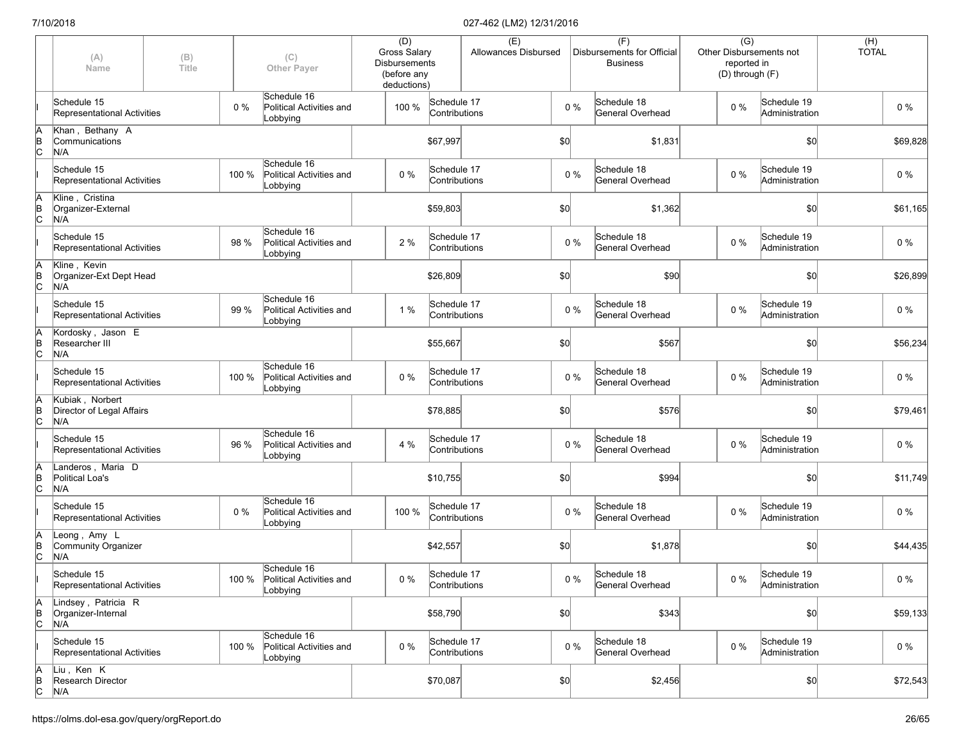|                      | (A)<br>Name                                         | (B)<br>Title |       | (C)<br><b>Other Payer</b>                                 | (D)<br>Gross Salary<br><b>Disbursements</b><br>(before any<br>deductions) |                              | (E)<br>Allowances Disbursed |     |       | (F)<br>Disbursements for Official<br><b>Business</b> | $\overline{(G)}$<br>reported in<br>(D) through (F) | Other Disbursements not       | $(H)$<br>TOTAL |
|----------------------|-----------------------------------------------------|--------------|-------|-----------------------------------------------------------|---------------------------------------------------------------------------|------------------------------|-----------------------------|-----|-------|------------------------------------------------------|----------------------------------------------------|-------------------------------|----------------|
|                      | Schedule 15<br>Representational Activities          |              | 0%    | Schedule 16<br>Political Activities and<br>Lobbying       | 100 %                                                                     | Schedule 17<br>Contributions |                             |     | $0\%$ | Schedule 18<br>General Overhead                      | $0\%$                                              | Schedule 19<br>Administration | $0\%$          |
| ΙA<br>$\overline{B}$ | Khan, Bethany A<br>Communications<br>N/A            |              |       |                                                           |                                                                           | \$67,997                     |                             | \$0 |       | \$1,831                                              |                                                    | \$0                           | \$69,828       |
|                      | Schedule 15<br>Representational Activities          |              | 100 % | Schedule 16<br>Political Activities and<br>Lobbying       | $0\%$                                                                     | Schedule 17<br>Contributions |                             |     | $0\%$ | Schedule 18<br>General Overhead                      | $0\%$                                              | Schedule 19<br>Administration | 0%             |
| ΙA<br>$\overline{C}$ | Kline, Cristina<br>Organizer-External<br>N/A        |              |       |                                                           |                                                                           | \$59,803                     |                             | \$0 |       | \$1,362                                              |                                                    | \$0                           | \$61,165       |
|                      | Schedule 15<br>Representational Activities          |              | 98 %  | Schedule 16<br>Political Activities and<br>Lobbying       | 2 %                                                                       | Schedule 17<br>Contributions |                             |     | $0\%$ | Schedule 18<br>General Overhead                      | 0%                                                 | Schedule 19<br>Administration | $0\%$          |
| ΙA<br>$\overline{C}$ | Kline, Kevin<br>Organizer-Ext Dept Head<br>N/A      |              |       |                                                           |                                                                           | \$26,809                     |                             | \$0 |       | \$90                                                 |                                                    | \$0                           | \$26,899       |
|                      | Schedule 15<br>Representational Activities          |              | 99 %  | Schedule 16<br>Political Activities and<br>Lobbying       | 1 %                                                                       | Schedule 17<br>Contributions |                             |     | $0\%$ | Schedule 18<br>General Overhead                      | $0\%$                                              | Schedule 19<br>Administration | $0\%$          |
| ΙA<br>$\overline{C}$ | Kordosky, Jason E<br>Researcher III<br>N/A          |              |       |                                                           |                                                                           | \$55,667                     |                             | \$0 |       | \$567                                                |                                                    | \$0                           | \$56,234       |
|                      | Schedule 15<br>Representational Activities          |              | 100 % | Schedule 16<br>Political Activities and<br>Lobbying       | 0%                                                                        | Schedule 17<br>Contributions |                             |     | $0\%$ | Schedule 18<br>General Overhead                      | $0\%$                                              | Schedule 19<br>Administration | $0\%$          |
| A<br>B<br>C          | Kubiak, Norbert<br>Director of Legal Affairs<br>N/A |              |       |                                                           |                                                                           | \$78,885                     |                             | \$0 |       | \$576                                                |                                                    | \$0                           | \$79,461       |
|                      | Schedule 15<br>Representational Activities          |              | 96 %  | Schedule 16<br>Political Activities and<br>Lobbying       | 4 %                                                                       | Schedule 17<br>Contributions |                             |     | $0\%$ | Schedule 18<br>General Overhead                      | $0\%$                                              | Schedule 19<br>Administration | $0\%$          |
| ΙA<br>$\overline{C}$ | Landeros, Maria D<br>Political Loa's<br>N/A         |              |       |                                                           |                                                                           | \$10,755                     |                             | \$0 |       | \$994                                                |                                                    | \$0                           | \$11,749       |
|                      | Schedule 15<br>Representational Activities          |              | 0%    | Schedule 16<br>Political Activities and<br>Lobbying       | 100 %                                                                     | Schedule 17<br>Contributions |                             |     | $0\%$ | Schedule 18<br>General Overhead                      | 0%                                                 | Schedule 19<br>Administration | $0\%$          |
| ΙA<br>$\overline{C}$ | Leong, Amy L<br>Community Organizer<br>N/A          |              |       |                                                           |                                                                           | \$42,557                     |                             | \$0 |       | \$1,878                                              |                                                    | \$0                           | \$44,435       |
|                      | Schedule 15<br>Representational Activities          |              |       | Schedule 16<br>100 % Political Activities and<br>Lobbying | $0\%$                                                                     | Schedule 17<br>Contributions |                             |     | $0\%$ | Schedule 18<br>General Overhead                      | $0\%$                                              | Schedule 19<br>Administration | $0\%$          |
| A<br>$\overline{C}$  | Lindsey, Patricia R<br>Organizer-Internal<br>N/A    |              |       |                                                           |                                                                           | \$58,790                     |                             | \$0 |       | \$343                                                |                                                    | \$0                           | \$59,133       |
|                      | Schedule 15<br>Representational Activities          |              | 100 % | Schedule 16<br>Political Activities and<br>Lobbying       | 0%                                                                        | Schedule 17<br>Contributions |                             |     | $0\%$ | Schedule 18<br>General Overhead                      | $0\%$                                              | Schedule 19<br>Administration | $0\%$          |
| A<br>B<br>C          | Liu, Ken K<br>Research Director<br>N/A              |              |       |                                                           |                                                                           | \$70,087                     |                             | 50  |       | \$2,456                                              |                                                    | \$0                           | \$72,543       |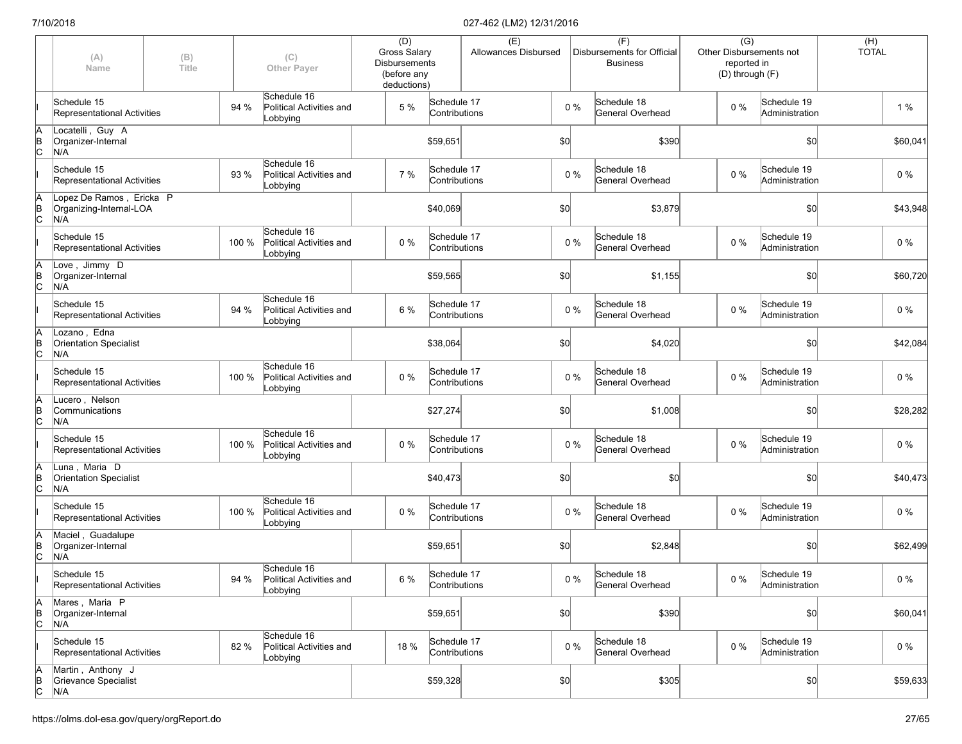|                      | (A)<br>Name                                                | (B)<br>Title |       | (C)<br><b>Other Payer</b>                           | (D)<br>Gross Salary<br><b>Disbursements</b><br>(before any<br>deductions) |                              | (E)<br>Allowances Disbursed |     |       | (F)<br>Disbursements for Official<br><b>Business</b> | $\overline{(G)}$<br>Other Disbursements not<br>reported in<br>(D) through (F) |                               | $(H)$<br>TOTAL |          |
|----------------------|------------------------------------------------------------|--------------|-------|-----------------------------------------------------|---------------------------------------------------------------------------|------------------------------|-----------------------------|-----|-------|------------------------------------------------------|-------------------------------------------------------------------------------|-------------------------------|----------------|----------|
|                      | Schedule 15<br>Representational Activities                 |              | 94 %  | Schedule 16<br>Political Activities and<br>Lobbying | 5 %                                                                       | Schedule 17<br>Contributions |                             |     | $0\%$ | Schedule 18<br>General Overhead                      | $0\%$                                                                         | Schedule 19<br>Administration |                | 1%       |
| A<br>B<br>C          | Locatelli, Guy A<br>Organizer-Internal<br>N/A              |              |       |                                                     |                                                                           | \$59,651                     |                             | \$0 |       | \$390                                                |                                                                               | \$0                           |                | \$60,041 |
|                      | Schedule 15<br>Representational Activities                 |              | 93 %  | Schedule 16<br>Political Activities and<br>Lobbying | 7 %                                                                       | Schedule 17<br>Contributions |                             |     | $0\%$ | Schedule 18<br>General Overhead                      | $0\%$                                                                         | Schedule 19<br>Administration |                | 0%       |
| ΙA<br>$\overline{C}$ | Lopez De Ramos, Ericka P<br>Organizing-Internal-LOA<br>N/A |              |       |                                                     |                                                                           | \$40,069                     |                             | \$0 |       | \$3,879                                              |                                                                               | \$0                           |                | \$43,948 |
|                      | Schedule 15<br>Representational Activities                 |              | 100 % | Schedule 16<br>Political Activities and<br>Lobbying | 0%                                                                        | Schedule 17<br>Contributions |                             |     | $0\%$ | Schedule 18<br>General Overhead                      | 0%                                                                            | Schedule 19<br>Administration |                | $0\%$    |
| A<br>$\overline{C}$  | Love, Jimmy D<br>Organizer-Internal<br>N/A                 |              |       |                                                     |                                                                           | \$59,565                     |                             | \$0 |       | \$1,155                                              |                                                                               | \$0                           |                | \$60,720 |
|                      | Schedule 15<br>Representational Activities                 |              | 94 %  | Schedule 16<br>Political Activities and<br>Lobbying | 6 %                                                                       | Schedule 17<br>Contributions |                             |     | $0\%$ | Schedule 18<br>General Overhead                      | $0\%$                                                                         | Schedule 19<br>Administration |                | $0\%$    |
| ΙA<br>ΙB<br>lc.      | Lozano, Edna<br><b>Orientation Specialist</b><br>N/A       |              |       |                                                     |                                                                           | \$38,064                     |                             | \$0 |       | \$4,020                                              |                                                                               | \$0                           |                | \$42,084 |
|                      | Schedule 15<br>Representational Activities                 |              | 100 % | Schedule 16<br>Political Activities and<br>Lobbying | 0%                                                                        | Schedule 17<br>Contributions |                             |     | $0\%$ | Schedule 18<br>General Overhead                      | $0\%$                                                                         | Schedule 19<br>Administration |                | $0\%$    |
| A<br>B<br>C          | Lucero, Nelson<br>Communications<br>N/A                    |              |       |                                                     |                                                                           | \$27,274                     |                             | \$0 |       | \$1,008                                              |                                                                               | \$0                           |                | \$28,282 |
|                      | Schedule 15<br>Representational Activities                 |              | 100 % | Schedule 16<br>Political Activities and<br>Lobbying | $0\%$                                                                     | Schedule 17<br>Contributions |                             |     | $0\%$ | Schedule 18<br>General Overhead                      | $0\%$                                                                         | Schedule 19<br>Administration |                | $0\%$    |
| ΙA<br>$\overline{C}$ | Luna, Maria D<br><b>Orientation Specialist</b><br>N/A      |              |       |                                                     |                                                                           | \$40,473                     |                             | \$0 |       | \$0                                                  |                                                                               | \$0                           |                | \$40,473 |
|                      | Schedule 15<br>Representational Activities                 |              | 100 % | Schedule 16<br>Political Activities and<br>Lobbying | $0\%$                                                                     | Schedule 17<br>Contributions |                             |     | $0\%$ | Schedule 18<br>General Overhead                      | 0%                                                                            | Schedule 19<br>Administration |                | $0\%$    |
| ΙA<br>$\overline{C}$ | Maciel, Guadalupe<br>Organizer-Internal<br>N/A             |              |       |                                                     |                                                                           | \$59,651                     |                             | \$0 |       | \$2,848                                              |                                                                               | \$0                           |                | \$62,499 |
|                      | Schedule 15<br>Representational Activities                 |              | 94 %  | Schedule 16<br>Political Activities and<br>Lobbying | 6 %                                                                       | Schedule 17<br>Contributions |                             |     | $0\%$ | Schedule 18<br>General Overhead                      | $0\%$                                                                         | Schedule 19<br>Administration |                | $0\%$    |
| ΙA<br>$\overline{C}$ | Mares, Maria P<br>Organizer-Internal<br>N/A                |              |       |                                                     |                                                                           | \$59,651                     |                             | \$0 |       | \$390                                                |                                                                               | \$0                           |                | \$60,041 |
|                      | Schedule 15<br>Representational Activities                 |              | 82 %  | Schedule 16<br>Political Activities and<br>Lobbying | 18 %                                                                      | Schedule 17<br>Contributions |                             |     | $0\%$ | Schedule 18<br>General Overhead                      | $0\%$                                                                         | Schedule 19<br>Administration |                | $0\%$    |
| A<br>B<br>C          | Martin, Anthony J<br>Grievance Specialist<br>N/A           |              |       |                                                     |                                                                           | \$59,328                     |                             | 50  |       | \$305                                                |                                                                               | \$0                           |                | \$59,633 |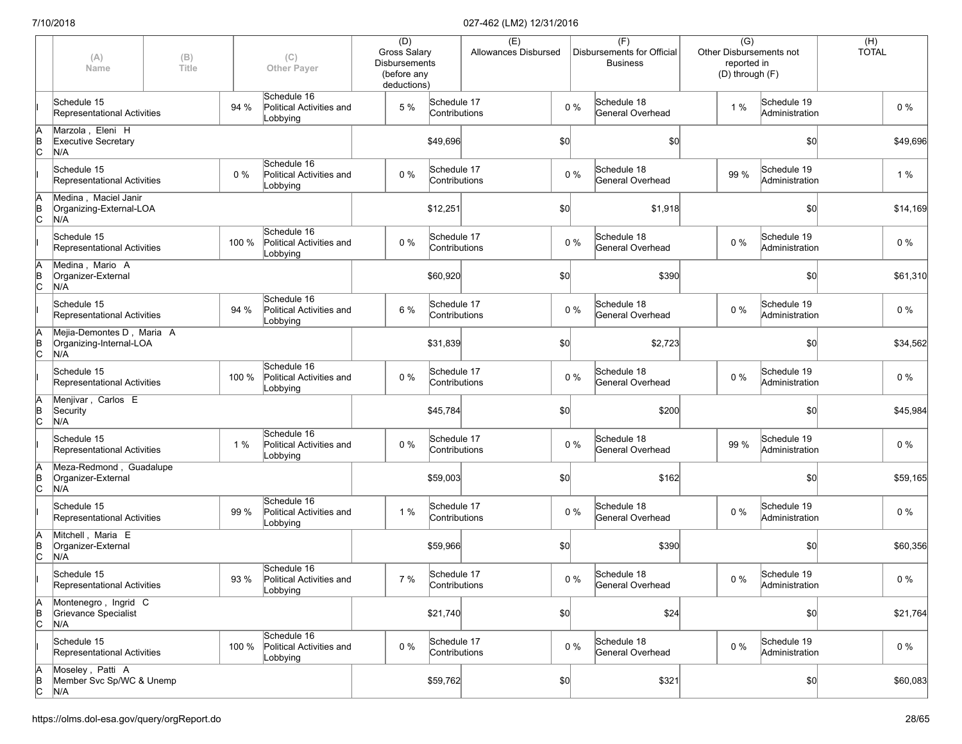|                      | (A)<br>Name                                                 | (B)<br>Title |       | (C)<br><b>Other Payer</b>                           | (D)<br><b>Gross Salary</b><br><b>Disbursements</b><br>(before any<br>deductions) |                              | (E)<br>Allowances Disbursed |      |       | (F)<br>Disbursements for Official<br><b>Business</b> | $\overline{(G)}$<br>reported in | Other Disbursements not<br>(D) through (F) | (H)<br><b>TOTAL</b> |          |
|----------------------|-------------------------------------------------------------|--------------|-------|-----------------------------------------------------|----------------------------------------------------------------------------------|------------------------------|-----------------------------|------|-------|------------------------------------------------------|---------------------------------|--------------------------------------------|---------------------|----------|
|                      | Schedule 15<br>Representational Activities                  |              | 94 %  | Schedule 16<br>Political Activities and<br>Lobbying | 5 %                                                                              | Schedule 17<br>Contributions |                             |      | $0\%$ | Schedule 18<br>General Overhead                      | 1%                              | Schedule 19<br>Administration              |                     | $0\%$    |
| ΙA<br>$\overline{C}$ | Marzola, Eleni H<br><b>Executive Secretary</b><br>N/A       |              |       |                                                     |                                                                                  | \$49,696                     |                             | \$0  |       | \$0                                                  |                                 | \$0                                        |                     | \$49,696 |
|                      | Schedule 15<br>Representational Activities                  |              | 0%    | Schedule 16<br>Political Activities and<br>Lobbying | $0\%$                                                                            | Schedule 17<br>Contributions |                             |      | $0\%$ | Schedule 18<br>General Overhead                      | 99 %                            | Schedule 19<br>Administration              |                     | 1 %      |
| ΙA<br>ļв<br>lc       | Medina, Maciel Janir<br>Organizing-External-LOA<br>N/A      |              |       |                                                     |                                                                                  | \$12,251                     |                             | \$0  |       | \$1,918                                              |                                 | \$0                                        |                     | \$14,169 |
|                      | Schedule 15<br>Representational Activities                  |              | 100 % | Schedule 16<br>Political Activities and<br>Lobbying | 0%                                                                               | Schedule 17<br>Contributions |                             |      | $0\%$ | Schedule 18<br>General Overhead                      | 0%                              | Schedule 19<br>Administration              |                     | $0\%$    |
| ΙA<br>$\overline{C}$ | Medina, Mario A<br>Organizer-External<br>N/A                |              |       |                                                     |                                                                                  | \$60,920                     |                             | \$0] |       | \$390                                                |                                 | \$0                                        |                     | \$61,310 |
|                      | Schedule 15<br>Representational Activities                  |              | 94 %  | Schedule 16<br>Political Activities and<br>Lobbying | 6 %                                                                              | Schedule 17<br>Contributions |                             |      | $0\%$ | Schedule 18<br>General Overhead                      | $0\%$                           | Schedule 19<br>Administration              |                     | $0\%$    |
| ΙA<br>Þ<br>lc.       | Mejia-Demontes D, Maria A<br>Organizing-Internal-LOA<br>N/A |              |       |                                                     |                                                                                  | \$31,839                     |                             | \$0  |       | \$2,723                                              |                                 | \$0                                        |                     | \$34,562 |
|                      | Schedule 15<br>Representational Activities                  |              | 100 % | Schedule 16<br>Political Activities and<br>Lobbying | $0\%$                                                                            | Schedule 17<br>Contributions |                             |      | $0\%$ | Schedule 18<br>General Overhead                      | $0\%$                           | Schedule 19<br>Administration              |                     | $0\%$    |
| A<br>B<br>C          | Menjivar, Carlos E<br>Security<br>N/A                       |              |       |                                                     |                                                                                  | \$45,784                     |                             | \$0] |       | \$200                                                |                                 | \$0                                        |                     | \$45,984 |
|                      | Schedule 15<br>Representational Activities                  |              | 1%    | Schedule 16<br>Political Activities and<br>Lobbying | 0%                                                                               | Schedule 17<br>Contributions |                             |      | $0\%$ | Schedule 18<br>General Overhead                      | 99 %                            | Schedule 19<br>Administration              |                     | 0%       |
| ΙA<br>B<br>lс        | Meza-Redmond, Guadalupe<br>Organizer-External<br>N/A        |              |       |                                                     |                                                                                  | \$59,003                     |                             | \$0  |       | \$162                                                |                                 | \$0                                        |                     | \$59,165 |
|                      | Schedule 15<br>Representational Activities                  |              | 99 %  | Schedule 16<br>Political Activities and<br>Lobbying | 1%                                                                               | Schedule 17<br>Contributions |                             |      | $0\%$ | Schedule 18<br>General Overhead                      | $0\%$                           | Schedule 19<br>Administration              |                     | 0%       |
| ΙA<br>$\overline{C}$ | Mitchell, Maria E<br>Organizer-External<br>N/A              |              |       |                                                     |                                                                                  | \$59,966                     |                             | \$0  |       | \$390                                                |                                 | \$0                                        |                     | \$60,356 |
|                      | Schedule 15<br>Representational Activities                  |              | 93 %  | Schedule 16<br>Political Activities and<br>Lobbying | 7 %                                                                              | Schedule 17<br>Contributions |                             |      | $0\%$ | Schedule 18<br>General Overhead                      | $0\%$                           | Schedule 19<br>Administration              |                     | $0\%$    |
| A<br>$\overline{C}$  | Montenegro, Ingrid C<br>Grievance Specialist<br>N/A         |              |       |                                                     |                                                                                  | \$21,740                     |                             | \$0  |       | \$24                                                 |                                 | \$0                                        |                     | \$21,764 |
|                      | Schedule 15<br>Representational Activities                  |              | 100 % | Schedule 16<br>Political Activities and<br>Lobbying | $0\%$                                                                            | Schedule 17<br>Contributions |                             |      | $0\%$ | Schedule 18<br>General Overhead                      | 0%                              | Schedule 19<br>Administration              |                     | $0\%$    |
| ΙA<br>$\overline{C}$ | Moseley, Patti A<br>Member Svc Sp/WC & Unemp<br>N/A         |              |       |                                                     |                                                                                  | \$59,762                     |                             | 50   |       | \$321                                                |                                 | \$0                                        |                     | \$60,083 |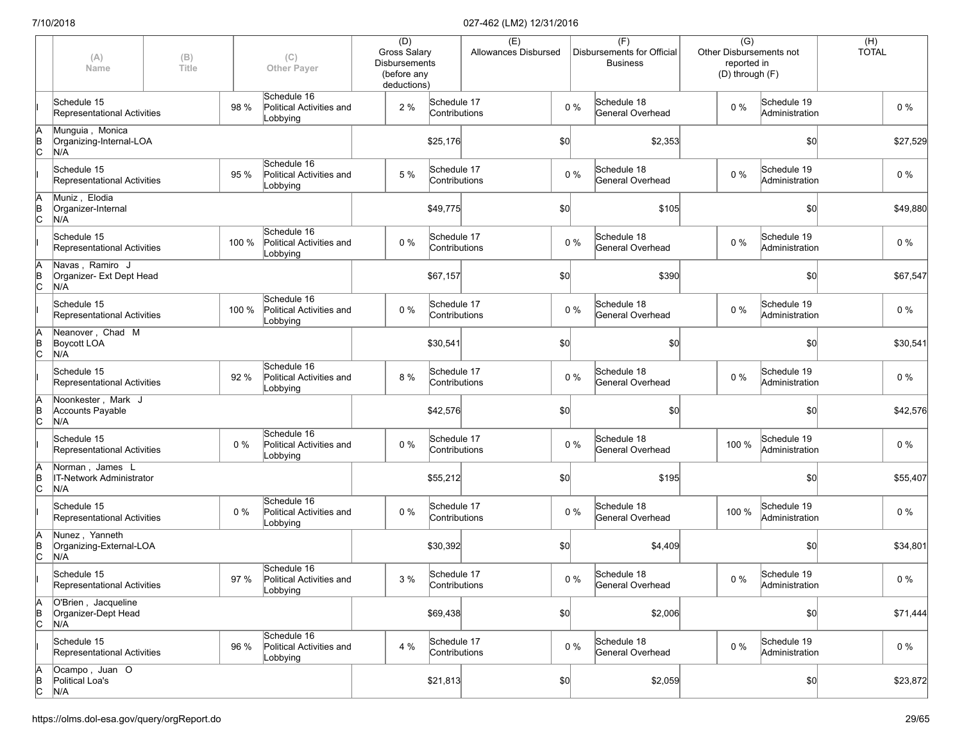|                      | (A)<br>Name                                        | (B)<br>Title |       | (C)<br><b>Other Payer</b>                           | (D)<br><b>Gross Salary</b><br><b>Disbursements</b><br>(before any<br>deductions) |                              | (E)<br>Allowances Disbursed |     |       | (F)<br>Disbursements for Official<br><b>Business</b> | Other Disbursements not<br>(D) through (F) | $\overline{(G)}$<br>reported in |                               | (H)<br><b>TOTAL</b> |          |
|----------------------|----------------------------------------------------|--------------|-------|-----------------------------------------------------|----------------------------------------------------------------------------------|------------------------------|-----------------------------|-----|-------|------------------------------------------------------|--------------------------------------------|---------------------------------|-------------------------------|---------------------|----------|
|                      | Schedule 15<br>Representational Activities         |              | 98 %  | Schedule 16<br>Political Activities and<br>Lobbying | 2 %                                                                              | Schedule 17<br>Contributions |                             |     | $0\%$ | Schedule 18<br>General Overhead                      | $0\%$                                      |                                 | Schedule 19<br>Administration |                     | $0\%$    |
| ΙA<br>$\overline{B}$ | Munguia, Monica<br>Organizing-Internal-LOA<br>N/A  |              |       |                                                     |                                                                                  | \$25,176                     |                             | \$0 |       | \$2,353                                              |                                            |                                 | \$0                           |                     | \$27,529 |
|                      | Schedule 15<br>Representational Activities         |              | 95 %  | Schedule 16<br>Political Activities and<br>Lobbying | 5 %                                                                              | Schedule 17<br>Contributions |                             |     | $0\%$ | Schedule 18<br>General Overhead                      | $0\%$                                      |                                 | Schedule 19<br>Administration |                     | $0\%$    |
| ΙA<br>$\overline{C}$ | Muniz, Elodia<br>Organizer-Internal<br>N/A         |              |       |                                                     |                                                                                  | \$49,775                     |                             | \$0 |       | \$105                                                |                                            |                                 | \$0                           |                     | \$49,880 |
|                      | Schedule 15<br>Representational Activities         |              | 100 % | Schedule 16<br>Political Activities and<br>Lobbying | 0%                                                                               | Schedule 17<br>Contributions |                             |     | $0\%$ | Schedule 18<br>General Overhead                      | $0\%$                                      |                                 | Schedule 19<br>Administration |                     | $0\%$    |
| ΙA<br>$\overline{C}$ | Navas, Ramiro J<br>Organizer- Ext Dept Head<br>N/A |              |       |                                                     |                                                                                  | \$67,157                     |                             | \$0 |       | \$390                                                |                                            |                                 | \$0                           |                     | \$67,547 |
|                      | Schedule 15<br>Representational Activities         |              | 100 % | Schedule 16<br>Political Activities and<br>Lobbying | 0%                                                                               | Schedule 17<br>Contributions |                             |     | $0\%$ | Schedule 18<br>General Overhead                      | $0\%$                                      |                                 | Schedule 19<br>Administration |                     | $0\%$    |
| ΙA<br>$\overline{C}$ | Neanover, Chad M<br>Boycott LOA<br>N/A             |              |       |                                                     |                                                                                  | \$30,541                     |                             | \$0 |       | \$0                                                  |                                            |                                 | \$0                           |                     | \$30,541 |
|                      | Schedule 15<br>Representational Activities         |              | 92 %  | Schedule 16<br>Political Activities and<br>Lobbying | 8 %                                                                              | Schedule 17<br>Contributions |                             |     | $0\%$ | Schedule 18<br>General Overhead                      | $0\%$                                      |                                 | Schedule 19<br>Administration |                     | $0\%$    |
| A<br>B<br>C          | Noonkester, Mark J<br>Accounts Payable<br>N/A      |              |       |                                                     |                                                                                  | \$42,576                     |                             | \$0 |       | \$0                                                  |                                            |                                 | \$0                           |                     | \$42,576 |
|                      | Schedule 15<br>Representational Activities         |              | 0%    | Schedule 16<br>Political Activities and<br>Lobbying | $0\%$                                                                            | Schedule 17<br>Contributions |                             |     | $0\%$ | Schedule 18<br>General Overhead                      | 100 %                                      |                                 | Schedule 19<br>Administration |                     | 0%       |
| ΙA<br>$\overline{C}$ | Norman, James L<br>IT-Network Administrator<br>N/A |              |       |                                                     |                                                                                  | \$55,212                     |                             | \$0 |       | \$195                                                |                                            |                                 | \$0                           |                     | \$55,407 |
|                      | Schedule 15<br>Representational Activities         |              | 0%    | Schedule 16<br>Political Activities and<br>Lobbying | $0\%$                                                                            | Schedule 17<br>Contributions |                             |     | $0\%$ | Schedule 18<br>General Overhead                      | 100 %                                      |                                 | Schedule 19<br>Administration |                     | $0\%$    |
| ΙA<br>$\overline{C}$ | Nunez, Yanneth<br>Organizing-External-LOA<br>N/A   |              |       |                                                     |                                                                                  | \$30,392                     |                             | \$0 |       | \$4,409                                              |                                            |                                 | \$0                           |                     | \$34,801 |
|                      | Schedule 15<br>Representational Activities         |              | 97 %  | Schedule 16<br>Political Activities and<br>Lobbying | 3%                                                                               | Schedule 17<br>Contributions |                             |     | $0\%$ | Schedule 18<br>General Overhead                      | $0\%$                                      |                                 | Schedule 19<br>Administration |                     | $0\%$    |
| ΙA<br>$\overline{C}$ | O'Brien, Jacqueline<br>Organizer-Dept Head<br>N/A  |              |       |                                                     |                                                                                  | \$69,438                     |                             | 50  |       | \$2,006                                              |                                            |                                 | \$0                           |                     | \$71,444 |
|                      | Schedule 15<br>Representational Activities         |              | 96 %  | Schedule 16<br>Political Activities and<br>Lobbying | 4 %                                                                              | Schedule 17<br>Contributions |                             |     | $0\%$ | Schedule 18<br>General Overhead                      | $0\%$                                      |                                 | Schedule 19<br>Administration |                     | $0\%$    |
| $\overline{C}$       | Ocampo, Juan O<br>Political Loa's<br>N/A           |              |       |                                                     |                                                                                  | \$21,813                     |                             | 50  |       | \$2,059                                              |                                            |                                 | \$0                           |                     | \$23,872 |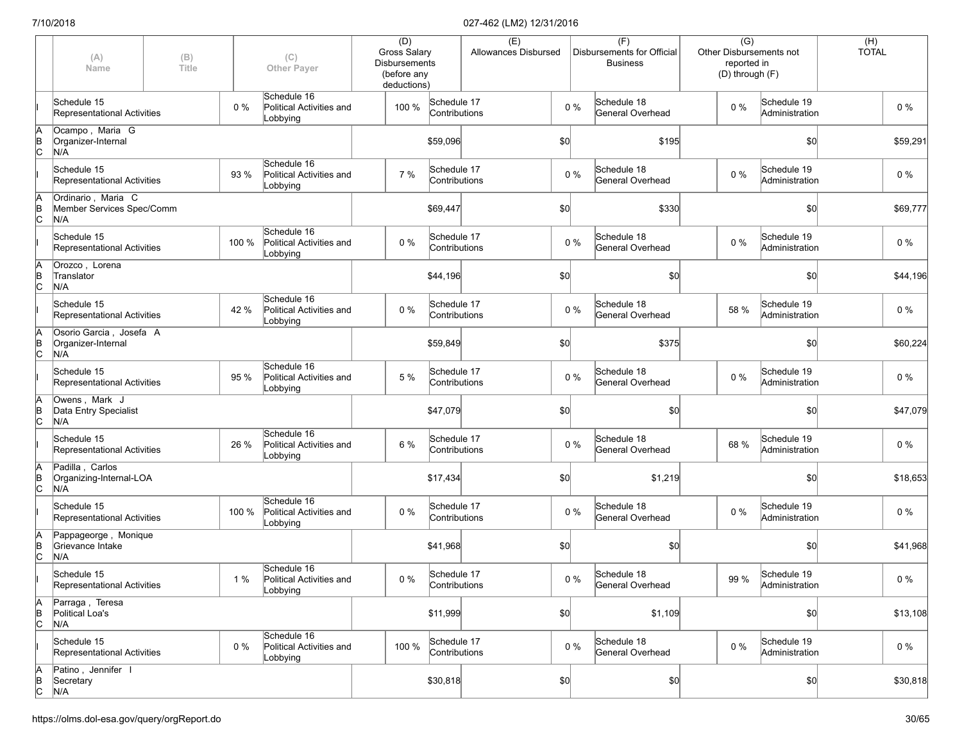|               | (A)<br>Name                                            | (B)<br>Title |       | (C)<br><b>Other Payer</b>                           | (D)<br><b>Gross Salary</b><br><b>Disbursements</b><br>(before any<br>deductions) |                              | (E)<br>Allowances Disbursed |     |       | (F)<br>Disbursements for Official<br><b>Business</b> | $\overline{(G)}$<br>Other Disbursements not<br>reported in<br>(D) through (F) |                               | $(H)$<br>TOTAL |          |
|---------------|--------------------------------------------------------|--------------|-------|-----------------------------------------------------|----------------------------------------------------------------------------------|------------------------------|-----------------------------|-----|-------|------------------------------------------------------|-------------------------------------------------------------------------------|-------------------------------|----------------|----------|
|               | Schedule 15<br>Representational Activities             |              | $0\%$ | Schedule 16<br>Political Activities and<br>Lobbying | 100 %                                                                            | Schedule 17<br>Contributions |                             |     | $0\%$ | Schedule 18<br>General Overhead                      | 0%                                                                            | Schedule 19<br>Administration |                | $0\%$    |
| A<br>B<br>C   | Ocampo, Maria G<br>Organizer-Internal<br>N/A           |              |       |                                                     |                                                                                  | \$59,096                     |                             | \$0 |       | \$195                                                |                                                                               | \$0                           |                | \$59,291 |
|               | Schedule 15<br>Representational Activities             |              | 93 %  | Schedule 16<br>Political Activities and<br>Lobbying | 7 %                                                                              | Schedule 17<br>Contributions |                             |     | $0\%$ | Schedule 18<br>General Overhead                      | $0\%$                                                                         | Schedule 19<br>Administration |                | 0%       |
| A<br>B<br>C   | Ordinario, Maria C<br>Member Services Spec/Comm<br>N/A |              |       |                                                     |                                                                                  | \$69,447                     |                             | \$0 |       | \$330                                                |                                                                               | \$0                           |                | \$69,777 |
|               | Schedule 15<br>Representational Activities             |              | 100 % | Schedule 16<br>Political Activities and<br>Lobbying | $0\%$                                                                            | Schedule 17<br>Contributions |                             |     | $0\%$ | Schedule 18<br>General Overhead                      | 0%                                                                            | Schedule 19<br>Administration |                | $0\%$    |
| A<br>B<br>C   | Orozco, Lorena<br>Translator<br>N/A                    |              |       |                                                     |                                                                                  | \$44,196                     |                             | \$0 |       | \$0                                                  |                                                                               | \$0                           |                | \$44,196 |
|               | Schedule 15<br>Representational Activities             |              | 42 %  | Schedule 16<br>Political Activities and<br>Lobbying | $0\%$                                                                            | Schedule 17<br>Contributions |                             |     | $0\%$ | Schedule 18<br>General Overhead                      | 58 %                                                                          | Schedule 19<br>Administration |                | $0\%$    |
| A<br>B<br>C   | Osorio Garcia, Josefa A<br>Organizer-Internal<br>N/A   |              |       |                                                     |                                                                                  | \$59,849                     |                             | \$0 |       | \$375                                                |                                                                               | \$0                           |                | \$60,224 |
|               | Schedule 15<br>Representational Activities             |              | 95 %  | Schedule 16<br>Political Activities and<br>Lobbying | 5 %                                                                              | Schedule 17<br>Contributions |                             |     | $0\%$ | Schedule 18<br>General Overhead                      | $0\%$                                                                         | Schedule 19<br>Administration |                | $0\%$    |
| A<br>B<br>C   | Owens, Mark J<br>Data Entry Specialist<br>N/A          |              |       |                                                     |                                                                                  | \$47,079                     |                             | \$0 |       | \$0                                                  |                                                                               | \$0                           |                | \$47,079 |
|               | Schedule 15<br>Representational Activities             |              | 26 %  | Schedule 16<br>Political Activities and<br>Lobbying | 6 %                                                                              | Schedule 17<br>Contributions |                             |     | $0\%$ | Schedule 18<br>General Overhead                      | 68 %                                                                          | Schedule 19<br>Administration |                | 0%       |
| $\frac{A}{B}$ | Padilla, Carlos<br>Organizing-Internal-LOA<br>N/A      |              |       |                                                     |                                                                                  | \$17,434                     |                             | \$0 |       | \$1,219                                              |                                                                               | \$0                           |                | \$18,653 |
|               | Schedule 15<br>Representational Activities             |              | 100 % | Schedule 16<br>Political Activities and<br>Lobbying | $0\%$                                                                            | Schedule 17<br>Contributions |                             |     | $0\%$ | Schedule 18<br>General Overhead                      | 0%                                                                            | Schedule 19<br>Administration |                | $0\%$    |
| A<br>B<br>C   | Pappageorge, Monique<br>Grievance Intake<br>N/A        |              |       |                                                     |                                                                                  | \$41,968                     |                             | \$0 |       | \$0                                                  |                                                                               | \$0                           |                | \$41,968 |
|               | Schedule 15<br>Representational Activities             |              | 1%    | Schedule 16<br>Political Activities and<br>Lobbying | $0\%$                                                                            | Schedule 17<br>Contributions |                             |     | $0\%$ | Schedule 18<br>General Overhead                      | 99 %                                                                          | Schedule 19<br>Administration |                | 0 %      |
| A<br>B<br>C   | Parraga, Teresa<br>Political Loa's<br>N/A              |              |       |                                                     |                                                                                  | \$11,999                     |                             | \$0 |       | \$1,109                                              |                                                                               | \$0                           |                | \$13,108 |
|               | Schedule 15<br>Representational Activities             |              | $0\%$ | Schedule 16<br>Political Activities and<br>Lobbying | 100 %                                                                            | Schedule 17<br>Contributions |                             |     | $0\%$ | Schedule 18<br>General Overhead                      | 0%                                                                            | Schedule 19<br>Administration |                | $0\%$    |
| A<br>B<br>C   | Patino, Jennifer I<br>Secretary<br>N/A                 |              |       |                                                     |                                                                                  | \$30,818                     |                             | \$0 |       | \$0                                                  |                                                                               | 50                            |                | \$30,818 |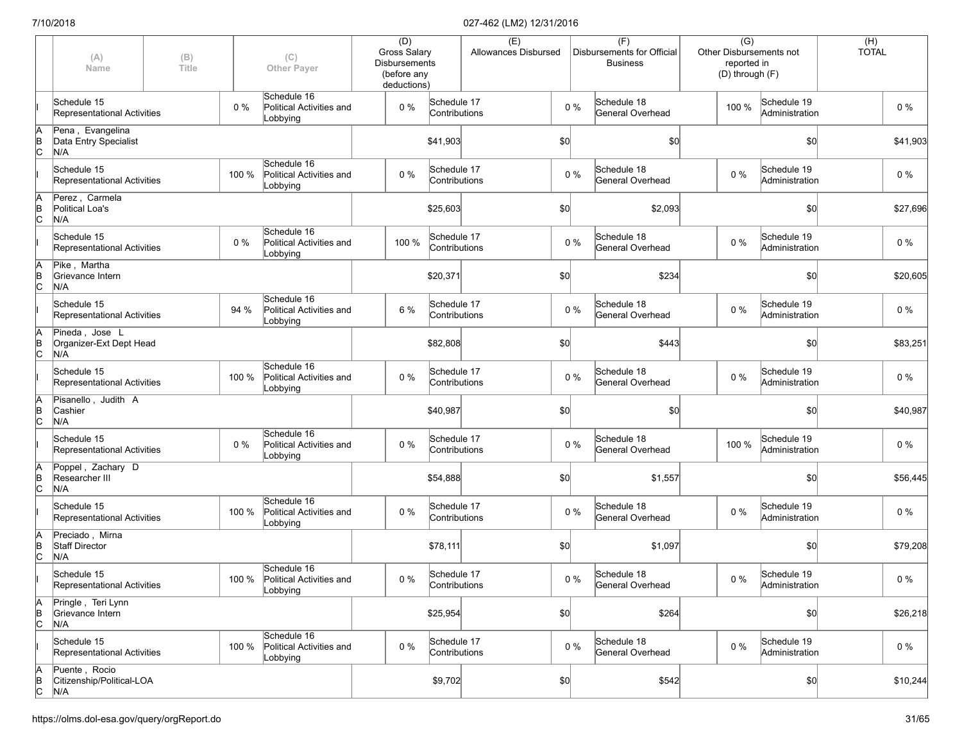|               | (A)<br>Name                                       | (B)<br>Title |       | (C)<br><b>Other Payer</b>                                 | (D)<br>Gross Salary<br><b>Disbursements</b><br>(before any<br>deductions) |                              | (E)<br>Allowances Disbursed |     |       | (F)<br>Disbursements for Official<br><b>Business</b> | $\overline{(G)}$<br>Other Disbursements not<br>reported in<br>(D) through (F) |                               | (H)<br><b>TOTAL</b> |          |
|---------------|---------------------------------------------------|--------------|-------|-----------------------------------------------------------|---------------------------------------------------------------------------|------------------------------|-----------------------------|-----|-------|------------------------------------------------------|-------------------------------------------------------------------------------|-------------------------------|---------------------|----------|
|               | Schedule 15<br>Representational Activities        |              | $0\%$ | Schedule 16<br>Political Activities and<br>Lobbying       | $0\%$                                                                     | Schedule 17<br>Contributions |                             |     | $0\%$ | Schedule 18<br><b>General Overhead</b>               | 100 %                                                                         | Schedule 19<br>Administration |                     | $0\%$    |
| A<br>B<br>C   | Pena, Evangelina<br>Data Entry Specialist<br>N/A  |              |       |                                                           |                                                                           | \$41,903                     |                             | \$0 |       | \$0                                                  |                                                                               | \$0                           |                     | \$41,903 |
|               | Schedule 15<br>Representational Activities        |              | 100 % | Schedule 16<br>Political Activities and<br>Lobbying       | $0\%$                                                                     | Schedule 17<br>Contributions |                             |     | $0\%$ | Schedule 18<br>General Overhead                      | $0\%$                                                                         | Schedule 19<br>Administration |                     | $0\%$    |
| A<br>B<br>C   | Perez, Carmela<br>Political Loa's<br>N/A          |              |       |                                                           |                                                                           | \$25,603                     |                             | \$0 |       | \$2,093                                              |                                                                               | \$0                           |                     | \$27,696 |
|               | Schedule 15<br>Representational Activities        |              | 0%    | Schedule 16<br>Political Activities and<br>Lobbying       | 100 %                                                                     | Schedule 17<br>Contributions |                             |     | 0%    | Schedule 18<br>General Overhead                      | $0\%$                                                                         | Schedule 19<br>Administration |                     | $0\%$    |
| Ā<br>B<br>C   | Pike, Martha<br>Grievance Intern<br>N/A           |              |       |                                                           |                                                                           | \$20,371                     |                             | \$0 |       | \$234                                                |                                                                               | \$0                           |                     | \$20,605 |
|               | Schedule 15<br>Representational Activities        |              | 94 %  | Schedule 16<br>Political Activities and<br>Lobbying       | 6 %                                                                       | Schedule 17<br>Contributions |                             |     | 0%    | Schedule 18<br>General Overhead                      | $0\%$                                                                         | Schedule 19<br>Administration |                     | $0\%$    |
| A<br>B<br>C   | Pineda, Jose L<br>Organizer-Ext Dept Head<br>N/A  |              |       |                                                           |                                                                           | \$82,808                     |                             | \$0 |       | \$443                                                |                                                                               | \$0                           |                     | \$83,251 |
|               | Schedule 15<br>Representational Activities        |              | 100 % | Schedule 16<br>Political Activities and<br>Lobbying       | 0%                                                                        | Schedule 17<br>Contributions |                             |     | 0%    | Schedule 18<br>General Overhead                      | $0\%$                                                                         | Schedule 19<br>Administration |                     | 0%       |
| A<br>B<br>C   | Pisanello, Judith A<br>Cashier<br>N/A             |              |       |                                                           |                                                                           | \$40,987                     |                             | \$0 |       | \$0                                                  |                                                                               | \$0                           |                     | \$40,987 |
|               | Schedule 15<br>Representational Activities        |              | 0%    | Schedule 16<br>Political Activities and<br>Lobbying       | $0\%$                                                                     | Schedule 17<br>Contributions |                             |     | 0%    | Schedule 18<br>General Overhead                      | 100 %                                                                         | Schedule 19<br>Administration |                     | $0\%$    |
| $\frac{A}{B}$ | Poppel, Zachary D<br>Researcher III<br>N/A        |              |       |                                                           |                                                                           | \$54,888                     |                             | \$0 |       | \$1,557                                              |                                                                               | \$0                           |                     | \$56,445 |
|               | Schedule 15<br>Representational Activities        |              | 100 % | Schedule 16<br>Political Activities and<br>Lobbying       | $0\%$                                                                     | Schedule 17<br>Contributions |                             |     | $0\%$ | Schedule 18<br>General Overhead                      | $0\%$                                                                         | Schedule 19<br>Administration |                     | $0\%$    |
| A<br>B<br>C   | Preciado, Mirna<br><b>Staff Director</b><br>N/A   |              |       |                                                           |                                                                           | \$78,111                     |                             | \$0 |       | \$1,097                                              |                                                                               | \$0                           |                     | \$79,208 |
|               | Schedule 15<br>Representational Activities        |              |       | Schedule 16<br>100 % Political Activities and<br>Lobbying | $0\%$                                                                     | Schedule 17<br>Contributions |                             |     | $0\%$ | Schedule 18<br>General Overhead                      | $0\%$                                                                         | Schedule 19<br>Administration |                     | $0\%$    |
| A<br>B<br>C   | Pringle, Teri Lynn<br>Grievance Intern<br>N/A     |              |       |                                                           |                                                                           | \$25,954                     |                             | \$0 |       | \$264                                                |                                                                               | \$0                           |                     | \$26,218 |
|               | Schedule 15<br>Representational Activities        |              | 100 % | Schedule 16<br>Political Activities and<br>Lobbying       | $0\%$                                                                     | Schedule 17<br>Contributions |                             |     | 0%    | Schedule 18<br>General Overhead                      | $0\%$                                                                         | Schedule 19<br>Administration |                     | $0\%$    |
| A<br>B<br>C   | Puente, Rocio<br>Citizenship/Political-LOA<br>N/A |              |       |                                                           |                                                                           | \$9,702                      |                             | 50  |       | \$542                                                |                                                                               | \$0                           |                     | \$10,244 |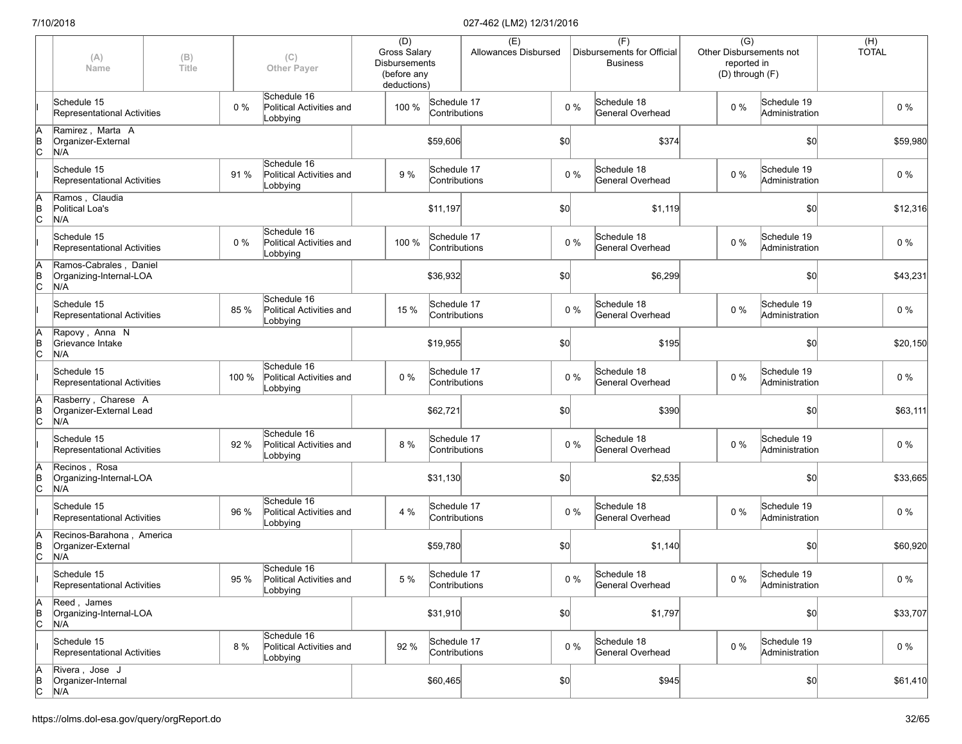|                      | (A)<br>Name                                              | (B)<br>Title |       | (C)<br><b>Other Payer</b>                           | (D)<br>Gross Salary<br><b>Disbursements</b><br>(before any<br>deductions) |                              | (E)<br>Allowances Disbursed |     |       | (F)<br>Disbursements for Official<br><b>Business</b> | $\overline{(G)}$<br>Other Disbursements not<br>reported in<br>(D) through (F) |                               | $(H)$<br>TOTAL |  |
|----------------------|----------------------------------------------------------|--------------|-------|-----------------------------------------------------|---------------------------------------------------------------------------|------------------------------|-----------------------------|-----|-------|------------------------------------------------------|-------------------------------------------------------------------------------|-------------------------------|----------------|--|
|                      | Schedule 15<br>Representational Activities               |              | 0%    | Schedule 16<br>Political Activities and<br>Lobbying | 100 %                                                                     | Schedule 17<br>Contributions |                             |     | $0\%$ | Schedule 18<br>General Overhead                      | $0\%$                                                                         | Schedule 19<br>Administration | $0\%$          |  |
| A<br>B<br>C          | Ramirez, Marta A<br>Organizer-External<br>N/A            |              |       |                                                     |                                                                           | \$59,606                     |                             | \$0 |       | \$374                                                |                                                                               | \$0                           | \$59,980       |  |
|                      | Schedule 15<br>Representational Activities               |              | 91 %  | Schedule 16<br>Political Activities and<br>Lobbying | 9%                                                                        | Schedule 17<br>Contributions |                             |     | $0\%$ | Schedule 18<br>General Overhead                      | $0\%$                                                                         | Schedule 19<br>Administration | 0%             |  |
| ΙA<br>$\overline{C}$ | Ramos, Claudia<br>Political Loa's<br>N/A                 |              |       |                                                     |                                                                           | \$11,197                     |                             | \$0 |       | \$1,119                                              |                                                                               | \$0                           | \$12,316       |  |
|                      | Schedule 15<br>Representational Activities               |              | 0%    | Schedule 16<br>Political Activities and<br>Lobbying | 100 %                                                                     | Schedule 17<br>Contributions |                             |     | $0\%$ | Schedule 18<br>General Overhead                      | 0%                                                                            | Schedule 19<br>Administration | $0\%$          |  |
| ΙA<br>$\overline{C}$ | Ramos-Cabrales, Daniel<br>Organizing-Internal-LOA<br>N/A |              |       |                                                     |                                                                           | \$36,932                     |                             | \$0 |       | \$6,299                                              |                                                                               | \$0                           | \$43,231       |  |
|                      | Schedule 15<br>Representational Activities               |              | 85 %  | Schedule 16<br>Political Activities and<br>Lobbying | 15 %                                                                      | Schedule 17<br>Contributions |                             |     | $0\%$ | Schedule 18<br>General Overhead                      | $0\%$                                                                         | Schedule 19<br>Administration | $0\%$          |  |
| ΙA<br>$\overline{C}$ | Rapovy, Anna N<br>Grievance Intake<br>N/A                |              |       |                                                     |                                                                           | \$19,955                     |                             | \$0 |       | \$195                                                |                                                                               | \$0                           | \$20,150       |  |
|                      | Schedule 15<br>Representational Activities               |              | 100 % | Schedule 16<br>Political Activities and<br>Lobbying | 0%                                                                        | Schedule 17<br>Contributions |                             |     | $0\%$ | Schedule 18<br>General Overhead                      | $0\%$                                                                         | Schedule 19<br>Administration | $0\%$          |  |
| A<br>B<br>C          | Rasberry, Charese A<br>Organizer-External Lead<br>N/A    |              |       |                                                     |                                                                           | \$62,721                     |                             | \$0 |       | \$390                                                |                                                                               | \$0                           | \$63,111       |  |
|                      | Schedule 15<br>Representational Activities               |              | 92 %  | Schedule 16<br>Political Activities and<br>Lobbying | 8 %                                                                       | Schedule 17<br>Contributions |                             |     | $0\%$ | Schedule 18<br>General Overhead                      | $0\%$                                                                         | Schedule 19<br>Administration | $0\%$          |  |
| ΙA<br>$\overline{C}$ | Recinos, Rosa<br>Organizing-Internal-LOA<br>N/A          |              |       |                                                     |                                                                           | \$31,130                     |                             | \$0 |       | \$2,535                                              |                                                                               | \$0                           | \$33,665       |  |
|                      | Schedule 15<br>Representational Activities               |              | 96 %  | Schedule 16<br>Political Activities and<br>Lobbying | 4 %                                                                       | Schedule 17<br>Contributions |                             |     | $0\%$ | Schedule 18<br>General Overhead                      | $0\%$                                                                         | Schedule 19<br>Administration | $0\%$          |  |
| ΙA<br>$\overline{C}$ | Recinos-Barahona, America<br>Organizer-External<br>N/A   |              |       |                                                     |                                                                           | \$59,780                     |                             | \$0 |       | \$1,140                                              |                                                                               | \$0                           | \$60,920       |  |
|                      | Schedule 15<br>Representational Activities               |              | 95 %  | Schedule 16<br>Political Activities and<br>Lobbying | 5 %                                                                       | Schedule 17<br>Contributions |                             |     | $0\%$ | Schedule 18<br>General Overhead                      | $0\%$                                                                         | Schedule 19<br>Administration | $0\%$          |  |
| A<br>$\overline{C}$  | Reed, James<br>Organizing-Internal-LOA<br>N/A            |              |       |                                                     |                                                                           | \$31,910                     |                             | \$0 |       | \$1,797                                              |                                                                               | \$0                           | \$33,707       |  |
|                      | Schedule 15<br>Representational Activities               |              | 8 %   | Schedule 16<br>Political Activities and<br>Lobbying | 92 %                                                                      | Schedule 17<br>Contributions |                             |     | $0\%$ | Schedule 18<br>General Overhead                      | 0%                                                                            | Schedule 19<br>Administration | $0\%$          |  |
| A<br>B<br>C          | Rivera, Jose J<br>Organizer-Internal<br>N/A              |              |       |                                                     |                                                                           | \$60,465                     |                             | 50  |       | \$945                                                |                                                                               | \$0                           | \$61,410       |  |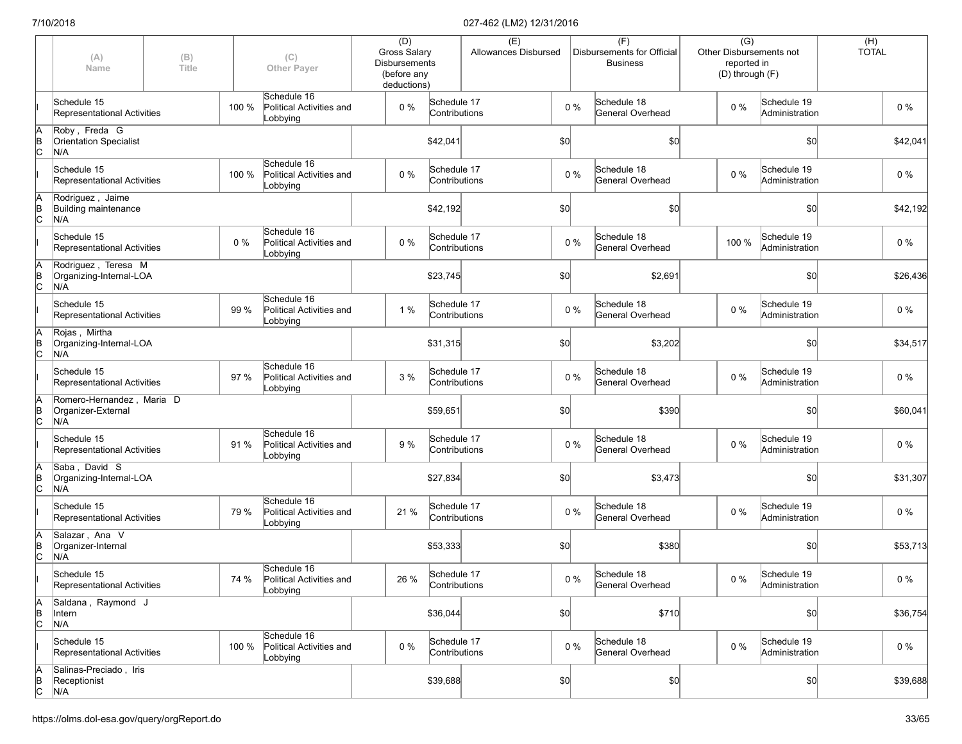|               | (A)<br>Name                                            | (B)<br>Title |       | (C)<br><b>Other Payer</b>                           | (D)<br><b>Gross Salary</b><br><b>Disbursements</b><br>(before any<br>deductions) |                              | (E)<br>Allowances Disbursed |      |       | (F)<br>Disbursements for Official<br><b>Business</b> | $\overline{(G)}$<br>Other Disbursements not<br>reported in<br>(D) through (F) |                               | (H)<br><b>TOTAL</b> |          |
|---------------|--------------------------------------------------------|--------------|-------|-----------------------------------------------------|----------------------------------------------------------------------------------|------------------------------|-----------------------------|------|-------|------------------------------------------------------|-------------------------------------------------------------------------------|-------------------------------|---------------------|----------|
|               | Schedule 15<br><b>Representational Activities</b>      |              | 100 % | Schedule 16<br>Political Activities and<br>Lobbying | $0\%$                                                                            | Schedule 17<br>Contributions |                             |      | $0\%$ | Schedule 18<br>General Overhead                      | $0\%$                                                                         | Schedule 19<br>Administration |                     | $0\%$    |
| A<br>B<br>C   | Roby, Freda G<br><b>Orientation Specialist</b><br>N/A  |              |       |                                                     |                                                                                  | \$42,041                     |                             | \$0] |       | \$0                                                  |                                                                               | \$0                           |                     | \$42,041 |
|               | Schedule 15<br>Representational Activities             |              | 100 % | Schedule 16<br>Political Activities and<br>Lobbying | $0\%$                                                                            | Schedule 17<br>Contributions |                             |      | $0\%$ | Schedule 18<br>General Overhead                      | $0\%$                                                                         | Schedule 19<br>Administration |                     | $0\%$    |
| $\frac{A}{B}$ | Rodriguez, Jaime<br>Building maintenance<br>N/A        |              |       |                                                     |                                                                                  | \$42,192                     |                             | \$0] |       | \$0                                                  |                                                                               | \$0                           |                     | \$42,192 |
|               | Schedule 15<br>Representational Activities             |              | 0%    | Schedule 16<br>Political Activities and<br>Lobbying | 0%                                                                               | Schedule 17<br>Contributions |                             |      | $0\%$ | Schedule 18<br>General Overhead                      | 100 %                                                                         | Schedule 19<br>Administration |                     | $0\%$    |
| A<br>B<br>C   | Rodriguez, Teresa M<br>Organizing-Internal-LOA<br>N/A  |              |       |                                                     |                                                                                  | \$23,745                     |                             | \$0] |       | \$2,691                                              |                                                                               | \$0                           |                     | \$26,436 |
|               | Schedule 15<br>Representational Activities             |              | 99 %  | Schedule 16<br>Political Activities and<br>Lobbying | 1 %                                                                              | Schedule 17<br>Contributions |                             |      | $0\%$ | Schedule 18<br>General Overhead                      | $0\%$                                                                         | Schedule 19<br>Administration |                     | $0\%$    |
| A<br>B<br>C   | Rojas, Mirtha<br>Organizing-Internal-LOA<br>N/A        |              |       |                                                     |                                                                                  | \$31,315                     |                             | \$0  |       | \$3,202                                              |                                                                               | \$0                           |                     | \$34,517 |
|               | Schedule 15<br>Representational Activities             |              | 97 %  | Schedule 16<br>Political Activities and<br>Lobbying | 3%                                                                               | Schedule 17<br>Contributions |                             |      | 0%    | Schedule 18<br>General Overhead                      | $0\%$                                                                         | Schedule 19<br>Administration |                     | $0\%$    |
| A<br>B<br>C   | Romero-Hernandez, Maria D<br>Organizer-External<br>N/A |              |       |                                                     |                                                                                  | \$59,651                     |                             | \$0] |       | \$390                                                |                                                                               | \$0                           |                     | \$60,041 |
|               | Schedule 15<br>Representational Activities             |              | 91 %  | Schedule 16<br>Political Activities and<br>Lobbying | 9%                                                                               | Schedule 17<br>Contributions |                             |      | $0\%$ | Schedule 18<br>General Overhead                      | 0%                                                                            | Schedule 19<br>Administration |                     | $0\%$    |
| A<br>B<br>C   | Saba, David S<br>Organizing-Internal-LOA<br>N/A        |              |       |                                                     |                                                                                  | \$27,834                     |                             | \$0  |       | \$3,473                                              |                                                                               | \$0                           |                     | \$31,307 |
|               | Schedule 15<br>Representational Activities             |              | 79 %  | Schedule 16<br>Political Activities and<br>Lobbying | 21 %                                                                             | Schedule 17<br>Contributions |                             |      | $0\%$ | Schedule 18<br>General Overhead                      | $0\%$                                                                         | Schedule 19<br>Administration |                     | $0\%$    |
| A<br>B<br>C   | Salazar, Ana V<br>Organizer-Internal<br>N/A            |              |       |                                                     |                                                                                  | \$53,333                     |                             | \$0] |       | \$380                                                |                                                                               | \$0                           |                     | \$53,713 |
|               | Schedule 15<br>Representational Activities             |              | 74 %  | Schedule 16<br>Political Activities and<br>Lobbying | 26 %                                                                             | Schedule 17<br>Contributions |                             |      | $0\%$ | Schedule 18<br>General Overhead                      | $0\ \%$                                                                       | Schedule 19<br>Administration |                     | $0\%$    |
| A<br>B<br>C   | Saldana, Raymond J<br>Intern<br>N/A                    |              |       |                                                     |                                                                                  | \$36,044                     |                             | \$0  |       | \$710                                                |                                                                               | \$0                           |                     | \$36,754 |
|               | Schedule 15<br>Representational Activities             |              | 100 % | Schedule 16<br>Political Activities and<br>Lobbying | 0%                                                                               | Schedule 17<br>Contributions |                             |      | 0%    | Schedule 18<br>General Overhead                      | 0%                                                                            | Schedule 19<br>Administration |                     | $0\%$    |
| A<br>B<br>C   | Salinas-Preciado, Iris<br>Receptionist<br>N/A          |              |       |                                                     |                                                                                  | \$39,688                     |                             | 50   |       | \$0]                                                 |                                                                               | \$0                           |                     | \$39,688 |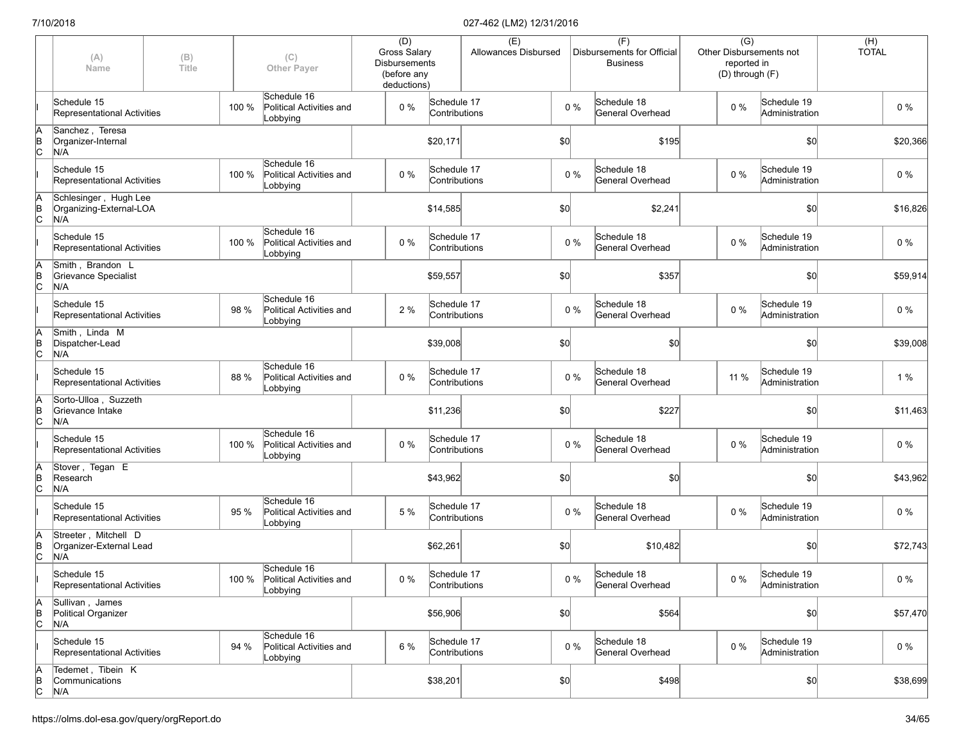|                      | (A)<br>Name                                             | (B)<br>Title |       | (C)<br><b>Other Payer</b>                                 | (D)<br><b>Gross Salary</b><br><b>Disbursements</b><br>(before any<br>deductions) |                              | (E)<br>Allowances Disbursed |      |       | (F)<br>Disbursements for Official<br><b>Business</b> | $\overline{(G)}$<br>Other Disbursements not<br>reported in<br>(D) through (F) |                               | (H)<br><b>TOTAL</b> |          |
|----------------------|---------------------------------------------------------|--------------|-------|-----------------------------------------------------------|----------------------------------------------------------------------------------|------------------------------|-----------------------------|------|-------|------------------------------------------------------|-------------------------------------------------------------------------------|-------------------------------|---------------------|----------|
|                      | Schedule 15<br>Representational Activities              |              | 100 % | Schedule 16<br>Political Activities and<br>Lobbying       | $0\%$                                                                            | Schedule 17<br>Contributions |                             |      | $0\%$ | Schedule 18<br>General Overhead                      | $0\%$                                                                         | Schedule 19<br>Administration |                     | $0\%$    |
| ΙA<br>$\overline{C}$ | Sanchez, Teresa<br>Organizer-Internal<br>N/A            |              |       |                                                           |                                                                                  | \$20,171                     |                             | \$0  |       | \$195                                                |                                                                               | \$0                           |                     | \$20,366 |
|                      | Schedule 15<br>Representational Activities              |              | 100 % | Schedule 16<br>Political Activities and<br>Lobbying       | $0\%$                                                                            | Schedule 17<br>Contributions |                             |      | $0\%$ | Schedule 18<br>General Overhead                      | $0\%$                                                                         | Schedule 19<br>Administration |                     | 0%       |
| ΙA<br>$\overline{C}$ | Schlesinger, Hugh Lee<br>Organizing-External-LOA<br>N/A |              |       |                                                           |                                                                                  | \$14,585                     |                             | \$0  |       | \$2,241                                              |                                                                               | \$0                           |                     | \$16,826 |
|                      | Schedule 15<br>Representational Activities              |              | 100 % | Schedule 16<br>Political Activities and<br>Lobbying       | $0\%$                                                                            | Schedule 17<br>Contributions |                             |      | $0\%$ | Schedule 18<br>General Overhead                      | 0%                                                                            | Schedule 19<br>Administration |                     | $0\%$    |
| ΙA<br>$\overline{C}$ | Smith, Brandon L<br>Grievance Specialist<br>N/A         |              |       |                                                           |                                                                                  | \$59,557                     |                             | \$0] |       | \$357                                                |                                                                               | \$0                           |                     | \$59,914 |
|                      | Schedule 15<br>Representational Activities              |              | 98 %  | Schedule 16<br>Political Activities and<br>Lobbying       | 2%                                                                               | Schedule 17<br>Contributions |                             |      | $0\%$ | Schedule 18<br>General Overhead                      | $0\%$                                                                         | Schedule 19<br>Administration |                     | $0\%$    |
| ΙA<br>B<br>lс        | Smith, Linda M<br>Dispatcher-Lead<br>N/A                |              |       |                                                           |                                                                                  | \$39,008                     |                             | \$0  |       | \$0                                                  |                                                                               | \$0                           |                     | \$39,008 |
|                      | Schedule 15<br>Representational Activities              |              | 88 %  | Schedule 16<br>Political Activities and<br>Lobbying       | $0\%$                                                                            | Schedule 17<br>Contributions |                             |      | $0\%$ | Schedule 18<br>General Overhead                      | 11 %                                                                          | Schedule 19<br>Administration |                     | 1%       |
| ļв<br>$\mathsf{c}$   | Sorto-Ulloa, Suzzeth<br>Grievance Intake<br>N/A         |              |       |                                                           |                                                                                  | \$11,236                     |                             | \$0] |       | \$227                                                |                                                                               | \$0                           |                     | \$11,463 |
|                      | Schedule 15<br>Representational Activities              |              | 100 % | Schedule 16<br>Political Activities and<br>Lobbying       | 0%                                                                               | Schedule 17<br>Contributions |                             |      | $0\%$ | Schedule 18<br>General Overhead                      | 0%                                                                            | Schedule 19<br>Administration |                     | $0\%$    |
| ΙA<br>$\overline{C}$ | Stover, Tegan E<br>Research<br>N/A                      |              |       |                                                           |                                                                                  | \$43,962                     |                             | \$0  |       | \$0                                                  |                                                                               | \$0                           |                     | \$43,962 |
|                      | Schedule 15<br>Representational Activities              |              | 95 %  | Schedule 16<br>Political Activities and<br>Lobbying       | 5 %                                                                              | Schedule 17<br>Contributions |                             |      | $0\%$ | Schedule 18<br>General Overhead                      | $0\%$                                                                         | Schedule 19<br>Administration |                     | 0%       |
| ΙA<br>$\overline{C}$ | Streeter, Mitchell D<br>Organizer-External Lead<br>N/A  |              |       |                                                           |                                                                                  | \$62,261                     |                             | \$0  |       | \$10,482                                             |                                                                               | \$0                           |                     | \$72,743 |
|                      | Schedule 15<br>Representational Activities              |              |       | Schedule 16<br>100 % Political Activities and<br>Lobbying | $0\%$                                                                            | Schedule 17<br>Contributions |                             |      | $0\%$ | Schedule 18<br>General Overhead                      | $0\%$                                                                         | Schedule 19<br>Administration |                     | $0\%$    |
| A<br>$\overline{C}$  | Sullivan, James<br>Political Organizer<br>N/A           |              |       |                                                           |                                                                                  | \$56,906                     |                             | \$0  |       | \$564                                                |                                                                               | \$0                           |                     | \$57,470 |
|                      | Schedule 15<br>Representational Activities              |              | 94 %  | Schedule 16<br>Political Activities and<br>Lobbying       | 6 %                                                                              | Schedule 17<br>Contributions |                             |      | $0\%$ | Schedule 18<br>General Overhead                      | 0%                                                                            | Schedule 19<br>Administration |                     | $0\%$    |
| A<br>$\overline{C}$  | Tedemet, Tibein K<br>Communications<br>N/A              |              |       |                                                           |                                                                                  | \$38,201                     |                             | 50   |       | \$498                                                |                                                                               | \$0                           |                     | \$38,699 |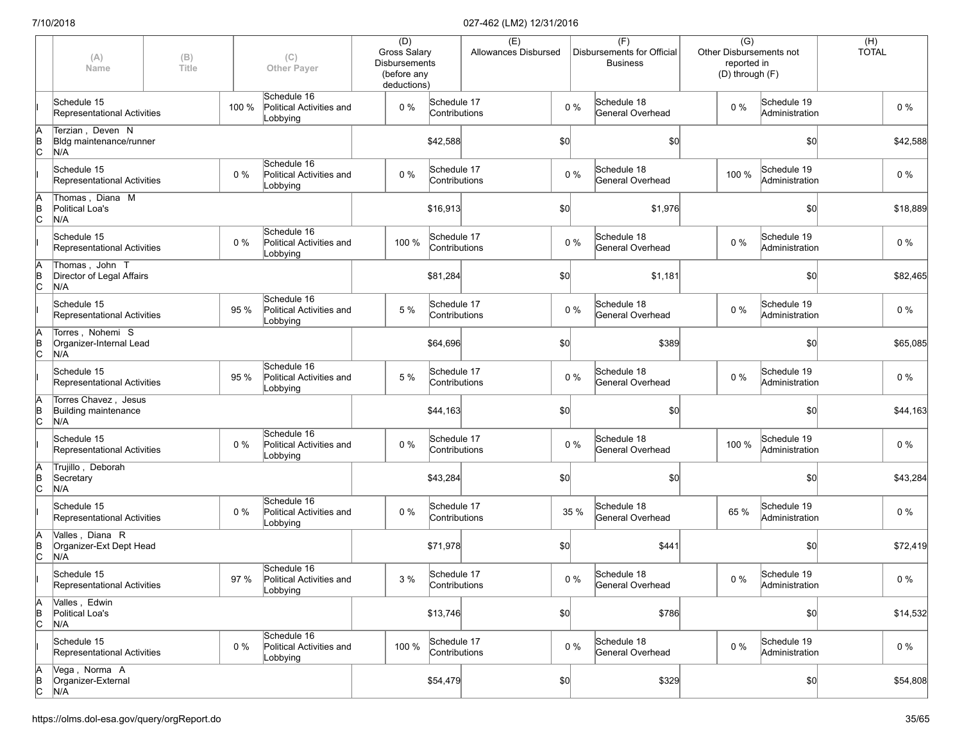|                      | (A)<br>Name                                         | (B)<br>Title |       | (C)<br><b>Other Payer</b>                           | (D)<br><b>Gross Salary</b><br><b>Disbursements</b><br>(before any<br>deductions) |                              | (E)<br>Allowances Disbursed |     |       | (F)<br>Disbursements for Official<br><b>Business</b> | $\overline{(G)}$<br>reported in<br>(D) through (F) | Other Disbursements not       | (H)<br><b>TOTAL</b> |          |
|----------------------|-----------------------------------------------------|--------------|-------|-----------------------------------------------------|----------------------------------------------------------------------------------|------------------------------|-----------------------------|-----|-------|------------------------------------------------------|----------------------------------------------------|-------------------------------|---------------------|----------|
|                      | Schedule 15<br>Representational Activities          |              | 100 % | Schedule 16<br>Political Activities and<br>Lobbying | 0%                                                                               | Schedule 17<br>Contributions |                             |     | $0\%$ | Schedule 18<br>General Overhead                      | $0\%$                                              | Schedule 19<br>Administration |                     | $0\%$    |
| ΙA<br>$\overline{C}$ | Terzian, Deven N<br>Bidg maintenance/runner<br>N/A  |              |       |                                                     |                                                                                  | \$42,588                     |                             | \$0 |       | \$0                                                  |                                                    | \$0                           |                     | \$42,588 |
|                      | Schedule 15<br>Representational Activities          |              | 0%    | Schedule 16<br>Political Activities and<br>Lobbying | $0\%$                                                                            | Schedule 17<br>Contributions |                             |     | $0\%$ | Schedule 18<br>General Overhead                      | 100 %                                              | Schedule 19<br>Administration |                     | $0\%$    |
| ΙA<br>$\overline{C}$ | Thomas, Diana M<br>Political Loa's<br>N/A           |              |       |                                                     |                                                                                  | \$16,913                     |                             | \$0 |       | \$1,976                                              |                                                    | \$0                           |                     | \$18,889 |
|                      | Schedule 15<br>Representational Activities          |              | 0%    | Schedule 16<br>Political Activities and<br>Lobbying | 100 %                                                                            | Schedule 17<br>Contributions |                             |     | $0\%$ | Schedule 18<br>General Overhead                      | $0\%$                                              | Schedule 19<br>Administration |                     | $0\%$    |
| ΙA<br>$\overline{C}$ | Thomas, John T<br>Director of Legal Affairs<br>N/A  |              |       |                                                     |                                                                                  | \$81,284                     |                             | \$0 |       | \$1,181                                              |                                                    | \$0                           |                     | \$82,465 |
|                      | Schedule 15<br>Representational Activities          |              | 95 %  | Schedule 16<br>Political Activities and<br>Lobbying | 5 %                                                                              | Schedule 17<br>Contributions |                             |     | $0\%$ | Schedule 18<br>General Overhead                      | $0\%$                                              | Schedule 19<br>Administration |                     | $0\%$    |
| ΙA<br>$\overline{C}$ | Torres . Nohemi S<br>Organizer-Internal Lead<br>N/A |              |       |                                                     |                                                                                  | \$64,696                     |                             | \$0 |       | \$389                                                |                                                    | \$0                           |                     | \$65,085 |
|                      | Schedule 15<br>Representational Activities          |              | 95 %  | Schedule 16<br>Political Activities and<br>Lobbying | 5 %                                                                              | Schedule 17<br>Contributions |                             |     | $0\%$ | Schedule 18<br>General Overhead                      | $0\%$                                              | Schedule 19<br>Administration |                     | $0\%$    |
| ΙA<br>$\overline{C}$ | Torres Chavez, Jesus<br>Building maintenance<br>N/A |              |       |                                                     |                                                                                  | \$44,163                     |                             | \$0 |       | \$0                                                  |                                                    | \$0                           |                     | \$44,163 |
|                      | Schedule 15<br>Representational Activities          |              | 0%    | Schedule 16<br>Political Activities and<br>Lobbying | $0\%$                                                                            | Schedule 17<br>Contributions |                             |     | $0\%$ | Schedule 18<br>General Overhead                      | 100 %                                              | Schedule 19<br>Administration |                     | $0\%$    |
| ļΑ<br>$\overline{C}$ | Trujillo, Deborah<br>Secretary<br>N/A               |              |       |                                                     |                                                                                  | \$43,284                     |                             | \$0 |       | \$0                                                  |                                                    | \$0                           |                     | \$43,284 |
|                      | Schedule 15<br>Representational Activities          |              | 0%    | Schedule 16<br>Political Activities and<br>Lobbying | $0\%$                                                                            | Schedule 17<br>Contributions |                             |     | 35 %  | Schedule 18<br>General Overhead                      | 65 %                                               | Schedule 19<br>Administration |                     | $0\%$    |
| ΙA<br>$\overline{C}$ | Valles, Diana R<br>Organizer-Ext Dept Head<br>N/A   |              |       |                                                     |                                                                                  | \$71,978                     |                             | \$0 |       | \$441                                                |                                                    | \$0                           |                     | \$72,419 |
|                      | Schedule 15<br>Representational Activities          |              | 97 %  | Schedule 16<br>Political Activities and<br>Lobbying | 3%                                                                               | Schedule 17<br>Contributions |                             |     | $0\%$ | Schedule 18<br>General Overhead                      | $0\%$                                              | Schedule 19<br>Administration |                     | $0\%$    |
| ΙA<br>$\overline{C}$ | Valles, Edwin<br>Political Loa's<br>N/A             |              |       |                                                     |                                                                                  | \$13,746                     |                             | 50  |       | \$786                                                |                                                    | \$0                           |                     | \$14,532 |
|                      | Schedule 15<br>Representational Activities          |              | 0%    | Schedule 16<br>Political Activities and<br>Lobbying | 100 %                                                                            | Schedule 17<br>Contributions |                             |     | $0\%$ | Schedule 18<br>General Overhead                      | $0\%$                                              | Schedule 19<br>Administration |                     | $0\%$    |
| A<br>B<br>C          | Vega, Norma A<br>Organizer-External<br>N/A          |              |       |                                                     |                                                                                  | \$54,479                     |                             | 50  |       | \$329                                                |                                                    | \$0                           |                     | \$54,808 |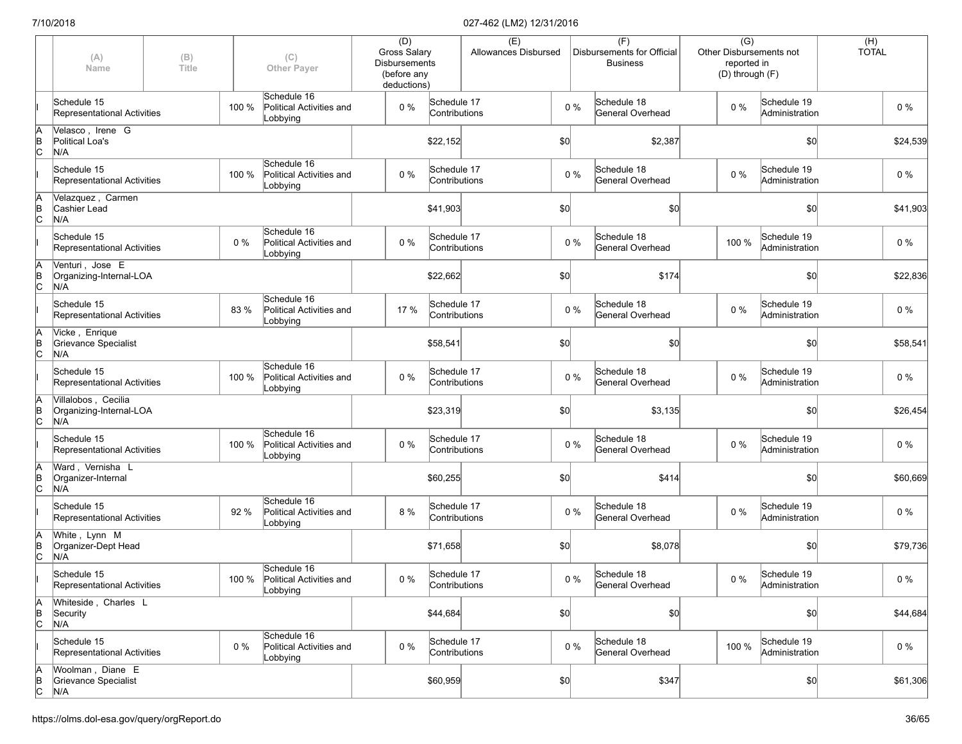|               | (A)<br>Name                                           | (B)<br><b>Title</b> |       | (C)<br><b>Other Payer</b>                                 | (D)<br><b>Gross Salary</b><br><b>Disbursements</b><br>(before any<br>deductions) |                              | (E)<br>Allowances Disbursed |     |       | (F)<br>Disbursements for Official<br><b>Business</b> | $\overline{(G)}$<br>Other Disbursements not<br>reported in<br>(D) through (F) |                               | $(H)$<br>TOTAL |          |
|---------------|-------------------------------------------------------|---------------------|-------|-----------------------------------------------------------|----------------------------------------------------------------------------------|------------------------------|-----------------------------|-----|-------|------------------------------------------------------|-------------------------------------------------------------------------------|-------------------------------|----------------|----------|
|               | Schedule 15<br>Representational Activities            |                     | 100 % | Schedule 16<br>Political Activities and<br>Lobbying       | $0\%$                                                                            | Schedule 17<br>Contributions |                             |     | $0\%$ | Schedule 18<br>General Overhead                      | 0%                                                                            | Schedule 19<br>Administration |                | $0\%$    |
| A<br>B<br>C   | Velasco, Irene G<br>Political Loa's<br>N/A            |                     |       |                                                           |                                                                                  | \$22,152                     |                             | \$0 |       | \$2,387                                              |                                                                               | \$0                           |                | \$24,539 |
|               | Schedule 15<br>Representational Activities            |                     | 100 % | Schedule 16<br>Political Activities and<br>Lobbying       | $0\%$                                                                            | Schedule 17<br>Contributions |                             |     | $0\%$ | Schedule 18<br>General Overhead                      | $0\%$                                                                         | Schedule 19<br>Administration |                | 0%       |
| A<br>B<br>C   | Velazquez, Carmen<br>Cashier Lead<br>N/A              |                     |       |                                                           |                                                                                  | \$41,903                     |                             | \$0 |       | \$0                                                  |                                                                               | \$0                           |                | \$41,903 |
|               | Schedule 15<br>Representational Activities            |                     | 0%    | Schedule 16<br>Political Activities and<br>Lobbying       | $0\%$                                                                            | Schedule 17<br>Contributions |                             |     | $0\%$ | Schedule 18<br>General Overhead                      | 100 %                                                                         | Schedule 19<br>Administration |                | $0\%$    |
| A<br>B<br>C   | Venturi, Jose E<br>Organizing-Internal-LOA<br>N/A     |                     |       |                                                           |                                                                                  | \$22,662                     |                             | \$0 |       | \$174                                                |                                                                               | \$0                           |                | \$22,836 |
|               | Schedule 15<br>Representational Activities            |                     | 83 %  | Schedule 16<br>Political Activities and<br>Lobbying       | 17 %                                                                             | Schedule 17<br>Contributions |                             |     | $0\%$ | Schedule 18<br>General Overhead                      | 0%                                                                            | Schedule 19<br>Administration |                | $0\%$    |
| A<br>B<br>C   | Vicke, Enrique<br>Grievance Specialist<br>N/A         |                     |       |                                                           |                                                                                  | \$58,541                     |                             | \$0 |       | \$0                                                  |                                                                               | \$0                           |                | \$58,541 |
|               | Schedule 15<br>Representational Activities            |                     | 100 % | Schedule 16<br>Political Activities and<br>Lobbying       | $0\%$                                                                            | Schedule 17<br>Contributions |                             |     | $0\%$ | Schedule 18<br>General Overhead                      | $0\%$                                                                         | Schedule 19<br>Administration |                | 0%       |
| A<br>B<br>C   | Villalobos, Cecilia<br>Organizing-Internal-LOA<br>N/A |                     |       |                                                           |                                                                                  | \$23,319                     |                             | \$0 |       | \$3,135                                              |                                                                               | \$0                           |                | \$26,454 |
|               | Schedule 15<br>Representational Activities            |                     | 100 % | Schedule 16<br>Political Activities and<br>Lobbying       | $0\%$                                                                            | Schedule 17<br>Contributions |                             |     | $0\%$ | Schedule 18<br>General Overhead                      | 0%                                                                            | Schedule 19<br>Administration |                | 0%       |
| $\frac{A}{B}$ | Ward, Vernisha L<br>Organizer-Internal<br>N/A         |                     |       |                                                           |                                                                                  | \$60,255                     |                             | \$0 |       | \$414                                                |                                                                               | \$0                           |                | \$60,669 |
|               | Schedule 15<br>Representational Activities            |                     | 92 %  | Schedule 16<br>Political Activities and<br>Lobbying       | 8 %                                                                              | Schedule 17<br>Contributions |                             |     | $0\%$ | Schedule 18<br>General Overhead                      | $0\%$                                                                         | Schedule 19<br>Administration |                | $0\%$    |
| A<br>B<br>C   | White, Lynn M<br>Organizer-Dept Head<br>N/A           |                     |       |                                                           |                                                                                  | \$71,658                     |                             | \$0 |       | \$8,078                                              |                                                                               | \$0                           |                | \$79,736 |
|               | Schedule 15<br>Representational Activities            |                     |       | Schedule 16<br>100 % Political Activities and<br>Lobbying | $0\%$                                                                            | Schedule 17<br>Contributions |                             |     | $0\%$ | Schedule 18<br>General Overhead                      | $0\%$                                                                         | Schedule 19<br>Administration |                | $0\%$    |
| A<br>B<br>C   | Whiteside, Charles L<br>Security<br>N/A               |                     |       |                                                           |                                                                                  | \$44,684                     |                             | \$0 |       | \$0                                                  |                                                                               | \$0                           |                | \$44,684 |
|               | Schedule 15<br>Representational Activities            |                     | $0\%$ | Schedule 16<br>Political Activities and<br>Lobbying       | $0\%$                                                                            | Schedule 17<br>Contributions |                             |     | $0\%$ | Schedule 18<br>General Overhead                      | 100 %                                                                         | Schedule 19<br>Administration |                | $0\%$    |
| A<br>B<br>C   | Woolman, Diane E<br>Grievance Specialist<br>N/A       |                     |       |                                                           |                                                                                  | \$60,959                     |                             | \$0 |       | \$347                                                |                                                                               | \$0]                          |                | \$61,306 |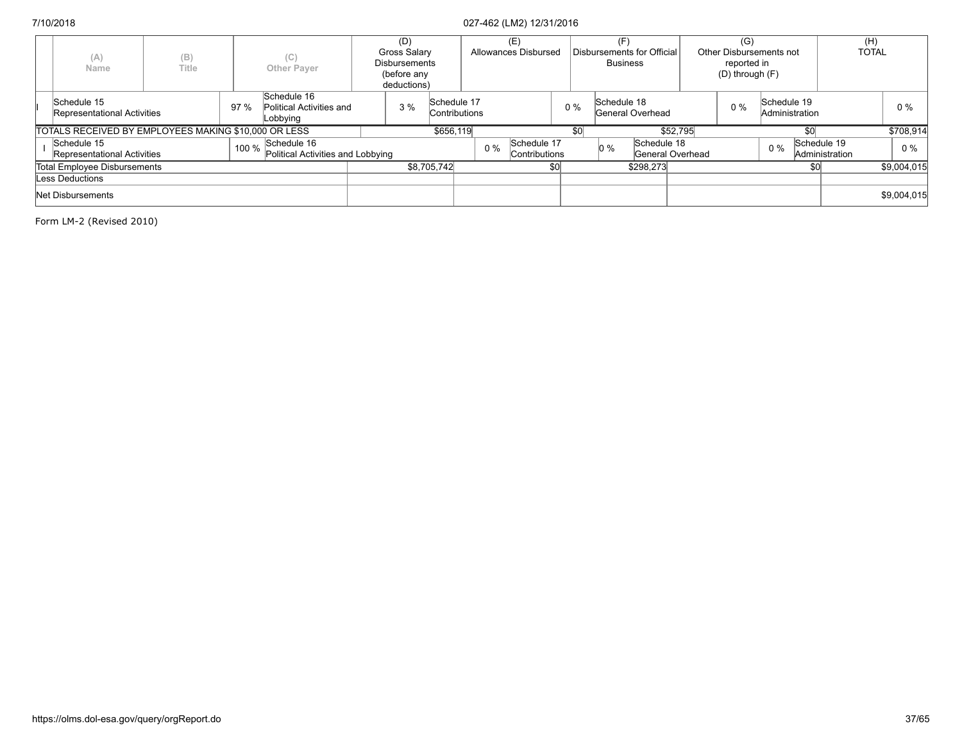|                          | (A)<br>Name                                          | (B)<br>Title |       | (C)<br><b>Other Payer</b>                           | (D)<br><b>Gross Salary</b><br><b>Disbursements</b><br>(before any<br>deductions) |                              |       | (E)<br>Allowances Disbursed  |       |     | <b>Business</b> | Disbursements for Official |                  | (G)<br>Other Disbursements not<br>reported in<br>$(D)$ through $(F)$ |             |                | (H)<br><b>TOTAL</b> |             |
|--------------------------|------------------------------------------------------|--------------|-------|-----------------------------------------------------|----------------------------------------------------------------------------------|------------------------------|-------|------------------------------|-------|-----|-----------------|----------------------------|------------------|----------------------------------------------------------------------|-------------|----------------|---------------------|-------------|
|                          | Schedule 15<br>Representational Activities           |              | 97%   | Schedule 16<br>Political Activities and<br>Lobbying | 3%                                                                               | Schedule 17<br>Contributions |       |                              | $0\%$ |     | Schedule 18     | General Overhead           |                  | $0\%$                                                                | Schedule 19 | Administration |                     | 0%          |
|                          | TOTALS RECEIVED BY EMPLOYEES MAKING \$10,000 OR LESS |              |       |                                                     |                                                                                  | \$656,119                    |       |                              |       | \$0 |                 |                            | \$52.795         |                                                                      |             | \$C            |                     | \$708.914   |
|                          | Schedule 15<br>Representational Activities           |              | 100 % | Schedule 16<br>Political Activities and Lobbying    |                                                                                  |                              | $0\%$ | Schedule 17<br>Contributions |       |     | $0\%$           | Schedule 18                | General Overhead |                                                                      | $0\%$       | Schedule 19    | Administration      | $0\%$       |
|                          | Total Employee Disbursements                         |              |       |                                                     |                                                                                  | \$8.705.742                  |       |                              | \$0   |     |                 | \$298.273                  |                  |                                                                      |             | \$0            |                     | \$9,004.015 |
|                          | Less Deductions                                      |              |       |                                                     |                                                                                  |                              |       |                              |       |     |                 |                            |                  |                                                                      |             |                |                     |             |
| <b>Net Disbursements</b> |                                                      |              |       |                                                     |                                                                                  |                              |       |                              |       |     |                 |                            |                  |                                                                      |             |                | \$9,004,015         |             |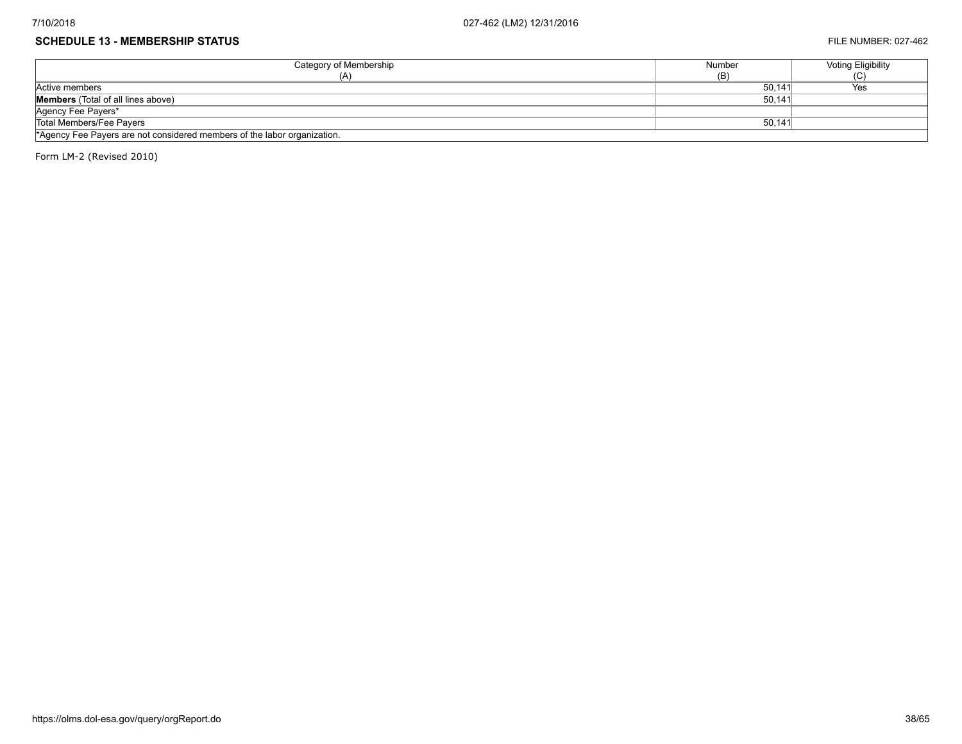#### **SCHEDULE 13 - MEMBERSHIP STATUS** FILE NUMBER: 027-462

| Category of Membership                                                   | Number | <b>Voting Eligibility</b> |
|--------------------------------------------------------------------------|--------|---------------------------|
| (A)                                                                      | (B)    | w                         |
| Active members                                                           | 50,141 | Yes                       |
| <b>Members</b> (Total of all lines above)                                | 50.141 |                           |
| Agency Fee Payers*                                                       |        |                           |
| Total Members/Fee Pavers                                                 | 50,141 |                           |
| *Agency Fee Payers are not considered members of the labor organization. |        |                           |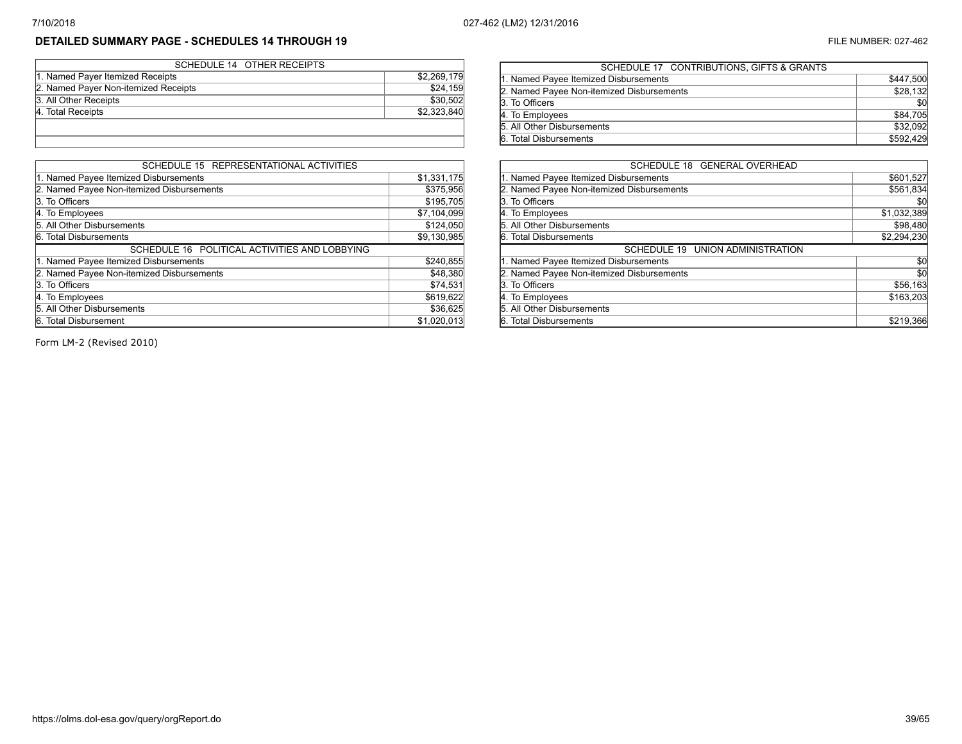# **DETAILED SUMMARY PAGE - SCHEDULES 14 THROUGH 19** FILE NUMBER: 027-462

| SCHEDULE 14 OTHER RECEIPTS           |             |
|--------------------------------------|-------------|
| 1. Named Payer Itemized Receipts     | \$2,269,179 |
| 2. Named Payer Non-itemized Receipts | \$24,159    |
| 3. All Other Receipts                | \$30,502    |
| 4. Total Receipts                    | \$2,323,840 |
|                                      |             |
|                                      |             |

| SCHEDULE 15 REPRESENTATIONAL ACTIVITIES       |             |
|-----------------------------------------------|-------------|
| 1. Named Payee Itemized Disbursements         | \$1,331,175 |
| 2. Named Payee Non-itemized Disbursements     | \$375,956   |
| 3. To Officers                                | \$195,705   |
| 4. To Employees                               | \$7,104,099 |
| 5. All Other Disbursements                    | \$124,050   |
| 6. Total Disbursements                        | \$9,130,985 |
| SCHEDULE 16 POLITICAL ACTIVITIES AND LOBBYING |             |
| 1. Named Payee Itemized Disbursements         | \$240,855   |
| 2. Named Payee Non-itemized Disbursements     | \$48,380    |
| 3. To Officers                                | \$74,531    |
| 4. To Employees                               | \$619,622   |
| 5. All Other Disbursements                    | \$36,625    |
| 6. Total Disbursement                         | \$1,020,013 |

| SCHEDULE 17 CONTRIBUTIONS, GIFTS & GRANTS |           |
|-------------------------------------------|-----------|
| 1. Named Payee Itemized Disbursements     | \$447,500 |
| 2. Named Payee Non-itemized Disbursements | \$28,132  |
| 3. To Officers                            | \$0       |
| 4. To Employees                           | \$84,705  |
| 5. All Other Disbursements                | \$32,092  |
| 6. Total Disbursements                    | \$592,429 |
|                                           |           |

| SCHEDULE 18 GENERAL OVERHEAD              |             |
|-------------------------------------------|-------------|
| 1. Named Payee Itemized Disbursements     | \$601,527   |
| 2. Named Payee Non-itemized Disbursements | \$561,834   |
| 3. To Officers                            | \$0         |
| 4. To Employees                           | \$1,032,389 |
| 5. All Other Disbursements                | \$98,480    |
| 6. Total Disbursements                    | \$2,294,230 |
| SCHEDULE 19 UNION ADMINISTRATION          |             |
| 1. Named Payee Itemized Disbursements     | \$0         |
| 2. Named Payee Non-itemized Disbursements | \$0         |
| 3. To Officers                            | \$56,163    |
| 4. To Employees                           | \$163,203   |
| 5. All Other Disbursements                |             |
| 6. Total Disbursements                    | \$219,366   |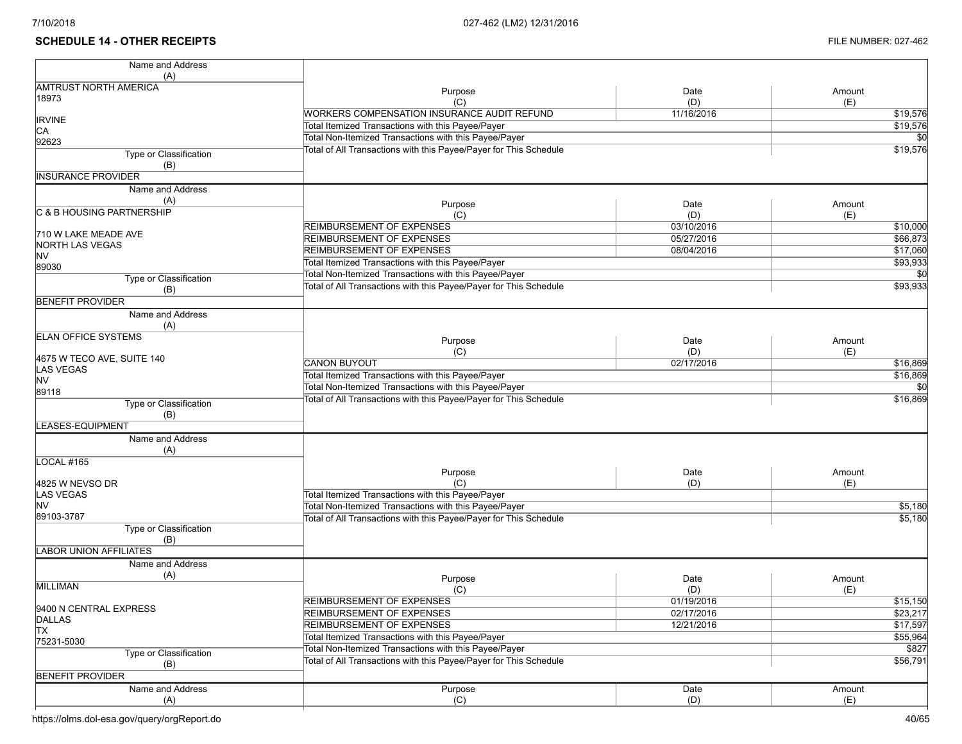# **SCHEDULE 14 - OTHER RECEIPTS** FILE NUMBER: 027-462

| Name and Address               |                                                                   |            |                 |
|--------------------------------|-------------------------------------------------------------------|------------|-----------------|
| (A)                            |                                                                   |            |                 |
| <b>AMTRUST NORTH AMERICA</b>   | Purpose                                                           | Date       | Amount          |
| 18973                          | (C)                                                               | (D)        | (E)             |
|                                | <b>WORKERS COMPENSATION INSURANCE AUDIT REFUND</b>                | 11/16/2016 | \$19,576        |
| <b>IRVINE</b><br>CA            | Total Itemized Transactions with this Payee/Payer                 |            | \$19,576        |
| 92623                          | Total Non-Itemized Transactions with this Payee/Payer             |            | \$0             |
| Type or Classification         | Total of All Transactions with this Payee/Payer for This Schedule |            | \$19,576        |
| (B)                            |                                                                   |            |                 |
| <b>INSURANCE PROVIDER</b>      |                                                                   |            |                 |
| Name and Address               |                                                                   |            |                 |
| (A)                            |                                                                   |            |                 |
| C & B HOUSING PARTNERSHIP      | Purpose                                                           | Date       | Amount          |
|                                | (C)                                                               | (D)        | (E)             |
| 710 W LAKE MEADE AVE           | <b>REIMBURSEMENT OF EXPENSES</b>                                  | 03/10/2016 | \$10,000        |
| <b>NORTH LAS VEGAS</b>         | <b>REIMBURSEMENT OF EXPENSES</b>                                  | 05/27/2016 | \$66,873        |
| <b>NV</b>                      | <b>REIMBURSEMENT OF EXPENSES</b>                                  | 08/04/2016 | \$17,060        |
| 89030                          | Total Itemized Transactions with this Payee/Payer                 |            | \$93,933        |
| Type or Classification         | Total Non-Itemized Transactions with this Payee/Payer             |            |                 |
| (B)                            | Total of All Transactions with this Payee/Payer for This Schedule |            | \$93,933        |
| <b>BENEFIT PROVIDER</b>        |                                                                   |            |                 |
| Name and Address               |                                                                   |            |                 |
| (A)                            |                                                                   |            |                 |
| <b>ELAN OFFICE SYSTEMS</b>     |                                                                   | Date       |                 |
|                                | Purpose<br>(C)                                                    | (D)        | Amount          |
| 4675 W TECO AVE, SUITE 140     | <b>CANON BUYOUT</b>                                               | 02/17/2016 | (E)<br>\$16,869 |
| <b>LAS VEGAS</b>               |                                                                   |            | \$16,869        |
| <b>NV</b>                      | Total Itemized Transactions with this Payee/Payer                 |            | \$0             |
| 89118                          | Total Non-Itemized Transactions with this Payee/Payer             |            |                 |
| Type or Classification         | Total of All Transactions with this Payee/Payer for This Schedule |            | \$16,869        |
| (B)                            |                                                                   |            |                 |
| LEASES-EQUIPMENT               |                                                                   |            |                 |
| Name and Address               |                                                                   |            |                 |
| (A)                            |                                                                   |            |                 |
| LOCAL #165                     |                                                                   |            |                 |
|                                | Purpose                                                           | Date       | Amount          |
| 4825 W NEVSO DR                | (C)                                                               | (D)        | (E)             |
| <b>LAS VEGAS</b>               | Total Itemized Transactions with this Payee/Payer                 |            |                 |
| <b>NV</b>                      | Total Non-Itemized Transactions with this Payee/Payer             |            | \$5,180         |
| 89103-3787                     | Total of All Transactions with this Payee/Payer for This Schedule |            | \$5,180         |
| Type or Classification         |                                                                   |            |                 |
| (B)                            |                                                                   |            |                 |
| <b>LABOR UNION AFFILIATES</b>  |                                                                   |            |                 |
| Name and Address               |                                                                   |            |                 |
| (A)                            | Purpose                                                           | Date       | Amount          |
| <b>MILLIMAN</b>                | (C)                                                               | (D)        | (E)             |
|                                | <b>REIMBURSEMENT OF EXPENSES</b>                                  | 01/19/2016 | \$15,150        |
| 9400 N CENTRAL EXPRESS         | REIMBURSEMENT OF EXPENSES                                         | 02/17/2016 | \$23,217        |
| <b>DALLAS</b><br><b>TX</b>     | <b>REIMBURSEMENT OF EXPENSES</b>                                  | 12/21/2016 | \$17,597        |
| 75231-5030                     | Total Itemized Transactions with this Payee/Payer                 |            | \$55,964        |
|                                | Total Non-Itemized Transactions with this Payee/Payer             |            | \$827           |
| <b>Type or Classification</b>  | Total of All Transactions with this Payee/Payer for This Schedule |            | \$56,791        |
| (B)<br><b>BENEFIT PROVIDER</b> |                                                                   |            |                 |
|                                |                                                                   |            |                 |
| Name and Address               | Purpose                                                           | Date       | Amount          |
| (A)                            | (C)                                                               | (D)        | (E)             |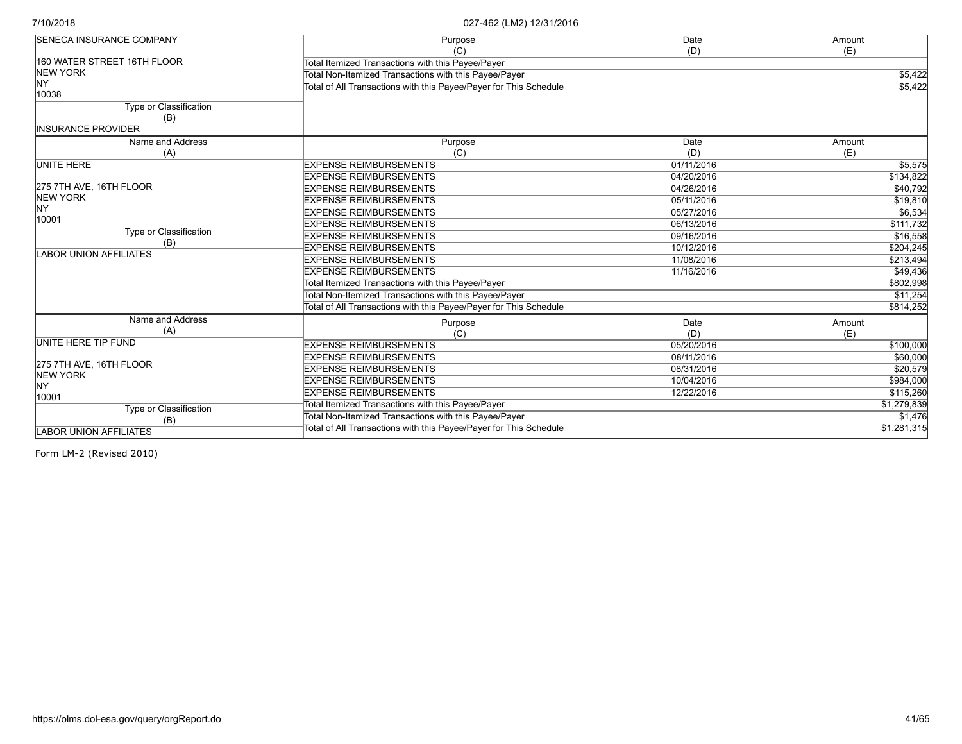| <b>SENECA INSURANCE COMPANY</b> | Purpose                                                           | Date        | Amount    |
|---------------------------------|-------------------------------------------------------------------|-------------|-----------|
|                                 | (C)                                                               | (D)         | (E)       |
| 160 WATER STREET 16TH FLOOR     | Total Itemized Transactions with this Payee/Payer                 |             |           |
| <b>NEW YORK</b>                 | Total Non-Itemized Transactions with this Payee/Payer             |             | \$5,422   |
| NY                              | Total of All Transactions with this Payee/Payer for This Schedule | \$5,422     |           |
| 10038                           |                                                                   |             |           |
| Type or Classification          |                                                                   |             |           |
| (B)                             |                                                                   |             |           |
| <b>IINSURANCE PROVIDER</b>      |                                                                   |             |           |
| Name and Address                | Purpose                                                           | Date        | Amount    |
| (A)                             | (C)                                                               | (D)         | (E)       |
| <b>UNITE HERE</b>               | <b>EXPENSE REIMBURSEMENTS</b>                                     | 01/11/2016  | \$5,575   |
|                                 | <b>EXPENSE REIMBURSEMENTS</b>                                     | 04/20/2016  | \$134,822 |
| 275 7TH AVE, 16TH FLOOR         | <b>EXPENSE REIMBURSEMENTS</b>                                     | 04/26/2016  | \$40,792  |
| <b>NEW YORK</b>                 | <b>EXPENSE REIMBURSEMENTS</b>                                     | 05/11/2016  | \$19,810  |
| NY                              | <b>EXPENSE REIMBURSEMENTS</b>                                     | 05/27/2016  | \$6,534   |
| 10001                           | <b>EXPENSE REIMBURSEMENTS</b>                                     | 06/13/2016  | \$111,732 |
| Type or Classification          | <b>EXPENSE REIMBURSEMENTS</b>                                     | 09/16/2016  | \$16,558  |
| (B)                             | <b>EXPENSE REIMBURSEMENTS</b>                                     | 10/12/2016  | \$204,245 |
| <b>LABOR UNION AFFILIATES</b>   | <b>EXPENSE REIMBURSEMENTS</b>                                     | 11/08/2016  | \$213,494 |
|                                 | <b>EXPENSE REIMBURSEMENTS</b>                                     | 11/16/2016  | \$49,436  |
|                                 | Total Itemized Transactions with this Payee/Payer                 |             | \$802,998 |
|                                 | Total Non-Itemized Transactions with this Payee/Payer             |             | \$11,254  |
|                                 | Total of All Transactions with this Payee/Payer for This Schedule |             | \$814,252 |
| Name and Address                | Purpose                                                           | Date        | Amount    |
| (A)                             | (C)                                                               | (D)         | (E)       |
| UNITE HERE TIP FUND             | <b>EXPENSE REIMBURSEMENTS</b>                                     | 05/20/2016  | \$100,000 |
|                                 | <b>EXPENSE REIMBURSEMENTS</b>                                     | 08/11/2016  | \$60,000  |
| 275 7TH AVE, 16TH FLOOR         | <b>EXPENSE REIMBURSEMENTS</b>                                     | 08/31/2016  | \$20,579  |
| <b>NEW YORK</b>                 | <b>EXPENSE REIMBURSEMENTS</b>                                     | 10/04/2016  | \$984,000 |
| <b>NY</b>                       | <b>EXPENSE REIMBURSEMENTS</b>                                     | 12/22/2016  | \$115,260 |
| 10001                           | Total Itemized Transactions with this Payee/Payer                 |             |           |
| <b>Type or Classification</b>   |                                                                   | \$1,279,839 |           |
| (B)                             | Total Non-Itemized Transactions with this Payee/Payer             | \$1,476     |           |
| <b>LABOR UNION AFFILIATES</b>   | Total of All Transactions with this Payee/Payer for This Schedule | \$1,281,315 |           |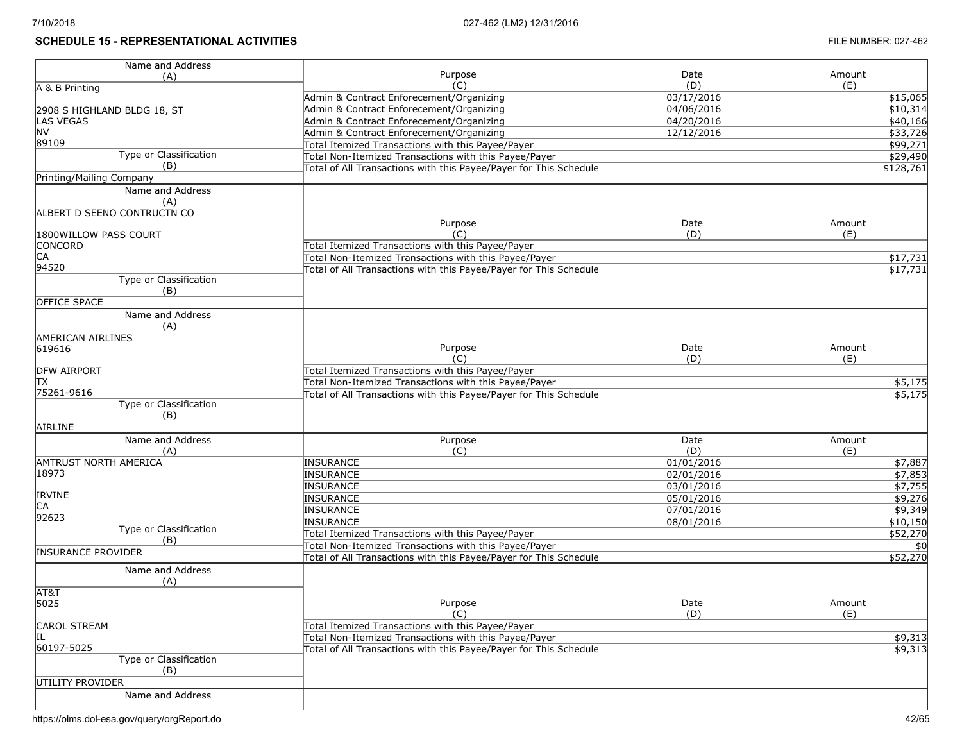# **SCHEDULE 15 - REPRESENTATIONAL ACTIVITIES FILE NUMBER: 027-462**

| Name and Address                |                                                                   |            |                |
|---------------------------------|-------------------------------------------------------------------|------------|----------------|
| (A)                             | Purpose                                                           | Date       | Amount         |
| A & B Printing                  | (C)                                                               | (D)        | (E)            |
|                                 | Admin & Contract Enforecement/Organizing                          | 03/17/2016 | \$15,065       |
| 2908 S HIGHLAND BLDG 18, ST     | Admin & Contract Enforecement/Organizing                          | 04/06/2016 | \$10,314       |
| <b>LAS VEGAS</b>                | Admin & Contract Enforecement/Organizing                          | 04/20/2016 | \$40,166       |
| <b>NV</b>                       | Admin & Contract Enforecement/Organizing                          | 12/12/2016 | \$33,726       |
| 89109                           | Total Itemized Transactions with this Payee/Payer                 |            | \$99,271       |
| Type or Classification          | Total Non-Itemized Transactions with this Payee/Payer             |            | \$29,490       |
| (B)                             | Total of All Transactions with this Payee/Payer for This Schedule |            | \$128,761      |
| <b>Printing/Mailing Company</b> |                                                                   |            |                |
| Name and Address                |                                                                   |            |                |
| (A)                             |                                                                   |            |                |
| ALBERT D SEENO CONTRUCTN CO     |                                                                   |            |                |
|                                 | Purpose                                                           | Date       | Amount         |
| 1800WILLOW PASS COURT           | (C)                                                               | (D)        | (E)            |
| CONCORD                         | Total Itemized Transactions with this Payee/Payer                 |            |                |
| CA                              | Total Non-Itemized Transactions with this Payee/Payer             |            | \$17,731       |
| 94520                           |                                                                   |            |                |
|                                 | Total of All Transactions with this Payee/Payer for This Schedule |            | \$17,731       |
| Type or Classification          |                                                                   |            |                |
| (B)                             |                                                                   |            |                |
| <b>OFFICE SPACE</b>             |                                                                   |            |                |
| Name and Address                |                                                                   |            |                |
| (A)                             |                                                                   |            |                |
| <b>AMERICAN AIRLINES</b>        |                                                                   |            |                |
| 619616                          | Purpose                                                           | Date       | Amount         |
|                                 | (C)                                                               | (D)        | (E)            |
| <b>DFW AIRPORT</b>              | Total Itemized Transactions with this Payee/Payer                 |            |                |
| TХ                              | Total Non-Itemized Transactions with this Payee/Payer             |            | \$5,175        |
| 75261-9616                      | Total of All Transactions with this Payee/Payer for This Schedule |            | \$5,175        |
| Type or Classification          |                                                                   |            |                |
| (B)                             |                                                                   |            |                |
| AIRLINE                         |                                                                   |            |                |
| Name and Address                | Purpose                                                           | Date       | Amount         |
| (A)                             | (C)                                                               | (D)        | (E)            |
| <b>AMTRUST NORTH AMERICA</b>    | <b>INSURANCE</b>                                                  | 01/01/2016 | \$7,887        |
| 18973                           | <b>INSURANCE</b>                                                  | 02/01/2016 | \$7,853        |
|                                 | <b>INSURANCE</b>                                                  | 03/01/2016 | \$7,755        |
| <b>IRVINE</b>                   |                                                                   |            |                |
| IСA                             | <b>INSURANCE</b>                                                  | 05/01/2016 | $\sqrt{9,276}$ |
| 92623                           | <b>INSURANCE</b>                                                  | 07/01/2016 | \$9,349        |
| Type or Classification          | <b>INSURANCE</b>                                                  | 08/01/2016 | \$10,150       |
| (B)                             | Total Itemized Transactions with this Payee/Payer                 |            | \$52,270       |
| <b>INSURANCE PROVIDER</b>       | Total Non-Itemized Transactions with this Payee/Payer             |            | \$0            |
|                                 | Total of All Transactions with this Payee/Payer for This Schedule |            | \$52,270       |
| Name and Address                |                                                                   |            |                |
| (A)                             |                                                                   |            |                |
| AT&T                            |                                                                   |            |                |
| 5025                            | Purpose                                                           | Date       | Amount         |
|                                 | (C)                                                               | (D)        | (E)            |
| <b>CAROL STREAM</b>             | Total Itemized Transactions with this Payee/Payer                 |            |                |
|                                 | Total Non-Itemized Transactions with this Payee/Payer             |            | \$9,313        |
| 60197-5025                      |                                                                   |            |                |
| Type or Classification          | Total of All Transactions with this Payee/Payer for This Schedule |            | \$9,313        |
|                                 |                                                                   |            |                |
| (B)                             |                                                                   |            |                |
| UTILITY PROVIDER                |                                                                   |            |                |
| Name and Address                |                                                                   |            |                |
|                                 |                                                                   |            |                |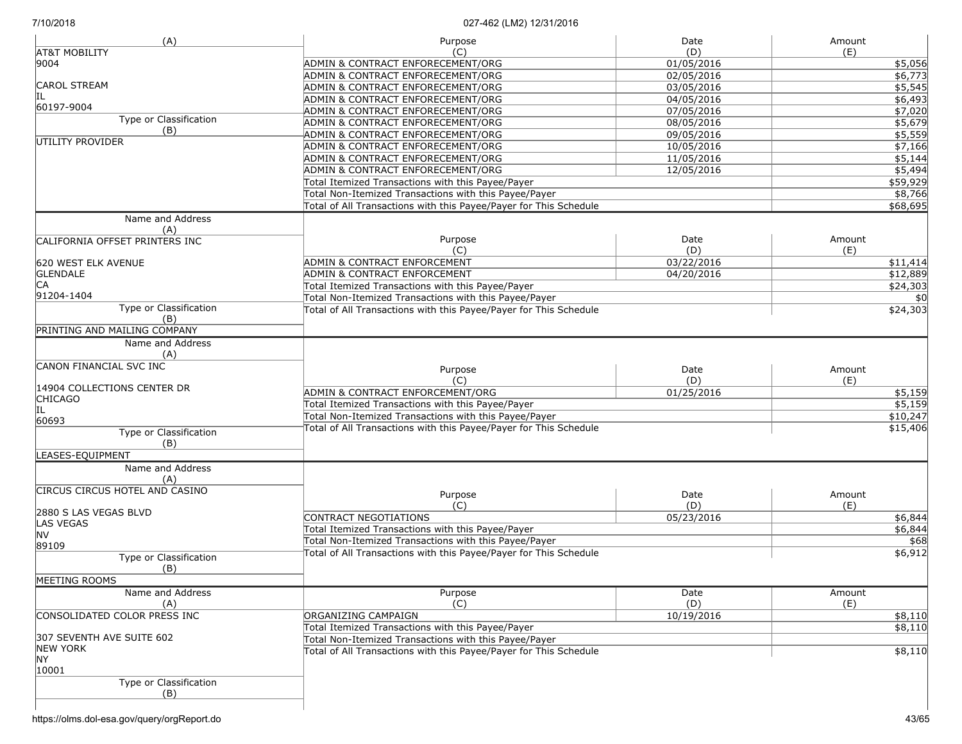| (A)                                   | Purpose                                                           | Date       | Amount   |
|---------------------------------------|-------------------------------------------------------------------|------------|----------|
| <b>AT&amp;T MOBILITY</b>              | (C)                                                               | (D)        | (E)      |
| 9004                                  | ADMIN & CONTRACT ENFORECEMENT/ORG                                 | 01/05/2016 | \$5,056  |
|                                       | ADMIN & CONTRACT ENFORECEMENT/ORG                                 | 02/05/2016 | \$6,773  |
| <b>CAROL STREAM</b>                   | ADMIN & CONTRACT ENFORECEMENT/ORG                                 | 03/05/2016 | \$5,545  |
| IL                                    | ADMIN & CONTRACT ENFORECEMENT/ORG                                 | 04/05/2016 | \$6,493  |
| 60197-9004                            | ADMIN & CONTRACT ENFORECEMENT/ORG                                 | 07/05/2016 | \$7,020  |
| Type or Classification                | ADMIN & CONTRACT ENFORECEMENT/ORG                                 | 08/05/2016 | \$5,679  |
| (B)                                   | ADMIN & CONTRACT ENFORECEMENT/ORG                                 | 09/05/2016 | \$5,559  |
| UTILITY PROVIDER                      | ADMIN & CONTRACT ENFORECEMENT/ORG                                 | 10/05/2016 | \$7,166  |
|                                       | ADMIN & CONTRACT ENFORECEMENT/ORG                                 | 11/05/2016 | \$5,144  |
|                                       | ADMIN & CONTRACT ENFORECEMENT/ORG                                 | 12/05/2016 | \$5,494  |
|                                       | Total Itemized Transactions with this Payee/Payer                 |            | \$59,929 |
|                                       | Total Non-Itemized Transactions with this Payee/Payer             |            |          |
|                                       |                                                                   |            | \$8,766  |
|                                       | Total of All Transactions with this Payee/Payer for This Schedule |            | \$68,695 |
| Name and Address<br>(A)               |                                                                   |            |          |
| CALIFORNIA OFFSET PRINTERS INC        | Purpose                                                           | Date       | Amount   |
|                                       | (C)                                                               | (D)        | (E)      |
| 620 WEST ELK AVENUE                   | ADMIN & CONTRACT ENFORCEMENT                                      | 03/22/2016 | \$11,414 |
| <b>GLENDALE</b>                       | <b>ADMIN &amp; CONTRACT ENFORCEMENT</b>                           | 04/20/2016 | \$12,889 |
| <b>CA</b>                             | Total Itemized Transactions with this Payee/Payer                 |            | \$24,303 |
| 91204-1404                            | Total Non-Itemized Transactions with this Payee/Payer             |            | \$0      |
| Type or Classification                | Total of All Transactions with this Payee/Payer for This Schedule |            | \$24,303 |
| (B)                                   |                                                                   |            |          |
| PRINTING AND MAILING COMPANY          |                                                                   |            |          |
| Name and Address                      |                                                                   |            |          |
| (A)                                   |                                                                   |            |          |
| CANON FINANCIAL SVC INC               | Purpose                                                           | Date       | Amount   |
|                                       | (C)                                                               | (D)        | (E)      |
| 14904 COLLECTIONS CENTER DR           | ADMIN & CONTRACT ENFORCEMENT/ORG                                  | 01/25/2016 |          |
| <b>CHICAGO</b>                        |                                                                   |            | \$5,159  |
| IL                                    | Total Itemized Transactions with this Payee/Payer                 |            | \$5,159  |
| 60693                                 | Total Non-Itemized Transactions with this Payee/Payer             |            | \$10,247 |
| Type or Classification                | Total of All Transactions with this Payee/Payer for This Schedule |            | \$15,406 |
| (B)                                   |                                                                   |            |          |
| LEASES-EQUIPMENT                      |                                                                   |            |          |
| Name and Address                      |                                                                   |            |          |
| (A)                                   |                                                                   |            |          |
| <b>CIRCUS CIRCUS HOTEL AND CASINO</b> | Purpose                                                           | Date       | Amount   |
|                                       | (C)                                                               | (D)        | (E)      |
| 2880 S LAS VEGAS BLVD                 | <b>CONTRACT NEGOTIATIONS</b>                                      | 05/23/2016 | \$6,844  |
| <b>LAS VEGAS</b>                      | Total Itemized Transactions with this Payee/Payer                 |            |          |
| <b>NV</b>                             |                                                                   |            | \$6,844  |
| 89109                                 | Total Non-Itemized Transactions with this Payee/Payer             |            | \$68     |
| Type or Classification                | Total of All Transactions with this Payee/Payer for This Schedule |            | \$6,912  |
| (B)                                   |                                                                   |            |          |
| MEETING ROOMS                         |                                                                   |            |          |
| Name and Address                      | Purpose                                                           | Date       | Amount   |
| (A)                                   | (C)                                                               | (D)        | (E)      |
| CONSOLIDATED COLOR PRESS INC          | ORGANIZING CAMPAIGN                                               | 10/19/2016 | \$8,110  |
|                                       | Total Itemized Transactions with this Payee/Payer                 |            | \$8,110  |
| 307 SEVENTH AVE SUITE 602             | Total Non-Itemized Transactions with this Payee/Payer             |            |          |
| <b>NEW YORK</b>                       | Total of All Transactions with this Payee/Payer for This Schedule |            | \$8,110  |
| <b>NY</b>                             |                                                                   |            |          |
| 10001                                 |                                                                   |            |          |
| Type or Classification<br>(B)         |                                                                   |            |          |
|                                       |                                                                   |            |          |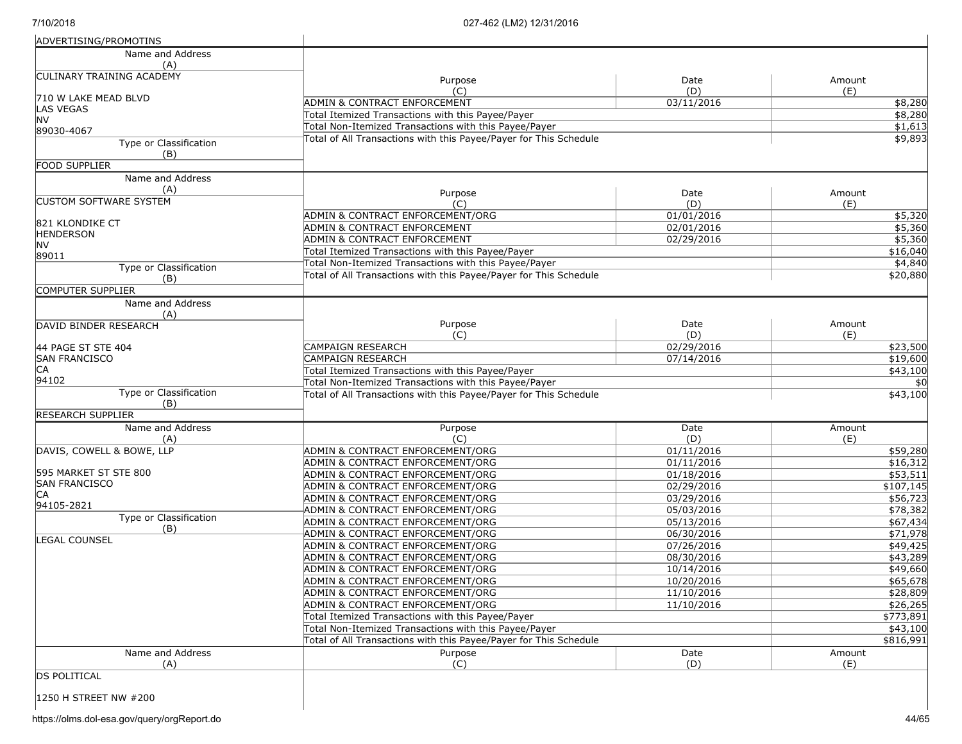| ADVERTISING/PROMOTINS                    |                                                                      |                          |                       |
|------------------------------------------|----------------------------------------------------------------------|--------------------------|-----------------------|
| Name and Address                         |                                                                      |                          |                       |
| (A)                                      |                                                                      |                          |                       |
| <b>CULINARY TRAINING ACADEMY</b>         | Purpose                                                              | Date                     | Amount                |
|                                          | (C)                                                                  | (D)                      | (E)                   |
| 710 W LAKE MEAD BLVD<br><b>LAS VEGAS</b> | ADMIN & CONTRACT ENFORCEMENT                                         | 03/11/2016               | \$8,280               |
| NV                                       | Total Itemized Transactions with this Payee/Payer                    |                          | \$8,280               |
| 89030-4067                               | Total Non-Itemized Transactions with this Payee/Payer                |                          | \$1,613               |
| <b>Type or Classification</b>            | Total of All Transactions with this Payee/Payer for This Schedule    |                          | \$9,893               |
| (B)                                      |                                                                      |                          |                       |
| <b>FOOD SUPPLIER</b>                     |                                                                      |                          |                       |
| Name and Address                         |                                                                      |                          |                       |
| (A)                                      | Purpose                                                              | Date                     | Amount                |
| <b>CUSTOM SOFTWARE SYSTEM</b>            | (C)                                                                  | (D)                      | (E)                   |
|                                          | ADMIN & CONTRACT ENFORCEMENT/ORG                                     | 01/01/2016               | \$5,320               |
| 821 KLONDIKE CT                          | ADMIN & CONTRACT ENFORCEMENT                                         | 02/01/2016               | \$5,360               |
| <b>HENDERSON</b>                         | ADMIN & CONTRACT ENFORCEMENT                                         | 02/29/2016               | \$5,360               |
| NV<br>89011                              | Total Itemized Transactions with this Payee/Payer                    |                          | \$16,040              |
|                                          | Total Non-Itemized Transactions with this Payee/Payer                |                          | \$4,840               |
| Type or Classification<br>(B)            | Total of All Transactions with this Payee/Payer for This Schedule    |                          | \$20,880              |
| COMPUTER SUPPLIER                        |                                                                      |                          |                       |
| Name and Address                         |                                                                      |                          |                       |
| (A)                                      |                                                                      |                          |                       |
| DAVID BINDER RESEARCH                    | Purpose                                                              | Date                     | Amount                |
|                                          | (C)                                                                  | (D)                      | (E)                   |
| 44 PAGE ST STE 404                       | CAMPAIGN RESEARCH                                                    | 02/29/2016               | \$23,500              |
| <b>SAN FRANCISCO</b>                     | CAMPAIGN RESEARCH                                                    | 07/14/2016               | \$19,600              |
| CA                                       | Total Itemized Transactions with this Payee/Payer                    |                          | \$43,100              |
| 94102                                    | Total Non-Itemized Transactions with this Payee/Payer                |                          | \$0                   |
| Type or Classification                   | Total of All Transactions with this Payee/Payer for This Schedule    |                          | \$43,100              |
| (B)                                      |                                                                      |                          |                       |
| <b>RESEARCH SUPPLIER</b>                 |                                                                      |                          |                       |
| Name and Address                         | Purpose                                                              | Date                     | Amount                |
| (A)                                      | (C)                                                                  | (D)                      | (E)                   |
| DAVIS, COWELL & BOWE, LLP                | ADMIN & CONTRACT ENFORCEMENT/ORG                                     | 01/11/2016               | \$59,280              |
| 595 MARKET ST STE 800                    | ADMIN & CONTRACT ENFORCEMENT/ORG                                     | 01/11/2016               | \$16,312              |
| <b>SAN FRANCISCO</b>                     | ADMIN & CONTRACT ENFORCEMENT/ORG<br>ADMIN & CONTRACT ENFORCEMENT/ORG | 01/18/2016<br>02/29/2016 | \$53,511<br>\$107,145 |
| СA                                       | ADMIN & CONTRACT ENFORCEMENT/ORG                                     | 03/29/2016               | \$56,723              |
| 94105-2821                               | ADMIN & CONTRACT ENFORCEMENT/ORG                                     | 05/03/2016               | \$78,382              |
| Type or Classification                   | ADMIN & CONTRACT ENFORCEMENT/ORG                                     | 05/13/2016               | \$67,434              |
| (B)                                      | ADMIN & CONTRACT ENFORCEMENT/ORG                                     | 06/30/2016               | \$71,978              |
| LEGAL COUNSEL                            | ADMIN & CONTRACT ENFORCEMENT/ORG                                     | 07/26/2016               | \$49,425              |
|                                          | ADMIN & CONTRACT ENFORCEMENT/ORG                                     | 08/30/2016               | \$43,289              |
|                                          | ADMIN & CONTRACT ENFORCEMENT/ORG                                     | 10/14/2016               | \$49,660              |
|                                          | ADMIN & CONTRACT ENFORCEMENT/ORG                                     | 10/20/2016               | \$65,678              |
|                                          | ADMIN & CONTRACT ENFORCEMENT/ORG                                     | 11/10/2016               | \$28,809              |
|                                          | ADMIN & CONTRACT ENFORCEMENT/ORG                                     | 11/10/2016               | \$26,265              |
|                                          | Total Itemized Transactions with this Payee/Payer                    |                          | \$773,891             |
|                                          | Total Non-Itemized Transactions with this Payee/Payer                |                          | \$43,100              |
|                                          | Total of All Transactions with this Payee/Payer for This Schedule    |                          | \$816,991             |
| Name and Address                         | Purpose                                                              | Date                     | Amount                |
| (A)                                      | (C)                                                                  | (D)                      | (E)                   |
| <b>DS POLITICAL</b>                      |                                                                      |                          |                       |
|                                          |                                                                      |                          |                       |

1250 H STREET NW #200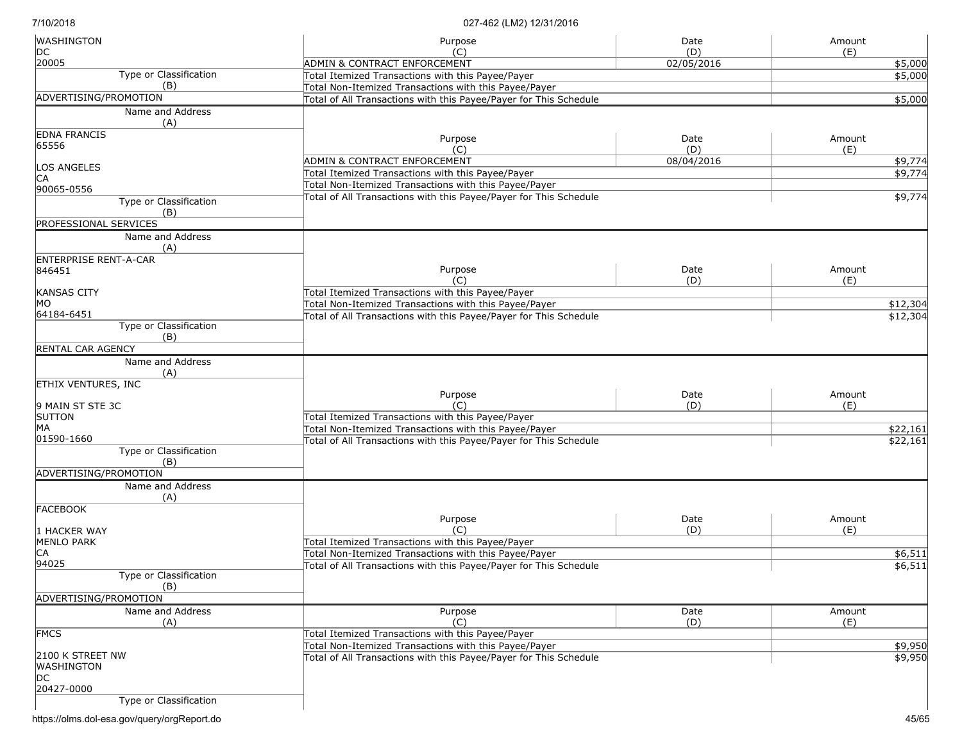| <b>WASHINGTON</b>                    | Purpose                                                           | Date              | Amount             |
|--------------------------------------|-------------------------------------------------------------------|-------------------|--------------------|
| DC<br>20005                          | (C)<br><b>ADMIN &amp; CONTRACT ENFORCEMENT</b>                    | (D)<br>02/05/2016 | (E)                |
| <b>Type or Classification</b>        | Total Itemized Transactions with this Payee/Payer                 |                   | \$5,000<br>\$5,000 |
| (B)                                  | Total Non-Itemized Transactions with this Payee/Payer             |                   |                    |
| ADVERTISING/PROMOTION                | Total of All Transactions with this Payee/Payer for This Schedule |                   | \$5,000            |
| Name and Address                     |                                                                   |                   |                    |
| (A)                                  |                                                                   |                   |                    |
| <b>EDNA FRANCIS</b>                  | Purpose                                                           | Date              | Amount             |
| 65556                                | (C)                                                               | (D)               | (E)                |
| LOS ANGELES                          | ADMIN & CONTRACT ENFORCEMENT                                      | 08/04/2016        | \$9,774            |
| IСA                                  | Total Itemized Transactions with this Payee/Payer                 |                   | \$9,774            |
| 90065-0556                           | Total Non-Itemized Transactions with this Payee/Payer             |                   |                    |
| Type or Classification               | Total of All Transactions with this Payee/Payer for This Schedule |                   | \$9,774            |
| (B)                                  |                                                                   |                   |                    |
| PROFESSIONAL SERVICES                |                                                                   |                   |                    |
| Name and Address                     |                                                                   |                   |                    |
| (A)<br><b>ENTERPRISE RENT-A-CAR</b>  |                                                                   |                   |                    |
| 846451                               | Purpose                                                           | Date              | Amount             |
|                                      | (C)                                                               | (D)               | (E)                |
| <b>KANSAS CITY</b>                   | Total Itemized Transactions with this Payee/Payer                 |                   |                    |
| MO                                   | Total Non-Itemized Transactions with this Payee/Payer             |                   | \$12,304           |
| 64184-6451                           | Total of All Transactions with this Payee/Payer for This Schedule |                   | \$12,304           |
| <b>Type or Classification</b><br>(B) |                                                                   |                   |                    |
| RENTAL CAR AGENCY                    |                                                                   |                   |                    |
| Name and Address                     |                                                                   |                   |                    |
| (A)                                  |                                                                   |                   |                    |
| <b>ETHIX VENTURES, INC</b>           |                                                                   |                   |                    |
|                                      | Purpose                                                           | Date              | Amount             |
| 9 MAIN ST STE 3C<br><b>SUTTON</b>    | $(\cap)$<br>Total Itemized Transactions with this Payee/Payer     | (D)               | (E)                |
| МA                                   | Total Non-Itemized Transactions with this Payee/Payer             |                   | \$22,161           |
| 01590-1660                           | Total of All Transactions with this Payee/Payer for This Schedule |                   | \$22,161           |
| Type or Classification               |                                                                   |                   |                    |
| (B)                                  |                                                                   |                   |                    |
| ADVERTISING/PROMOTION                |                                                                   |                   |                    |
| Name and Address                     |                                                                   |                   |                    |
| (A)<br><b>FACEBOOK</b>               |                                                                   |                   |                    |
|                                      | Purpose                                                           | Date              | Amount             |
| 1 HACKER WAY                         | (C)                                                               | (D)               | (E)                |
| <b>MENLO PARK</b>                    | Total Itemized Transactions with this Payee/Payer                 |                   |                    |
| СA                                   | Total Non-Itemized Transactions with this Payee/Payer             |                   | \$6,511            |
| 94025                                | Total of All Transactions with this Payee/Payer for This Schedule |                   | \$6,511            |
| Type or Classification<br>(B)        |                                                                   |                   |                    |
| ADVERTISING/PROMOTION                |                                                                   |                   |                    |
| Name and Address                     | Purpose                                                           | Date              | Amount             |
| (A)                                  | (C)                                                               | (D)               | (E)                |
| <b>FMCS</b>                          | Total Itemized Transactions with this Payee/Payer                 |                   |                    |
|                                      | Total Non-Itemized Transactions with this Payee/Payer             |                   | \$9,950            |
| 2100 K STREET NW                     | Total of All Transactions with this Payee/Payer for This Schedule |                   | \$9,950            |
| <b>WASHINGTON</b><br>DC              |                                                                   |                   |                    |
| 20427-0000                           |                                                                   |                   |                    |
| Type or Classification               |                                                                   |                   |                    |
|                                      |                                                                   |                   |                    |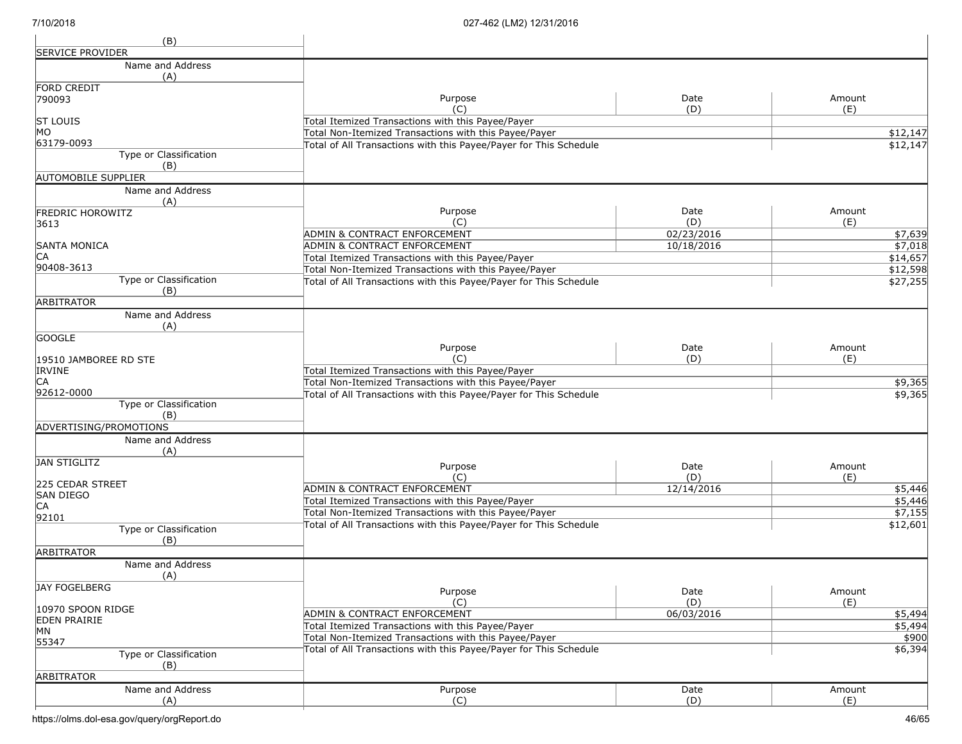| (B)                                      |                                                                   |             |               |
|------------------------------------------|-------------------------------------------------------------------|-------------|---------------|
| <b>SERVICE PROVIDER</b>                  |                                                                   |             |               |
| Name and Address                         |                                                                   |             |               |
| (A)                                      |                                                                   |             |               |
| FORD CREDIT                              |                                                                   |             |               |
| 790093                                   | Purpose<br>(C)                                                    | Date<br>(D) | Amount<br>(E) |
| <b>ST LOUIS</b>                          | Total Itemized Transactions with this Payee/Payer                 |             |               |
| MO                                       | Total Non-Itemized Transactions with this Payee/Payer             |             | \$12,147      |
| 63179-0093                               | Total of All Transactions with this Payee/Payer for This Schedule |             | \$12,147      |
| Type or Classification                   |                                                                   |             |               |
| (B)                                      |                                                                   |             |               |
| <b>AUTOMOBILE SUPPLIER</b>               |                                                                   |             |               |
| Name and Address                         |                                                                   |             |               |
| (A)                                      | Purpose                                                           | Date        | Amount        |
| <b>FREDRIC HOROWITZ</b><br>3613          | (C)                                                               | (D)         | (E)           |
|                                          | ADMIN & CONTRACT ENFORCEMENT                                      | 02/23/2016  | \$7,639       |
| <b>SANTA MONICA</b>                      | ADMIN & CONTRACT ENFORCEMENT                                      | 10/18/2016  | \$7,018       |
| IСA                                      | Total Itemized Transactions with this Payee/Payer                 |             | \$14,657      |
| 90408-3613                               | Total Non-Itemized Transactions with this Payee/Payer             |             | \$12,598      |
| <b>Type or Classification</b>            | Total of All Transactions with this Payee/Payer for This Schedule |             | \$27,255      |
| (B)                                      |                                                                   |             |               |
| ARBITRATOR                               |                                                                   |             |               |
| Name and Address<br>(A)                  |                                                                   |             |               |
| <b>GOOGLE</b>                            |                                                                   |             |               |
|                                          | Purpose                                                           | Date        | Amount        |
| 19510 JAMBOREE RD STE                    | (C)                                                               | (D)         | (E)           |
| <b>IRVINE</b>                            | Total Itemized Transactions with this Payee/Payer                 |             |               |
| CA                                       | Total Non-Itemized Transactions with this Payee/Payer             |             | \$9,365       |
| 92612-0000                               | Total of All Transactions with this Payee/Payer for This Schedule |             | \$9,365       |
| Type or Classification<br>(B)            |                                                                   |             |               |
| ADVERTISING/PROMOTIONS                   |                                                                   |             |               |
| Name and Address                         |                                                                   |             |               |
| (A)                                      |                                                                   |             |               |
| JAN STIGLITZ                             | Purpose                                                           | Date        | Amount        |
|                                          | (C)                                                               | (D)         | (E)           |
| 225 CEDAR STREET                         | ADMIN & CONTRACT ENFORCEMENT                                      | 12/14/2016  | \$5,446       |
| <b>SAN DIEGO</b>                         | Total Itemized Transactions with this Payee/Payer                 |             | \$5,446       |
| CA<br>92101                              | Total Non-Itemized Transactions with this Payee/Payer             |             | \$7,155       |
| Type or Classification                   | Total of All Transactions with this Payee/Payer for This Schedule |             | \$12,601      |
| (B)                                      |                                                                   |             |               |
| <b>ARBITRATOR</b>                        |                                                                   |             |               |
| Name and Address                         |                                                                   |             |               |
| (A)                                      |                                                                   |             |               |
| JAY FOGELBERG                            | Purpose                                                           | Date        | Amount        |
|                                          | (C)                                                               | (D)         | (E)           |
| 10970 SPOON RIDGE<br><b>EDEN PRAIRIE</b> | <b>ADMIN &amp; CONTRACT ENFORCEMENT</b>                           | 06/03/2016  | \$5,494       |
| MN                                       | Total Itemized Transactions with this Payee/Payer                 |             | \$5,494       |
| 55347                                    | Total Non-Itemized Transactions with this Payee/Payer             |             | \$900         |
| <b>Type or Classification</b>            | Total of All Transactions with this Payee/Payer for This Schedule |             | \$6,394       |
| (B)                                      |                                                                   |             |               |
| <b>ARBITRATOR</b>                        |                                                                   |             |               |
| Name and Address                         | Purpose                                                           | Date        | Amount        |
| (A)                                      | (C)                                                               | (D)         | (E)           |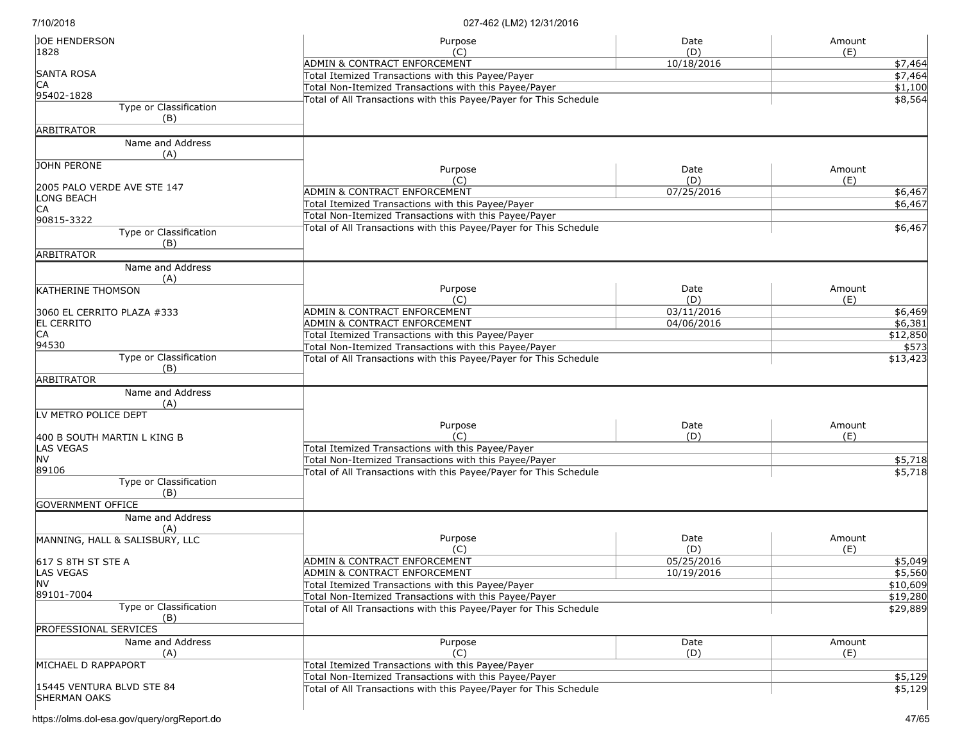| <b>JOE HENDERSON</b><br>1828                     | Purpose<br>(C)                                                    | Date<br>(D) | Amount<br>(E) |
|--------------------------------------------------|-------------------------------------------------------------------|-------------|---------------|
|                                                  | ADMIN & CONTRACT ENFORCEMENT                                      | 10/18/2016  | \$7,464       |
| <b>SANTA ROSA</b>                                | Total Itemized Transactions with this Payee/Payer                 |             | \$7,464       |
| IСA                                              | Total Non-Itemized Transactions with this Payee/Payer             |             | \$1,100       |
| 95402-1828                                       | Total of All Transactions with this Payee/Payer for This Schedule |             | \$8,564       |
| Type or Classification<br>(B)                    |                                                                   |             |               |
| <b>ARBITRATOR</b>                                |                                                                   |             |               |
| Name and Address<br>(A)                          |                                                                   |             |               |
| JOHN PERONE                                      | Purpose<br>(C)                                                    | Date<br>(D) | Amount<br>(E) |
| 2005 PALO VERDE AVE STE 147                      | ADMIN & CONTRACT ENFORCEMENT                                      | 07/25/2016  | \$6,467       |
| LONG BEACH                                       | Total Itemized Transactions with this Payee/Payer                 |             | \$6,467       |
| <b>CA</b>                                        | Total Non-Itemized Transactions with this Payee/Payer             |             |               |
| 90815-3322<br>Type or Classification<br>(B)      | Total of All Transactions with this Payee/Payer for This Schedule |             | \$6,467       |
| <b>ARBITRATOR</b>                                |                                                                   |             |               |
| Name and Address<br>(A)                          |                                                                   |             |               |
| <b>KATHERINE THOMSON</b>                         | Purpose<br>(C)                                                    | Date<br>(D) | Amount<br>(E) |
| 3060 EL CERRITO PLAZA #333                       | ADMIN & CONTRACT ENFORCEMENT                                      | 03/11/2016  | \$6,469       |
| <b>EL CERRITO</b>                                | ADMIN & CONTRACT ENFORCEMENT                                      | 04/06/2016  | \$6,381       |
| CA                                               | Total Itemized Transactions with this Payee/Payer                 |             | \$12,850      |
| 94530                                            | Total Non-Itemized Transactions with this Payee/Payer             |             | \$573         |
| Type or Classification<br>(B)                    | Total of All Transactions with this Payee/Payer for This Schedule |             | \$13,423      |
| <b>ARBITRATOR</b>                                |                                                                   |             |               |
| Name and Address<br>(A)                          |                                                                   |             |               |
| LV METRO POLICE DEPT                             |                                                                   |             |               |
|                                                  | Purpose                                                           | Date        | Amount        |
| 400 B SOUTH MARTIN L KING B                      | (C)                                                               | (D)         | (E)           |
| LAS VEGAS                                        | Total Itemized Transactions with this Payee/Payer                 |             |               |
| <b>NV</b><br>89106                               | Total Non-Itemized Transactions with this Payee/Payer             |             | \$5,718       |
| Type or Classification<br>(B)                    | Total of All Transactions with this Payee/Payer for This Schedule |             | \$5,718       |
| <b>GOVERNMENT OFFICE</b>                         |                                                                   |             |               |
| Name and Address                                 |                                                                   |             |               |
| (A)                                              |                                                                   |             |               |
| MANNING, HALL & SALISBURY, LLC                   | Purpose                                                           | Date        | Amount        |
|                                                  | (C)                                                               | (D)         | (E)           |
| 617 S 8TH ST STE A                               | <b>ADMIN &amp; CONTRACT ENFORCEMENT</b>                           | 05/25/2016  | \$5,049       |
| LAS VEGAS                                        | ADMIN & CONTRACT ENFORCEMENT                                      | 10/19/2016  | \$5,560       |
| <b>NV</b>                                        | Total Itemized Transactions with this Payee/Payer                 |             | \$10,609      |
| 89101-7004                                       | Total Non-Itemized Transactions with this Payee/Payer             |             | \$19,280      |
| Type or Classification<br>(B)                    | Total of All Transactions with this Payee/Payer for This Schedule |             | \$29,889      |
| <b>PROFESSIONAL SERVICES</b>                     |                                                                   |             |               |
| Name and Address<br>(A)                          | Purpose<br>(C)                                                    | Date<br>(D) | Amount<br>(E) |
| MICHAEL D RAPPAPORT                              | Total Itemized Transactions with this Payee/Payer                 |             |               |
|                                                  | Total Non-Itemized Transactions with this Payee/Payer             |             | \$5,129       |
| 15445 VENTURA BLVD STE 84<br><b>SHERMAN OAKS</b> | Total of All Transactions with this Payee/Payer for This Schedule |             | \$5,129       |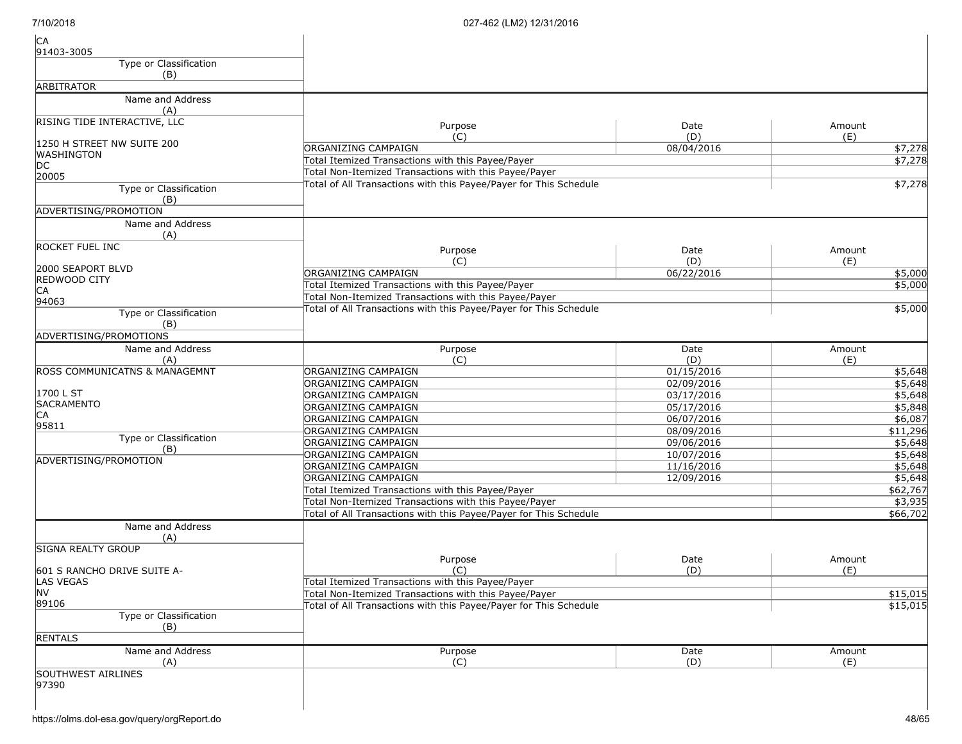| CA<br>91403-3005                         |                                                                                                                            |             |               |
|------------------------------------------|----------------------------------------------------------------------------------------------------------------------------|-------------|---------------|
| Type or Classification<br>(B)            |                                                                                                                            |             |               |
| <b>ARBITRATOR</b>                        |                                                                                                                            |             |               |
| Name and Address<br>(A)                  |                                                                                                                            |             |               |
| RISING TIDE INTERACTIVE, LLC             | Purpose<br>(C)                                                                                                             | Date<br>(D) | Amount<br>(E) |
| 1250 H STREET NW SUITE 200               | ORGANIZING CAMPAIGN                                                                                                        | 08/04/2016  | \$7,278       |
| <b>WASHINGTON</b>                        | Total Itemized Transactions with this Payee/Payer                                                                          |             | \$7,278       |
| DC                                       | Total Non-Itemized Transactions with this Payee/Payer                                                                      |             |               |
| 20005                                    | Total of All Transactions with this Payee/Payer for This Schedule                                                          |             | \$7,278       |
| Type or Classification<br>(B)            |                                                                                                                            |             |               |
| ADVERTISING/PROMOTION                    |                                                                                                                            |             |               |
| Name and Address<br>(A)                  |                                                                                                                            |             |               |
| <b>ROCKET FUEL INC</b>                   | Purpose                                                                                                                    | Date        | Amount        |
|                                          | (C)                                                                                                                        | (D)         | (E)           |
| 2000 SEAPORT BLVD<br><b>REDWOOD CITY</b> | <b>ORGANIZING CAMPAIGN</b>                                                                                                 | 06/22/2016  | \$5,000       |
| CA                                       | Total Itemized Transactions with this Payee/Payer                                                                          |             | \$5,000       |
| 94063                                    | Total Non-Itemized Transactions with this Payee/Payer                                                                      |             |               |
| Type or Classification<br>(B)            | Total of All Transactions with this Payee/Payer for This Schedule                                                          |             | \$5,000       |
| ADVERTISING/PROMOTIONS                   |                                                                                                                            |             |               |
| Name and Address                         | Purpose                                                                                                                    | Date        | Amount        |
| (A)                                      | (C)                                                                                                                        | (D)         | (E)           |
| <b>ROSS COMMUNICATNS &amp; MANAGEMNT</b> | ORGANIZING CAMPAIGN                                                                                                        | 01/15/2016  | \$5,648       |
|                                          | ORGANIZING CAMPAIGN                                                                                                        | 02/09/2016  | \$5,648       |
| 1700 L ST                                | ORGANIZING CAMPAIGN                                                                                                        | 03/17/2016  | \$5,648       |
| <b>SACRAMENTO</b>                        | ORGANIZING CAMPAIGN                                                                                                        | 05/17/2016  | \$5,848       |
| CA                                       | ORGANIZING CAMPAIGN                                                                                                        | 06/07/2016  | \$6,087       |
| 95811                                    | ORGANIZING CAMPAIGN                                                                                                        | 08/09/2016  | \$11,296      |
| Type or Classification<br>(B)            | ORGANIZING CAMPAIGN                                                                                                        | 09/06/2016  | \$5,648       |
| ADVERTISING/PROMOTION                    | ORGANIZING CAMPAIGN                                                                                                        | 10/07/2016  | \$5,648       |
|                                          | ORGANIZING CAMPAIGN                                                                                                        | 11/16/2016  | \$5,648       |
|                                          | ORGANIZING CAMPAIGN                                                                                                        | 12/09/2016  | \$5,648       |
|                                          | Total Itemized Transactions with this Payee/Payer                                                                          |             | \$62,767      |
|                                          | Total Non-Itemized Transactions with this Payee/Payer                                                                      |             | \$3,935       |
|                                          | Total of All Transactions with this Payee/Payer for This Schedule                                                          |             | \$66,702      |
| Name and Address<br>(A)                  |                                                                                                                            |             |               |
| <b>SIGNA REALTY GROUP</b>                |                                                                                                                            |             |               |
|                                          | Purpose                                                                                                                    | Date        | Amount        |
| 601 S RANCHO DRIVE SUITE A-              | (C)                                                                                                                        | (D)         | (E)           |
| <b>LAS VEGAS</b><br>NV                   | Total Itemized Transactions with this Payee/Payer                                                                          |             | \$15,015      |
| 89106                                    | Total Non-Itemized Transactions with this Payee/Payer<br>Total of All Transactions with this Payee/Payer for This Schedule |             |               |
| <b>Type or Classification</b><br>(B)     |                                                                                                                            |             | \$15,015      |
| <b>RENTALS</b>                           |                                                                                                                            |             |               |
| Name and Address                         | Purpose                                                                                                                    | Date        | Amount        |
| (A)                                      | (C)                                                                                                                        | (D)         | (E)           |
| <b>SOUTHWEST AIRLINES</b>                |                                                                                                                            |             |               |
| 97390                                    |                                                                                                                            |             |               |
|                                          |                                                                                                                            |             |               |
|                                          |                                                                                                                            |             |               |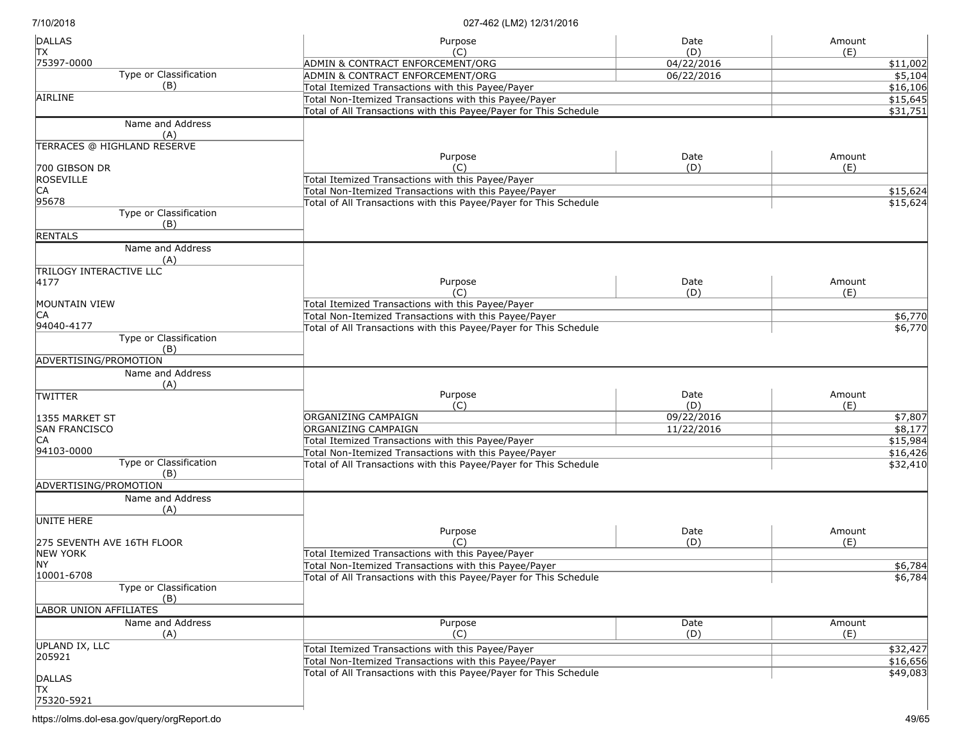| <b>DALLAS</b>                                 | Purpose                                                           | Date              | Amount          |
|-----------------------------------------------|-------------------------------------------------------------------|-------------------|-----------------|
| ТX<br>75397-0000                              | (C)<br>ADMIN & CONTRACT ENFORCEMENT/ORG                           | (D)<br>04/22/2016 | (E)<br>\$11,002 |
| Type or Classification                        | ADMIN & CONTRACT ENFORCEMENT/ORG                                  | 06/22/2016        | \$5,104         |
| (B)                                           | Total Itemized Transactions with this Payee/Payer                 |                   | \$16,106        |
| AIRLINE                                       | Total Non-Itemized Transactions with this Payee/Payer             |                   | \$15,645        |
|                                               | Total of All Transactions with this Payee/Payer for This Schedule |                   | \$31,751        |
| Name and Address                              |                                                                   |                   |                 |
| (A)                                           |                                                                   |                   |                 |
| TERRACES @ HIGHLAND RESERVE                   | Purpose                                                           | Date              | Amount          |
| 700 GIBSON DR                                 | (C)                                                               | (D)               | (E)             |
| ROSEVILLE                                     | Total Itemized Transactions with this Payee/Payer                 |                   |                 |
| CA                                            | Total Non-Itemized Transactions with this Payee/Payer             |                   | \$15,624        |
| 95678                                         | Total of All Transactions with this Payee/Payer for This Schedule |                   | \$15,624        |
| Type or Classification<br>(B)                 |                                                                   |                   |                 |
| <b>RENTALS</b>                                |                                                                   |                   |                 |
| Name and Address                              |                                                                   |                   |                 |
| (A)                                           |                                                                   |                   |                 |
| TRILOGY INTERACTIVE LLC                       |                                                                   |                   |                 |
| 4177                                          | Purpose                                                           | Date              | Amount          |
|                                               | (C)                                                               | (D)               | (E)             |
| MOUNTAIN VIEW                                 | Total Itemized Transactions with this Payee/Payer                 |                   |                 |
| СA                                            | Total Non-Itemized Transactions with this Payee/Payer             |                   | \$6,770         |
| 94040-4177                                    | Total of All Transactions with this Payee/Payer for This Schedule |                   | \$6,770         |
| Type or Classification<br>(B)                 |                                                                   |                   |                 |
| ADVERTISING/PROMOTION                         |                                                                   |                   |                 |
| Name and Address                              |                                                                   |                   |                 |
| (A)                                           |                                                                   |                   |                 |
| <b>TWITTER</b>                                | Purpose                                                           | Date              | Amount          |
|                                               | (C)                                                               | (D)               | (E)             |
| 1355 MARKET ST                                | ORGANIZING CAMPAIGN                                               | 09/22/2016        | \$7,807         |
| <b>SAN FRANCISCO</b>                          | ORGANIZING CAMPAIGN                                               | 11/22/2016        | \$8,177         |
| ICA                                           | Total Itemized Transactions with this Payee/Payer                 |                   | \$15,984        |
| 94103-0000                                    | Total Non-Itemized Transactions with this Payee/Payer             |                   | \$16,426        |
| Type or Classification<br>(B)                 | Total of All Transactions with this Payee/Payer for This Schedule |                   | \$32,410        |
| ADVERTISING/PROMOTION                         |                                                                   |                   |                 |
| Name and Address<br>(A)                       |                                                                   |                   |                 |
| UNITE HERE                                    |                                                                   |                   |                 |
|                                               | Purpose<br>(C)                                                    | Date              | Amount          |
| 275 SEVENTH AVE 16TH FLOOR<br><b>NEW YORK</b> | Total Itemized Transactions with this Payee/Payer                 | (D)               | (E)             |
| <b>NY</b>                                     | Total Non-Itemized Transactions with this Payee/Payer             |                   | \$6,784         |
| 10001-6708                                    | Total of All Transactions with this Payee/Payer for This Schedule |                   |                 |
| Type or Classification                        |                                                                   |                   | \$6,784         |
| (B)                                           |                                                                   |                   |                 |
| <b>LABOR UNION AFFILIATES</b>                 |                                                                   |                   |                 |
| Name and Address                              | Purpose                                                           | Date              | Amount          |
| (A)                                           | (C)                                                               | (D)               | (E)             |
| UPLAND IX, LLC                                | Total Itemized Transactions with this Payee/Payer                 |                   | \$32,427        |
| 205921                                        | Total Non-Itemized Transactions with this Payee/Payer             |                   | \$16,656        |
|                                               | Total of All Transactions with this Payee/Payer for This Schedule |                   | \$49,083        |
| <b>DALLAS</b>                                 |                                                                   |                   |                 |
| lТX<br>75320-5921                             |                                                                   |                   |                 |
|                                               |                                                                   |                   |                 |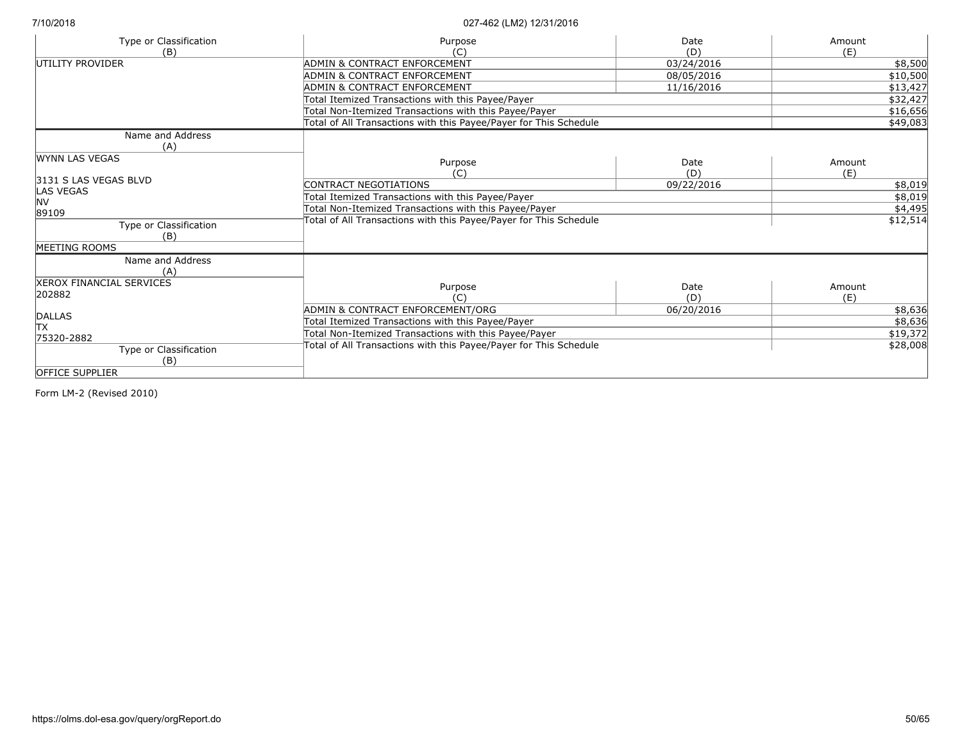| Type or Classification          | Purpose                                                           | Date       | Amount   |
|---------------------------------|-------------------------------------------------------------------|------------|----------|
| (B)                             |                                                                   | (D)        | (E)      |
| UTILITY PROVIDER                | ADMIN & CONTRACT ENFORCEMENT                                      | 03/24/2016 | \$8,500  |
|                                 | ADMIN & CONTRACT ENFORCEMENT                                      | 08/05/2016 | \$10,500 |
|                                 | ADMIN & CONTRACT ENFORCEMENT                                      | 11/16/2016 | \$13,427 |
|                                 | Total Itemized Transactions with this Payee/Payer                 |            | \$32,427 |
|                                 | Total Non-Itemized Transactions with this Payee/Payer             |            | \$16,656 |
|                                 | Total of All Transactions with this Payee/Payer for This Schedule |            | \$49,083 |
| Name and Address                |                                                                   |            |          |
| (A)                             |                                                                   |            |          |
| <b>WYNN LAS VEGAS</b>           | Purpose                                                           | Date       | Amount   |
|                                 | (C)                                                               | (D)        | (E)      |
| 3131 S LAS VEGAS BLVD           | CONTRACT NEGOTIATIONS                                             | 09/22/2016 | \$8,019  |
| LAS VEGAS                       | Total Itemized Transactions with this Payee/Payer                 |            | \$8,019  |
| <b>NV</b>                       | Total Non-Itemized Transactions with this Payee/Payer             |            | \$4,495  |
| 89109                           | Total of All Transactions with this Payee/Payer for This Schedule |            | \$12,514 |
| Type or Classification          |                                                                   |            |          |
| (B)                             |                                                                   |            |          |
| <b>MEETING ROOMS</b>            |                                                                   |            |          |
| Name and Address                |                                                                   |            |          |
| (A)                             |                                                                   |            |          |
| <b>XEROX FINANCIAL SERVICES</b> | Purpose                                                           | Date       | Amount   |
| 202882                          | (C                                                                | (D)        | (E)      |
| DALLAS                          | ADMIN & CONTRACT ENFORCEMENT/ORG                                  | 06/20/2016 | \$8,636  |
| lТX                             | Total Itemized Transactions with this Payee/Payer                 |            | \$8,636  |
| 75320-2882                      | Total Non-Itemized Transactions with this Payee/Payer             |            | \$19,372 |
| Type or Classification          | Total of All Transactions with this Payee/Payer for This Schedule |            | \$28,008 |
| (B)                             |                                                                   |            |          |
| <b>OFFICE SUPPLIER</b>          |                                                                   |            |          |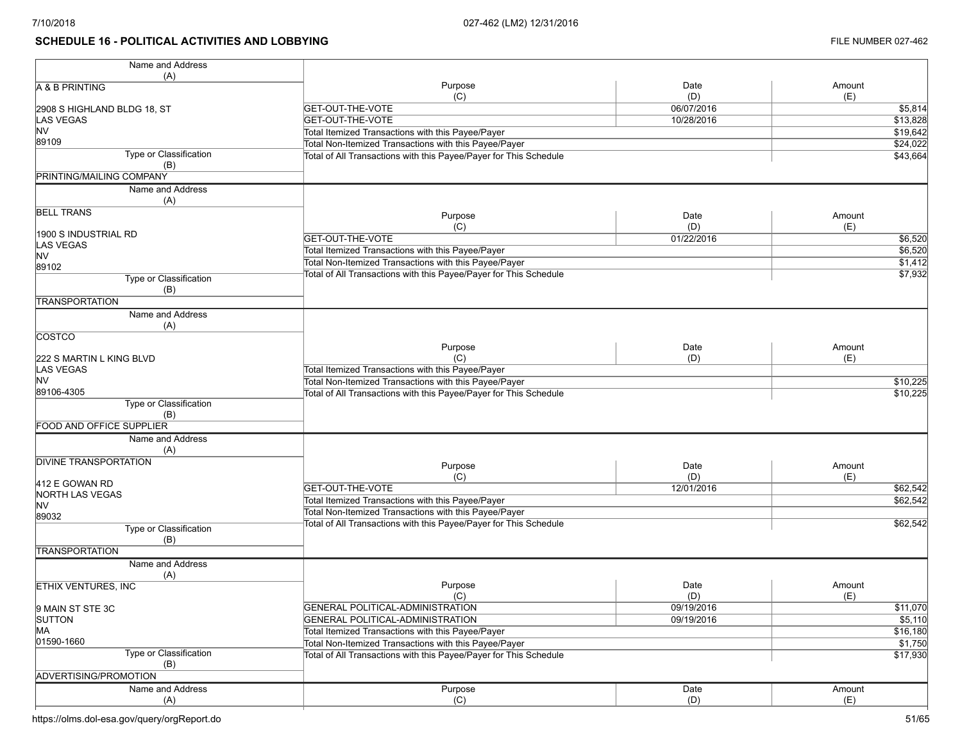# **SCHEDULE 16 - POLITICAL ACTIVITIES AND LOBBYING FILE NUMBER 027-462**

| Name and Address                  |                                                                   |            |          |
|-----------------------------------|-------------------------------------------------------------------|------------|----------|
| (A)                               |                                                                   |            |          |
| A & B PRINTING                    | Purpose                                                           | Date       | Amount   |
|                                   | (C)                                                               | (D)        | (E)      |
| 2908 S HIGHLAND BLDG 18, ST       | <b>GET-OUT-THE-VOTE</b>                                           | 06/07/2016 | \$5,814  |
| <b>LAS VEGAS</b>                  | <b>GET-OUT-THE-VOTE</b>                                           | 10/28/2016 | \$13,828 |
| <b>NV</b>                         | Total Itemized Transactions with this Payee/Payer                 |            | \$19,642 |
| 89109                             | Total Non-Itemized Transactions with this Payee/Payer             |            | \$24,022 |
| Type or Classification            | Total of All Transactions with this Payee/Payer for This Schedule |            | \$43,664 |
| (B)                               |                                                                   |            |          |
| PRINTING/MAILING COMPANY          |                                                                   |            |          |
| Name and Address                  |                                                                   |            |          |
| (A)                               |                                                                   |            |          |
| <b>BELL TRANS</b>                 | Purpose                                                           | Date       | Amount   |
|                                   | (C)                                                               | (D)        | (E)      |
| 1900 S INDUSTRIAL RD              | <b>GET-OUT-THE-VOTE</b>                                           | 01/22/2016 | \$6,520  |
| <b>LAS VEGAS</b>                  | Total Itemized Transactions with this Payee/Payer                 |            | \$6,520  |
| <b>NV</b>                         | Total Non-Itemized Transactions with this Payee/Payer             |            | \$1,412  |
| 89102                             | Total of All Transactions with this Payee/Payer for This Schedule |            | \$7,932  |
| Type or Classification            |                                                                   |            |          |
| (B)                               |                                                                   |            |          |
| <b>TRANSPORTATION</b>             |                                                                   |            |          |
| Name and Address                  |                                                                   |            |          |
| (A)                               |                                                                   |            |          |
| <b>COSTCO</b>                     |                                                                   |            |          |
|                                   | Purpose                                                           | Date       | Amount   |
| 222 S MARTIN L KING BLVD          | (C)                                                               | (D)        | (E)      |
| <b>LAS VEGAS</b>                  | Total Itemized Transactions with this Payee/Payer                 |            |          |
| <b>NV</b>                         | Total Non-Itemized Transactions with this Payee/Payer             |            | \$10,225 |
| 89106-4305                        | Total of All Transactions with this Payee/Payer for This Schedule |            | \$10,225 |
| Type or Classification            |                                                                   |            |          |
| (B)                               |                                                                   |            |          |
| FOOD AND OFFICE SUPPLIER          |                                                                   |            |          |
| Name and Address                  |                                                                   |            |          |
| (A)                               |                                                                   |            |          |
| <b>DIVINE TRANSPORTATION</b>      | Purpose                                                           | Date       | Amount   |
|                                   | (C)                                                               | (D)        | (E)      |
| 412 E GOWAN RD                    | <b>GET-OUT-THE-VOTE</b>                                           | 12/01/2016 | \$62,542 |
| NORTH LAS VEGAS<br><b>NV</b>      | Total Itemized Transactions with this Payee/Payer                 |            | \$62,542 |
| 89032                             | Total Non-Itemized Transactions with this Payee/Payer             |            |          |
| Type or Classification            | Total of All Transactions with this Payee/Payer for This Schedule |            | \$62,542 |
| (B)                               |                                                                   |            |          |
| <b>TRANSPORTATION</b>             |                                                                   |            |          |
| Name and Address                  |                                                                   |            |          |
|                                   |                                                                   |            |          |
| (A)                               | Purpose                                                           | Date       | Amount   |
| <b>ETHIX VENTURES, INC</b>        | (C)                                                               | (D)        | (E)      |
|                                   | GENERAL POLITICAL-ADMINISTRATION                                  | 09/19/2016 | \$11,070 |
| 9 MAIN ST STE 3C<br><b>SUTTON</b> | GENERAL POLITICAL-ADMINISTRATION                                  | 09/19/2016 | \$5,110  |
| MA                                | Total Itemized Transactions with this Payee/Payer                 |            | \$16,180 |
| 01590-1660                        | Total Non-Itemized Transactions with this Payee/Payer             |            |          |
| Type or Classification            |                                                                   |            | \$1,750  |
| (B)                               | Total of All Transactions with this Payee/Payer for This Schedule |            | \$17,930 |
| ADVERTISING/PROMOTION             |                                                                   |            |          |
|                                   |                                                                   |            |          |
| Name and Address                  | Purpose                                                           | Date       | Amount   |
| (A)                               | (C)                                                               | (D)        | (E)      |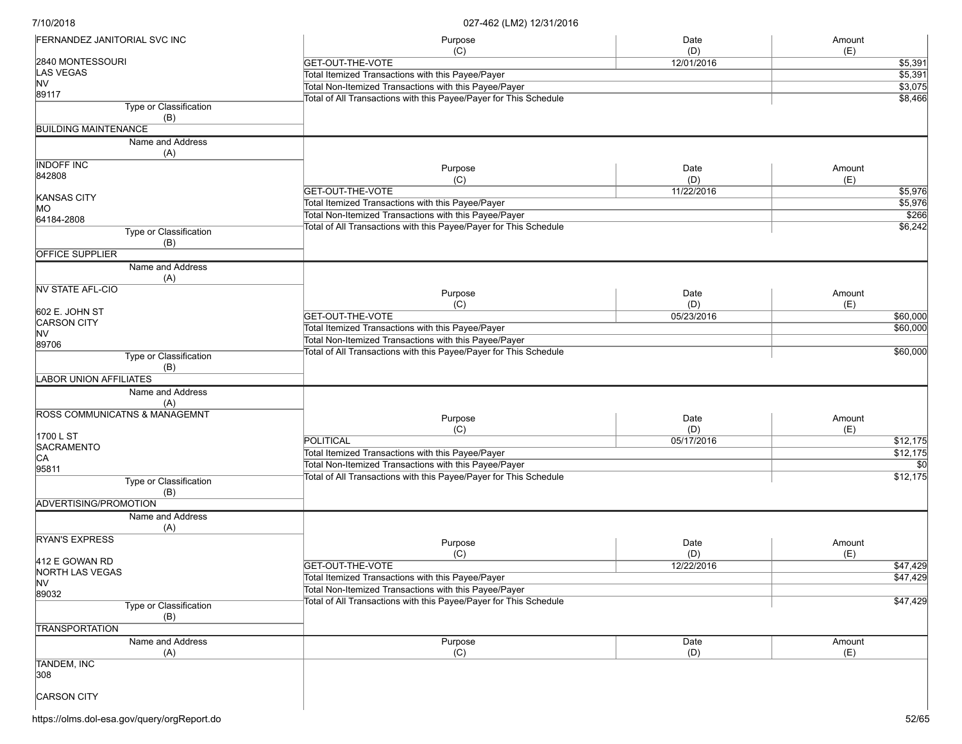| <b>FERNANDEZ JANITORIAL SVC INC</b>      | Purpose                                                           | Date              | Amount         |
|------------------------------------------|-------------------------------------------------------------------|-------------------|----------------|
| 2840 MONTESSOURI                         | (C)<br><b>GET-OUT-THE-VOTE</b>                                    | (D)<br>12/01/2016 | (E)<br>\$5,391 |
| <b>LAS VEGAS</b>                         | Total Itemized Transactions with this Payee/Payer                 |                   | \$5,391        |
| NV                                       | Total Non-Itemized Transactions with this Payee/Payer             |                   | \$3,075        |
| 89117                                    |                                                                   |                   |                |
| Type or Classification                   | Total of All Transactions with this Payee/Payer for This Schedule |                   | \$8,466        |
| (B)                                      |                                                                   |                   |                |
| <b>BUILDING MAINTENANCE</b>              |                                                                   |                   |                |
| Name and Address<br>(A)                  |                                                                   |                   |                |
| <b>INDOFF INC</b>                        | Purpose                                                           | Date              | Amount         |
| 842808                                   | (C)                                                               | (D)               | (E)            |
|                                          | <b>GET-OUT-THE-VOTE</b>                                           | 11/22/2016        | \$5,976        |
| <b>KANSAS CITY</b>                       | Total Itemized Transactions with this Payee/Payer                 |                   | \$5,976        |
| MO                                       | Total Non-Itemized Transactions with this Payee/Payer             |                   | \$266          |
| 64184-2808                               | Total of All Transactions with this Payee/Payer for This Schedule |                   | \$6,242        |
| Type or Classification<br>(B)            |                                                                   |                   |                |
| <b>OFFICE SUPPLIER</b>                   |                                                                   |                   |                |
| Name and Address<br>(A)                  |                                                                   |                   |                |
| <b>NV STATE AFL-CIO</b>                  |                                                                   |                   |                |
|                                          | Purpose                                                           | Date              | Amount         |
| 602 E. JOHN ST                           | (C)                                                               | (D)               | (E)            |
| <b>CARSON CITY</b>                       | <b>GET-OUT-THE-VOTE</b>                                           | 05/23/2016        | \$60,000       |
| <b>NV</b>                                | Total Itemized Transactions with this Payee/Payer                 |                   | \$60,000       |
| 89706                                    | Total Non-Itemized Transactions with this Payee/Payer             |                   |                |
| Type or Classification                   | Total of All Transactions with this Payee/Payer for This Schedule |                   | \$60,000       |
| (B)                                      |                                                                   |                   |                |
| <b>LABOR UNION AFFILIATES</b>            |                                                                   |                   |                |
| Name and Address                         |                                                                   |                   |                |
| (A)                                      |                                                                   |                   |                |
| <b>ROSS COMMUNICATNS &amp; MANAGEMNT</b> |                                                                   |                   |                |
|                                          | Purpose                                                           | Date              | Amount         |
| 1700 L ST                                | (C)                                                               | (D)               | (E)            |
| <b>SACRAMENTO</b>                        | <b>POLITICAL</b>                                                  | 05/17/2016        | \$12,175       |
| CA                                       | Total Itemized Transactions with this Payee/Payer                 |                   | \$12,175       |
| 95811                                    | Total Non-Itemized Transactions with this Payee/Payer             |                   |                |
| Type or Classification                   | Total of All Transactions with this Payee/Payer for This Schedule |                   | \$12,175       |
| (B)                                      |                                                                   |                   |                |
| ADVERTISING/PROMOTION                    |                                                                   |                   |                |
| Name and Address                         |                                                                   |                   |                |
| (A)                                      |                                                                   |                   |                |
| <b>RYAN'S EXPRESS</b>                    |                                                                   |                   |                |
|                                          | Purpose                                                           | Date              | Amount         |
| 412 E GOWAN RD                           | (C)                                                               | (D)               | (E)            |
| <b>NORTH LAS VEGAS</b>                   | <b>GET-OUT-THE-VOTE</b>                                           | 12/22/2016        | \$47,429       |
| <b>NV</b>                                | Total Itemized Transactions with this Payee/Payer                 |                   | \$47,429       |
| 89032                                    | Total Non-Itemized Transactions with this Payee/Payer             |                   |                |
| Type or Classification                   | Total of All Transactions with this Payee/Payer for This Schedule |                   | \$47,429       |
| (B)                                      |                                                                   |                   |                |
| <b>TRANSPORTATION</b>                    |                                                                   |                   |                |
| Name and Address                         | Purpose                                                           | Date              | Amount         |
| (A)                                      | (C)                                                               | (D)               | (E)            |
| <b>TANDEM, INC</b>                       |                                                                   |                   |                |
| 308                                      |                                                                   |                   |                |
|                                          |                                                                   |                   |                |
| <b>CARSON CITY</b>                       |                                                                   |                   |                |
|                                          |                                                                   |                   |                |
|                                          |                                                                   |                   |                |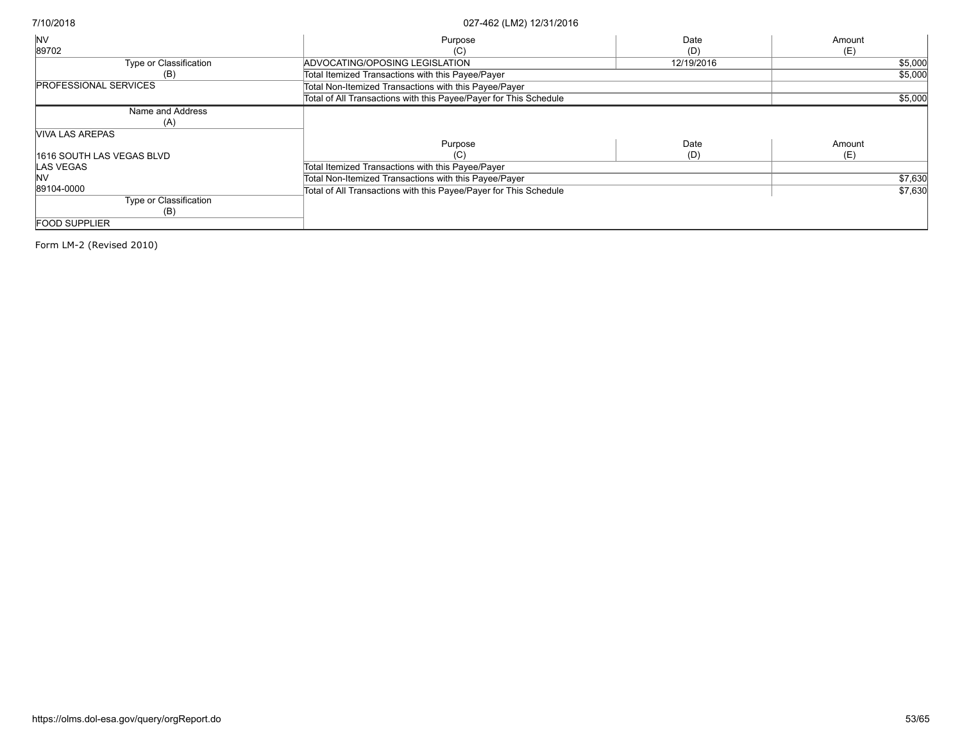| <b>INV</b>                   | Purpose                                                           | Date       | Amount  |
|------------------------------|-------------------------------------------------------------------|------------|---------|
| 89702                        | (C)                                                               | (D)        | (E)     |
| Type or Classification       | ADVOCATING/OPOSING LEGISLATION                                    | 12/19/2016 | \$5,000 |
| (B)                          | Total Itemized Transactions with this Payee/Payer                 |            | \$5,000 |
| <b>PROFESSIONAL SERVICES</b> | Total Non-Itemized Transactions with this Payee/Payer             |            |         |
|                              | Total of All Transactions with this Payee/Payer for This Schedule |            | \$5,000 |
| Name and Address             |                                                                   |            |         |
| (A)                          |                                                                   |            |         |
| <b>VIVA LAS AREPAS</b>       |                                                                   |            |         |
|                              | Purpose                                                           | Date       | Amount  |
| 11616 SOUTH LAS VEGAS BLVD   | (C)                                                               | (D)        | (E)     |
| LAS VEGAS                    | Total Itemized Transactions with this Payee/Payer                 |            |         |
| <b>INV</b>                   | Total Non-Itemized Transactions with this Payee/Payer             |            | \$7,630 |
| 89104-0000                   | Total of All Transactions with this Payee/Payer for This Schedule |            | \$7,630 |
| Type or Classification       |                                                                   |            |         |
| (B)                          |                                                                   |            |         |
| <b>FOOD SUPPLIER</b>         |                                                                   |            |         |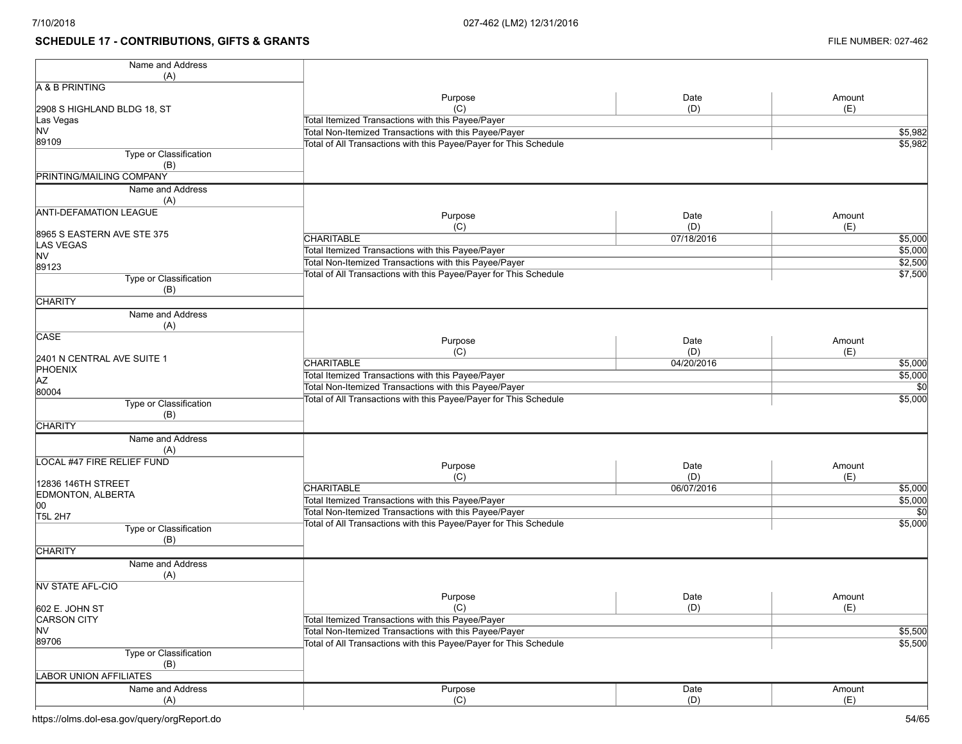# **SCHEDULE 17 - CONTRIBUTIONS, GIFTS & GRANTS FILE NUMBER: 027-462**

| Name and Address              |                                                                   |            |                    |
|-------------------------------|-------------------------------------------------------------------|------------|--------------------|
| (A)                           |                                                                   |            |                    |
| A & B PRINTING                |                                                                   | Date       | Amount             |
|                               | Purpose<br>(C)                                                    | (D)        | (E)                |
| 2908 S HIGHLAND BLDG 18, ST   | Total Itemized Transactions with this Payee/Payer                 |            |                    |
| Las Vegas<br><b>NV</b>        | Total Non-Itemized Transactions with this Payee/Payer             |            |                    |
| 89109                         |                                                                   |            | \$5,982            |
| Type or Classification        | Total of All Transactions with this Payee/Payer for This Schedule |            | \$5,982            |
| (B)                           |                                                                   |            |                    |
| PRINTING/MAILING COMPANY      |                                                                   |            |                    |
|                               |                                                                   |            |                    |
| Name and Address              |                                                                   |            |                    |
| (A)                           |                                                                   |            |                    |
| <b>ANTI-DEFAMATION LEAGUE</b> | Purpose                                                           | Date       | Amount             |
|                               | (C)                                                               | (D)        | (E)                |
| 8965 S EASTERN AVE STE 375    | <b>CHARITABLE</b>                                                 | 07/18/2016 | \$5,000            |
| <b>LAS VEGAS</b><br><b>NV</b> | Total Itemized Transactions with this Payee/Payer                 |            | \$5,000            |
|                               | Total Non-Itemized Transactions with this Payee/Payer             |            | \$2,500            |
| 89123                         | Total of All Transactions with this Payee/Payer for This Schedule |            | $\frac{1}{57,500}$ |
| Type or Classification        |                                                                   |            |                    |
| (B)                           |                                                                   |            |                    |
| <b>CHARITY</b>                |                                                                   |            |                    |
| Name and Address              |                                                                   |            |                    |
| (A)                           |                                                                   |            |                    |
| CASE                          | Purpose                                                           | Date       | Amount             |
|                               | (C)                                                               | (D)        | (E)                |
| 2401 N CENTRAL AVE SUITE 1    | <b>CHARITABLE</b>                                                 | 04/20/2016 | \$5,000            |
| PHOENIX                       | Total Itemized Transactions with this Payee/Payer                 |            | \$5,000            |
| <b>AZ</b>                     | Total Non-Itemized Transactions with this Payee/Payer             |            | $\overline{50}$    |
| 80004                         | Total of All Transactions with this Payee/Payer for This Schedule |            | \$5,000            |
| <b>Type or Classification</b> |                                                                   |            |                    |
| (B)                           |                                                                   |            |                    |
| <b>CHARITY</b>                |                                                                   |            |                    |
| Name and Address              |                                                                   |            |                    |
| (A)                           |                                                                   |            |                    |
| LOCAL #47 FIRE RELIEF FUND    | Purpose                                                           | Date       | Amount             |
|                               | (C)                                                               | (D)        | (E)                |
| 12836 146TH STREET            | <b>CHARITABLE</b>                                                 | 06/07/2016 | \$5,000            |
| EDMONTON, ALBERTA             | Total Itemized Transactions with this Payee/Payer                 |            | \$5,000            |
| 00                            | Total Non-Itemized Transactions with this Payee/Payer             |            | $\overline{50}$    |
| <b>T5L 2H7</b>                |                                                                   |            | 55,000             |
| Type or Classification        | Total of All Transactions with this Payee/Payer for This Schedule |            |                    |
| (B)                           |                                                                   |            |                    |
| <b>CHARITY</b>                |                                                                   |            |                    |
| Name and Address              |                                                                   |            |                    |
| (A)                           |                                                                   |            |                    |
| <b>NV STATE AFL-CIO</b>       |                                                                   |            |                    |
|                               | Purpose                                                           | Date       | Amount             |
| 602 E. JOHN ST                | (C)                                                               | (D)        | (E)                |
| <b>CARSON CITY</b>            | Total Itemized Transactions with this Payee/Payer                 |            |                    |
| <b>NV</b>                     | Total Non-Itemized Transactions with this Payee/Payer             |            | \$5,500            |
| 89706                         | Total of All Transactions with this Payee/Payer for This Schedule |            | \$5,500            |
| <b>Type or Classification</b> |                                                                   |            |                    |
| (B)                           |                                                                   |            |                    |
| <b>LABOR UNION AFFILIATES</b> |                                                                   |            |                    |
| Name and Address              | Purpose                                                           | Date       | Amount             |
|                               | (C)                                                               | (D)        | (E)                |
| (A)                           |                                                                   |            |                    |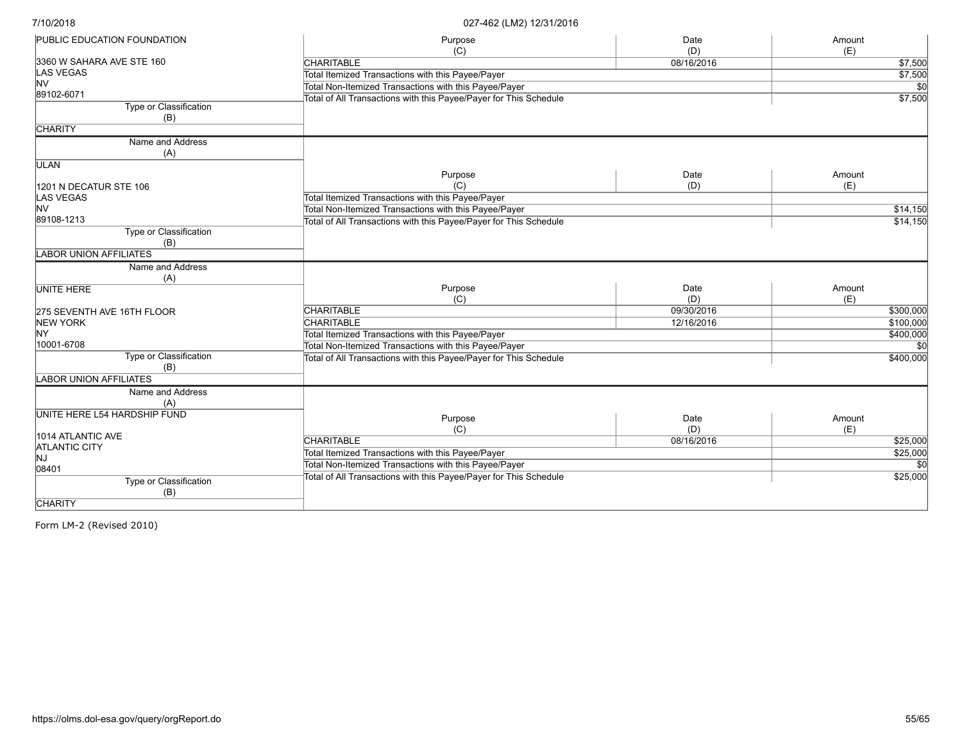| <b>PUBLIC EDUCATION FOUNDATION</b>   | Purpose                                                           | Date       | Amount    |
|--------------------------------------|-------------------------------------------------------------------|------------|-----------|
|                                      | (C)                                                               | (D)        | (E)       |
| 3360 W SAHARA AVE STE 160            | <b>CHARITABLE</b>                                                 | 08/16/2016 | \$7,500   |
| <b>LAS VEGAS</b>                     | Total Itemized Transactions with this Payee/Payer                 |            | \$7,500   |
| <b>NV</b>                            | Total Non-Itemized Transactions with this Payee/Payer             |            | \$0       |
| 89102-6071                           | Total of All Transactions with this Payee/Payer for This Schedule |            | \$7,500   |
| <b>Type or Classification</b><br>(B) |                                                                   |            |           |
| <b>CHARITY</b>                       |                                                                   |            |           |
| Name and Address                     |                                                                   |            |           |
| (A)                                  |                                                                   |            |           |
| <b>ULAN</b>                          |                                                                   |            |           |
|                                      | Purpose                                                           | Date       | Amount    |
| 1201 N DECATUR STE 106               | (C)                                                               | (D)        | (E)       |
| LAS VEGAS                            | Total Itemized Transactions with this Payee/Payer                 |            |           |
| <b>NV</b>                            | Total Non-Itemized Transactions with this Payee/Payer             |            | \$14,150  |
| 89108-1213                           | Total of All Transactions with this Payee/Payer for This Schedule |            | \$14,150  |
| Type or Classification<br>(B)        |                                                                   |            |           |
| <b>LABOR UNION AFFILIATES</b>        |                                                                   |            |           |
| Name and Address                     |                                                                   |            |           |
| (A)                                  |                                                                   |            |           |
| <b>UNITE HERE</b>                    | Purpose                                                           | Date       | Amount    |
|                                      | (C)                                                               | (D)        | (E)       |
| 275 SEVENTH AVE 16TH FLOOR           | <b>CHARITABLE</b>                                                 | 09/30/2016 | \$300,000 |
| <b>NEW YORK</b>                      | <b>CHARITABLE</b>                                                 | 12/16/2016 | \$100,000 |
| NY.                                  | Total Itemized Transactions with this Payee/Payer                 |            | \$400,000 |
| 10001-6708                           | Total Non-Itemized Transactions with this Payee/Payer             |            |           |
| Type or Classification               | Total of All Transactions with this Payee/Payer for This Schedule |            | \$400,000 |
| (B)                                  |                                                                   |            |           |
| <b>LABOR UNION AFFILIATES</b>        |                                                                   |            |           |
| Name and Address                     |                                                                   |            |           |
| (A)                                  |                                                                   |            |           |
| UNITE HERE L54 HARDSHIP FUND         |                                                                   |            |           |
|                                      | Purpose                                                           | Date       | Amount    |
| 1014 ATLANTIC AVE                    | (C)                                                               | (D)        | (E)       |
| <b>ATLANTIC CITY</b>                 | <b>CHARITABLE</b>                                                 | 08/16/2016 | \$25,000  |
| NJ.                                  | Total Itemized Transactions with this Payee/Payer                 |            | \$25,000  |
| 08401                                | Total Non-Itemized Transactions with this Payee/Payer             |            | \$0       |
| Type or Classification               | Total of All Transactions with this Payee/Payer for This Schedule |            | \$25,000  |
| (B)                                  |                                                                   |            |           |
| <b>CHARITY</b>                       |                                                                   |            |           |
|                                      |                                                                   |            |           |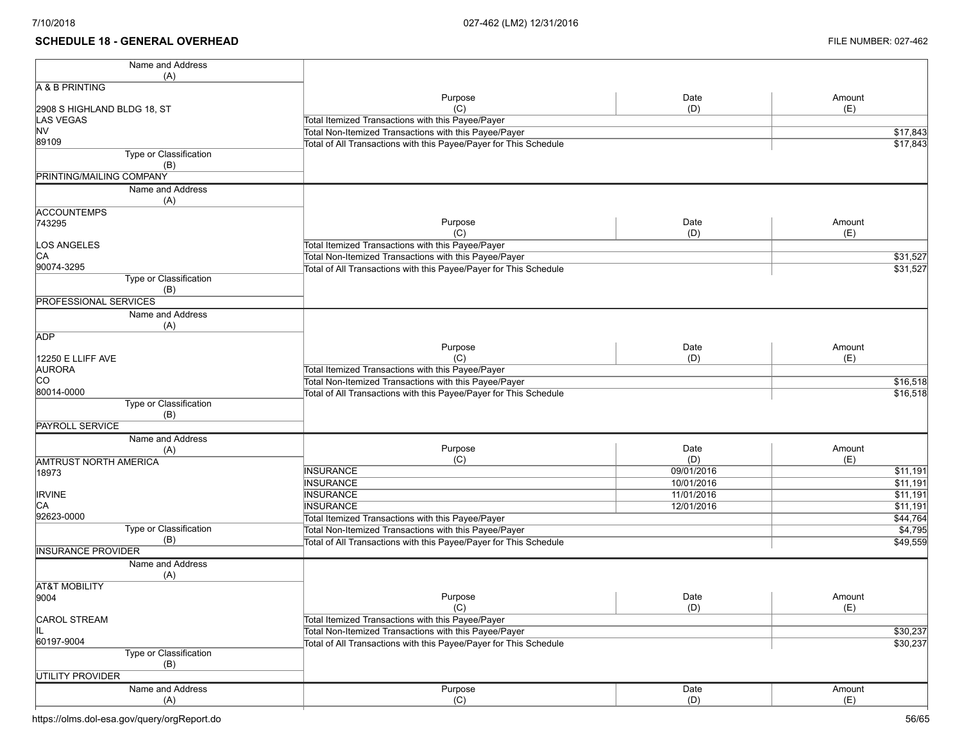### **SCHEDULE 18 - GENERAL OVERHEAD** FILE NUMBER: 027-462

| Name and Address                |                                                                   |            |          |
|---------------------------------|-------------------------------------------------------------------|------------|----------|
| (A)                             |                                                                   |            |          |
| A & B PRINTING                  |                                                                   |            |          |
|                                 | Purpose                                                           | Date       | Amount   |
| 2908 S HIGHLAND BLDG 18, ST     | (C)                                                               | (D)        | (E)      |
| <b>LAS VEGAS</b>                | Total Itemized Transactions with this Payee/Payer                 |            |          |
| <b>NV</b>                       | Total Non-Itemized Transactions with this Payee/Payer             |            | \$17,843 |
| 89109                           | Total of All Transactions with this Payee/Payer for This Schedule |            | \$17,843 |
| Type or Classification          |                                                                   |            |          |
| (B)<br>PRINTING/MAILING COMPANY |                                                                   |            |          |
|                                 |                                                                   |            |          |
| Name and Address                |                                                                   |            |          |
| (A)                             |                                                                   |            |          |
| <b>ACCOUNTEMPS</b>              |                                                                   |            |          |
| 743295                          | Purpose                                                           | Date       | Amount   |
|                                 | (C)                                                               | (D)        | (E)      |
| LOS ANGELES                     | Total Itemized Transactions with this Payee/Payer                 |            |          |
| CA                              | Total Non-Itemized Transactions with this Payee/Payer             |            | \$31,527 |
| 90074-3295                      | Total of All Transactions with this Payee/Payer for This Schedule |            | \$31,527 |
| Type or Classification          |                                                                   |            |          |
| (B)                             |                                                                   |            |          |
| <b>PROFESSIONAL SERVICES</b>    |                                                                   |            |          |
| Name and Address                |                                                                   |            |          |
| (A)                             |                                                                   |            |          |
| <b>ADP</b>                      |                                                                   |            |          |
|                                 | Purpose<br>(C)                                                    | Date       | Amount   |
| 12250 E LLIFF AVE               |                                                                   | (D)        | (E)      |
| <b>AURORA</b>                   | Total Itemized Transactions with this Payee/Payer                 |            |          |
| <b>CO</b><br>80014-0000         | Total Non-Itemized Transactions with this Payee/Payer             |            | \$16,518 |
|                                 | Total of All Transactions with this Payee/Payer for This Schedule |            | \$16,518 |
| Type or Classification          |                                                                   |            |          |
| (B)<br><b>PAYROLL SERVICE</b>   |                                                                   |            |          |
|                                 |                                                                   |            |          |
| Name and Address                | Purpose                                                           | Date       | Amount   |
| (A)                             | (C)                                                               | (D)        | (E)      |
| <b>AMTRUST NORTH AMERICA</b>    | <b>INSURANCE</b>                                                  | 09/01/2016 | \$11,191 |
| 18973                           | <b>INSURANCE</b>                                                  | 10/01/2016 | 511,191  |
|                                 | <b>INSURANCE</b>                                                  | 11/01/2016 |          |
| <b>IRVINE</b><br>CA             |                                                                   |            | \$11,191 |
| 92623-0000                      | <b>INSURANCE</b>                                                  | 12/01/2016 | \$11,191 |
| Type or Classification          | Total Itemized Transactions with this Payee/Payer                 |            | \$44,764 |
| (B)                             | Total Non-Itemized Transactions with this Payee/Payer             |            | \$4,795  |
| <b>INSURANCE PROVIDER</b>       | Total of All Transactions with this Payee/Payer for This Schedule |            | \$49,559 |
|                                 |                                                                   |            |          |
| Name and Address                |                                                                   |            |          |
| (A)                             |                                                                   |            |          |
| <b>AT&amp;T MOBILITY</b>        |                                                                   |            |          |
| 9004                            | Purpose                                                           | Date       | Amount   |
|                                 | (C)                                                               | (D)        | (E)      |
| <b>CAROL STREAM</b>             | Total Itemized Transactions with this Payee/Payer                 |            |          |
| IL                              | Total Non-Itemized Transactions with this Payee/Payer             |            | \$30,237 |
| 60197-9004                      | Total of All Transactions with this Payee/Payer for This Schedule |            | \$30,237 |
| <b>Type or Classification</b>   |                                                                   |            |          |
| (B)                             |                                                                   |            |          |
| UTILITY PROVIDER                |                                                                   |            |          |
| Name and Address                | Purpose                                                           | Date       | Amount   |
| (A)                             | (C)                                                               | (D)        | (E)      |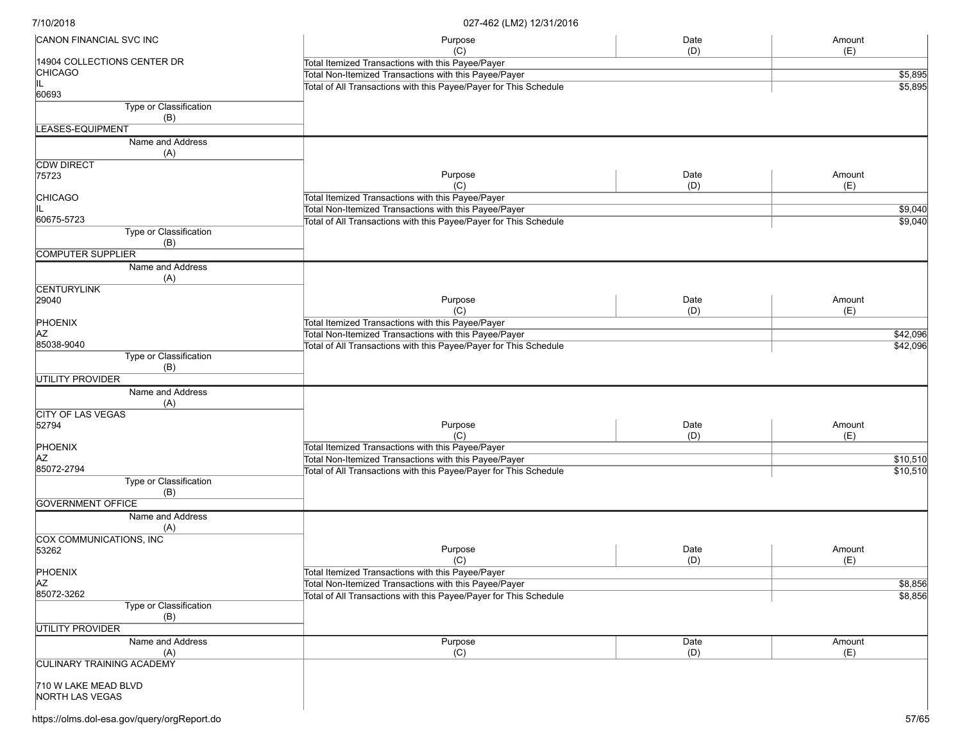| CANON FINANCIAL SVC INC                       | Purpose                                                           | Date    | Amount   |
|-----------------------------------------------|-------------------------------------------------------------------|---------|----------|
|                                               | (C)                                                               | (D)     | (E)      |
| 14904 COLLECTIONS CENTER DR<br><b>CHICAGO</b> | Total Itemized Transactions with this Payee/Payer                 |         |          |
|                                               | Total Non-Itemized Transactions with this Payee/Payer             | \$5,895 |          |
| 60693                                         | Total of All Transactions with this Payee/Payer for This Schedule |         | \$5,895  |
| Type or Classification                        |                                                                   |         |          |
| (B)                                           |                                                                   |         |          |
|                                               |                                                                   |         |          |
| LEASES-EQUIPMENT                              |                                                                   |         |          |
| Name and Address<br>(A)                       |                                                                   |         |          |
| <b>CDW DIRECT</b>                             |                                                                   |         |          |
| 75723                                         | Purpose                                                           | Date    | Amount   |
|                                               | (C)                                                               | (D)     | (E)      |
| <b>CHICAGO</b>                                | Total Itemized Transactions with this Payee/Payer                 |         |          |
|                                               | Total Non-Itemized Transactions with this Payee/Payer             |         | \$9,040  |
| 60675-5723                                    | Total of All Transactions with this Payee/Payer for This Schedule |         | \$9,040  |
| Type or Classification<br>(B)                 |                                                                   |         |          |
| <b>COMPUTER SUPPLIER</b>                      |                                                                   |         |          |
| Name and Address                              |                                                                   |         |          |
| (A)                                           |                                                                   |         |          |
| <b>CENTURYLINK</b>                            |                                                                   |         |          |
| 29040                                         | Purpose                                                           | Date    | Amount   |
|                                               | (C)                                                               | (D)     | (E)      |
| PHOENIX                                       | Total Itemized Transactions with this Payee/Payer                 |         |          |
| AZ                                            | Total Non-Itemized Transactions with this Payee/Payer             |         | \$42,096 |
| 85038-9040                                    | Total of All Transactions with this Payee/Payer for This Schedule |         | \$42,096 |
| Type or Classification<br>(B)                 |                                                                   |         |          |
| <b>UTILITY PROVIDER</b>                       |                                                                   |         |          |
| Name and Address                              |                                                                   |         |          |
| (A)                                           |                                                                   |         |          |
| <b>CITY OF LAS VEGAS</b>                      |                                                                   |         |          |
| 52794                                         | Purpose                                                           | Date    | Amount   |
|                                               | (C)                                                               | (D)     | (E)      |
| PHOENIX                                       | Total Itemized Transactions with this Payee/Payer                 |         |          |
| <b>AZ</b>                                     | Total Non-Itemized Transactions with this Payee/Payer             |         | \$10,510 |
| 85072-2794                                    | Total of All Transactions with this Payee/Payer for This Schedule |         | \$10,510 |
| Type or Classification                        |                                                                   |         |          |
| (B)                                           |                                                                   |         |          |
| <b>GOVERNMENT OFFICE</b>                      |                                                                   |         |          |
| Name and Address                              |                                                                   |         |          |
| (A)                                           |                                                                   |         |          |
| COX COMMUNICATIONS, INC                       |                                                                   |         |          |
| 53262                                         | Purpose                                                           | Date    | Amount   |
|                                               | (C)                                                               | (D)     | (E)      |
| PHOENIX                                       | Total Itemized Transactions with this Payee/Payer                 |         |          |
| <b>AZ</b>                                     | Total Non-Itemized Transactions with this Payee/Payer             |         |          |
| 85072-3262                                    |                                                                   |         | \$8,856  |
| Type or Classification                        | Total of All Transactions with this Payee/Payer for This Schedule |         | \$8,856  |
|                                               |                                                                   |         |          |
| (B)                                           |                                                                   |         |          |
| UTILITY PROVIDER                              |                                                                   |         |          |
| Name and Address                              | Purpose                                                           | Date    | Amount   |
| (A)                                           | (C)                                                               | (D)     | (E)      |
| <b>CULINARY TRAINING ACADEMY</b>              |                                                                   |         |          |
|                                               |                                                                   |         |          |
| 710 W LAKE MEAD BLVD                          |                                                                   |         |          |
| NORTH LAS VEGAS                               |                                                                   |         |          |
|                                               |                                                                   |         |          |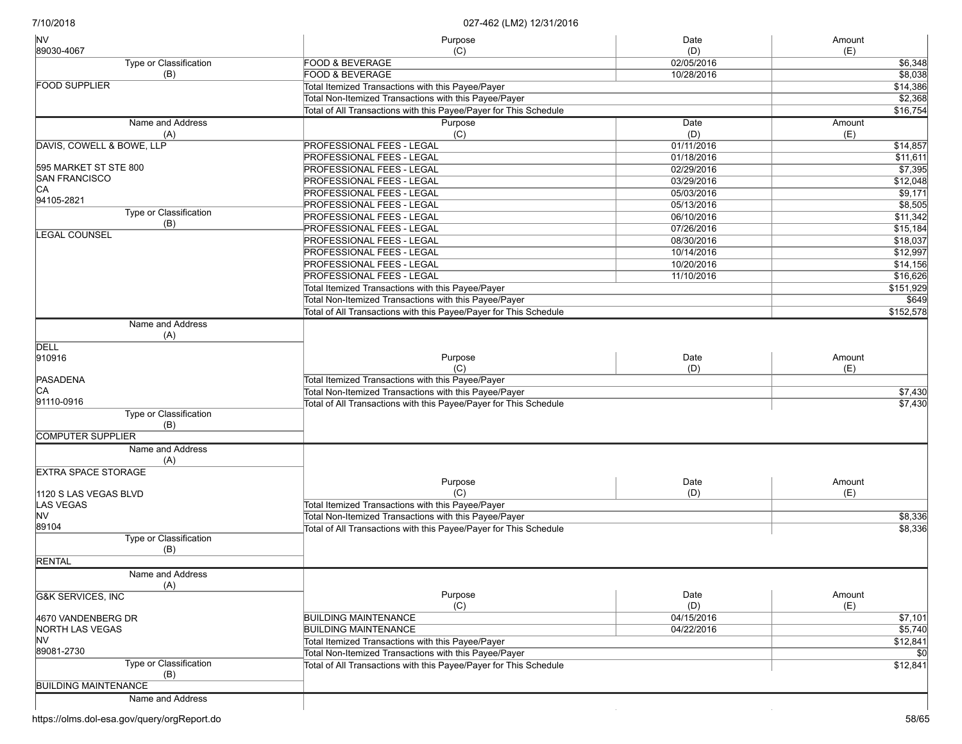| <b>NV</b>                    | Purpose                                                           | Date       | Amount    |
|------------------------------|-------------------------------------------------------------------|------------|-----------|
| 89030-4067                   | (C)                                                               | (D)        | (E)       |
| Type or Classification       | <b>FOOD &amp; BEVERAGE</b>                                        | 02/05/2016 | \$6,348   |
| (B)                          | <b>FOOD &amp; BEVERAGE</b>                                        | 10/28/2016 | \$8,038   |
| <b>FOOD SUPPLIER</b>         | Total Itemized Transactions with this Payee/Payer                 |            | \$14,386  |
|                              | Total Non-Itemized Transactions with this Payee/Payer             |            | \$2,368   |
|                              | Total of All Transactions with this Payee/Payer for This Schedule |            | \$16,754  |
| Name and Address             | Purpose                                                           | Date       | Amount    |
| (A)                          | (C)                                                               | (D)        | (E)       |
| DAVIS, COWELL & BOWE, LLP    | <b>PROFESSIONAL FEES - LEGAL</b>                                  | 01/11/2016 | \$14,857  |
|                              | <b>PROFESSIONAL FEES - LEGAL</b>                                  | 01/18/2016 | \$11,611  |
| 595 MARKET ST STE 800        | <b>PROFESSIONAL FEES - LEGAL</b>                                  | 02/29/2016 | \$7,395   |
| SAN FRANCISCO                | <b>PROFESSIONAL FEES - LEGAL</b>                                  | 03/29/2016 | \$12,048  |
| СA                           | PROFESSIONAL FEES - LEGAL                                         | 05/03/2016 | \$9,171   |
| 94105-2821                   | <b>PROFESSIONAL FEES - LEGAL</b>                                  | 05/13/2016 | \$8,505   |
| Type or Classification       | PROFESSIONAL FEES - LEGAL                                         | 06/10/2016 | \$11,342  |
| (B)                          | PROFESSIONAL FEES - LEGAL                                         | 07/26/2016 | \$15,184  |
| <b>LEGAL COUNSEL</b>         | <b>PROFESSIONAL FEES - LEGAL</b>                                  | 08/30/2016 | \$18,037  |
|                              | PROFESSIONAL FEES - LEGAL                                         | 10/14/2016 | \$12,997  |
|                              | <b>PROFESSIONAL FEES - LEGAL</b>                                  | 10/20/2016 | \$14,156  |
|                              | <b>PROFESSIONAL FEES - LEGAL</b>                                  | 11/10/2016 | \$16,626  |
|                              | Total Itemized Transactions with this Payee/Payer                 |            | \$151,929 |
|                              | Total Non-Itemized Transactions with this Payee/Payer             |            |           |
|                              |                                                                   |            | \$649     |
|                              | Total of All Transactions with this Payee/Payer for This Schedule |            | \$152,578 |
| Name and Address<br>(A)      |                                                                   |            |           |
| <b>DELL</b>                  |                                                                   |            |           |
| 910916                       | Purpose                                                           | Date       | Amount    |
|                              | (C)                                                               | (D)        | (E)       |
| PASADENA                     | Total Itemized Transactions with this Payee/Payer                 |            |           |
| CА                           | Total Non-Itemized Transactions with this Payee/Payer             |            | \$7,430   |
| 91110-0916                   | Total of All Transactions with this Payee/Payer for This Schedule |            | \$7,430   |
| Type or Classification       |                                                                   |            |           |
| (B)                          |                                                                   |            |           |
| <b>COMPUTER SUPPLIER</b>     |                                                                   |            |           |
| Name and Address             |                                                                   |            |           |
| (A)                          |                                                                   |            |           |
| <b>EXTRA SPACE STORAGE</b>   |                                                                   |            |           |
|                              | Purpose                                                           | Date       | Amount    |
| 1120 S LAS VEGAS BLVD        | (C)                                                               | (D)        | (E)       |
| LAS VEGAS                    | Total Itemized Transactions with this Payee/Payer                 |            |           |
| <b>NV</b>                    | Total Non-Itemized Transactions with this Payee/Payer             |            | \$8,336   |
| 89104                        | Total of All Transactions with this Payee/Payer for This Schedule |            | \$8,336   |
| Type or Classification       |                                                                   |            |           |
| (B)                          |                                                                   |            |           |
| <b>RENTAL</b>                |                                                                   |            |           |
| Name and Address             |                                                                   |            |           |
| (A)                          |                                                                   |            |           |
| <b>G&amp;K SERVICES, INC</b> | Purpose                                                           | Date       | Amount    |
|                              | (C)                                                               | (D)        | (E)       |
| 4670 VANDENBERG DR           | <b>BUILDING MAINTENANCE</b>                                       | 04/15/2016 | \$7,101   |
| <b>NORTH LAS VEGAS</b>       | <b>BUILDING MAINTENANCE</b>                                       | 04/22/2016 | \$5,740   |
| NV.                          | Total Itemized Transactions with this Payee/Payer                 |            | \$12,841  |
| 89081-2730                   | Total Non-Itemized Transactions with this Payee/Payer             |            |           |
| Type or Classification       | Total of All Transactions with this Payee/Payer for This Schedule |            | \$12,841  |
| (B)                          |                                                                   |            |           |
| <b>BUILDING MAINTENANCE</b>  |                                                                   |            |           |
| Name and Address             |                                                                   |            |           |
|                              |                                                                   |            |           |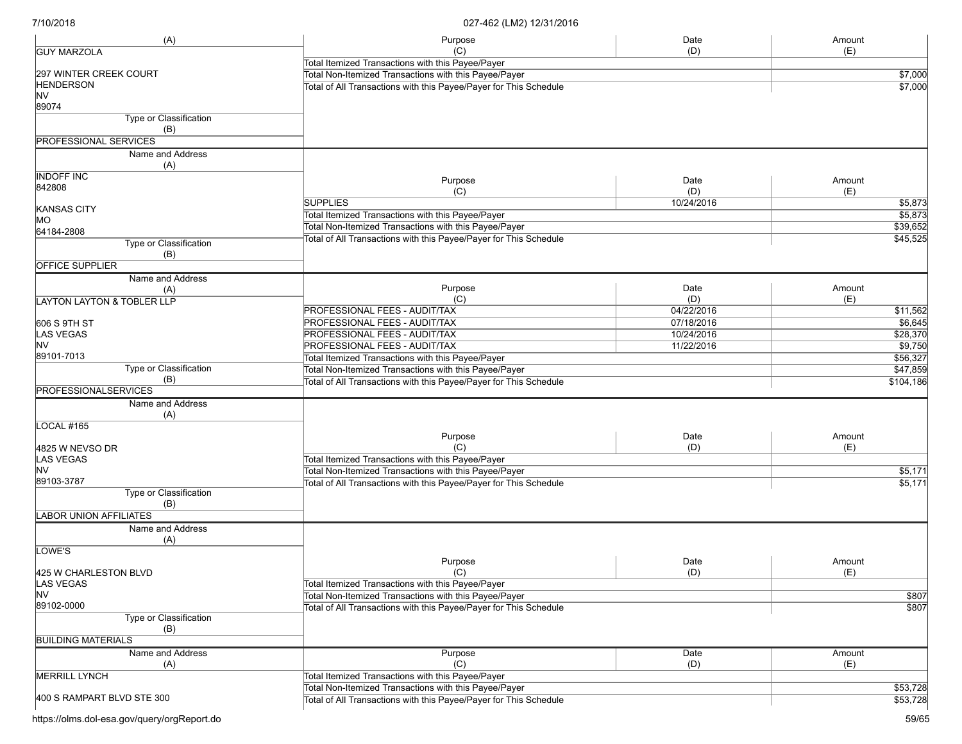| (A)                                   | Purpose                                                           | Date       | Amount    |
|---------------------------------------|-------------------------------------------------------------------|------------|-----------|
| <b>GUY MARZOLA</b>                    | (C)                                                               | (D)        | (E)       |
|                                       | Total Itemized Transactions with this Payee/Payer                 |            |           |
| 297 WINTER CREEK COURT                | Total Non-Itemized Transactions with this Payee/Payer             |            | \$7,000   |
| <b>HENDERSON</b>                      | Total of All Transactions with this Payee/Payer for This Schedule |            | \$7,000   |
| <b>NV</b>                             |                                                                   |            |           |
| 89074                                 |                                                                   |            |           |
| <b>Type or Classification</b><br>(B)  |                                                                   |            |           |
| <b>PROFESSIONAL SERVICES</b>          |                                                                   |            |           |
| Name and Address<br>(A)               |                                                                   |            |           |
| <b>INDOFF INC</b>                     |                                                                   |            |           |
| 842808                                | Purpose                                                           | Date       | Amount    |
|                                       | (C)                                                               | (D)        | (E)       |
| KANSAS CITY                           | <b>SUPPLIES</b>                                                   | 10/24/2016 | \$5,873   |
| MO                                    | Total Itemized Transactions with this Payee/Payer                 |            | \$5,873   |
| 64184-2808                            | Total Non-Itemized Transactions with this Payee/Payer             |            | \$39,652  |
| Type or Classification                | Total of All Transactions with this Payee/Payer for This Schedule |            | \$45,525  |
| (B)                                   |                                                                   |            |           |
| <b>OFFICE SUPPLIER</b>                |                                                                   |            |           |
| Name and Address                      |                                                                   |            |           |
| (A)                                   | Purpose                                                           | Date       | Amount    |
| <b>LAYTON LAYTON &amp; TOBLER LLP</b> | (C)                                                               | (D)        | (E)       |
|                                       | PROFESSIONAL FEES - AUDIT/TAX                                     | 04/22/2016 | \$11,562  |
| 606 S 9TH ST                          | PROFESSIONAL FEES - AUDIT/TAX                                     | 07/18/2016 | \$6,645   |
| LAS VEGAS                             | PROFESSIONAL FEES - AUDIT/TAX                                     | 10/24/2016 | \$28,370  |
| <b>NV</b>                             | PROFESSIONAL FEES - AUDIT/TAX                                     | 11/22/2016 | \$9,750   |
| 89101-7013                            | Total Itemized Transactions with this Payee/Payer                 |            | \$56,327  |
| Type or Classification                | Total Non-Itemized Transactions with this Payee/Payer             |            | \$47,859  |
| (B)                                   | Total of All Transactions with this Payee/Payer for This Schedule |            | \$104,186 |
| <b>PROFESSIONALSERVICES</b>           |                                                                   |            |           |
| Name and Address                      |                                                                   |            |           |
| (A)                                   |                                                                   |            |           |
| LOCAL #165                            |                                                                   |            |           |
|                                       | Purpose                                                           | Date       | Amount    |
| 4825 W NEVSO DR                       | (C)                                                               | (D)        | (E)       |
| <b>LAS VEGAS</b>                      | Total Itemized Transactions with this Payee/Payer                 |            |           |
| <b>NV</b>                             | Total Non-Itemized Transactions with this Payee/Payer             |            | \$5,171   |
| 89103-3787                            | Total of All Transactions with this Payee/Payer for This Schedule |            | \$5,171   |
| Type or Classification                |                                                                   |            |           |
| (B)                                   |                                                                   |            |           |
| <b>LABOR UNION AFFILIATES</b>         |                                                                   |            |           |
| Name and Address                      |                                                                   |            |           |
| (A)                                   |                                                                   |            |           |
| LOWE'S                                |                                                                   |            |           |
|                                       | Purpose                                                           | Date       | Amount    |
| 425 W CHARLESTON BLVD                 | (C)                                                               | (D)        | (E)       |
| <b>LAS VEGAS</b>                      | Total Itemized Transactions with this Payee/Payer                 |            |           |
| <b>NV</b>                             | Total Non-Itemized Transactions with this Payee/Payer             |            | \$807     |
| 89102-0000                            | Total of All Transactions with this Payee/Payer for This Schedule |            | \$807     |
| Type or Classification                |                                                                   |            |           |
| (B)                                   |                                                                   |            |           |
| <b>BUILDING MATERIALS</b>             |                                                                   |            |           |
| Name and Address                      | Purpose                                                           | Date       | Amount    |
| (A)                                   | (C)                                                               | (D)        | (E)       |
| <b>MERRILL LYNCH</b>                  | Total Itemized Transactions with this Payee/Payer                 |            |           |
|                                       | Total Non-Itemized Transactions with this Payee/Payer             |            | \$53,728  |
| 400 S RAMPART BLVD STE 300            | Total of All Transactions with this Payee/Payer for This Schedule |            | \$53,728  |
|                                       |                                                                   |            |           |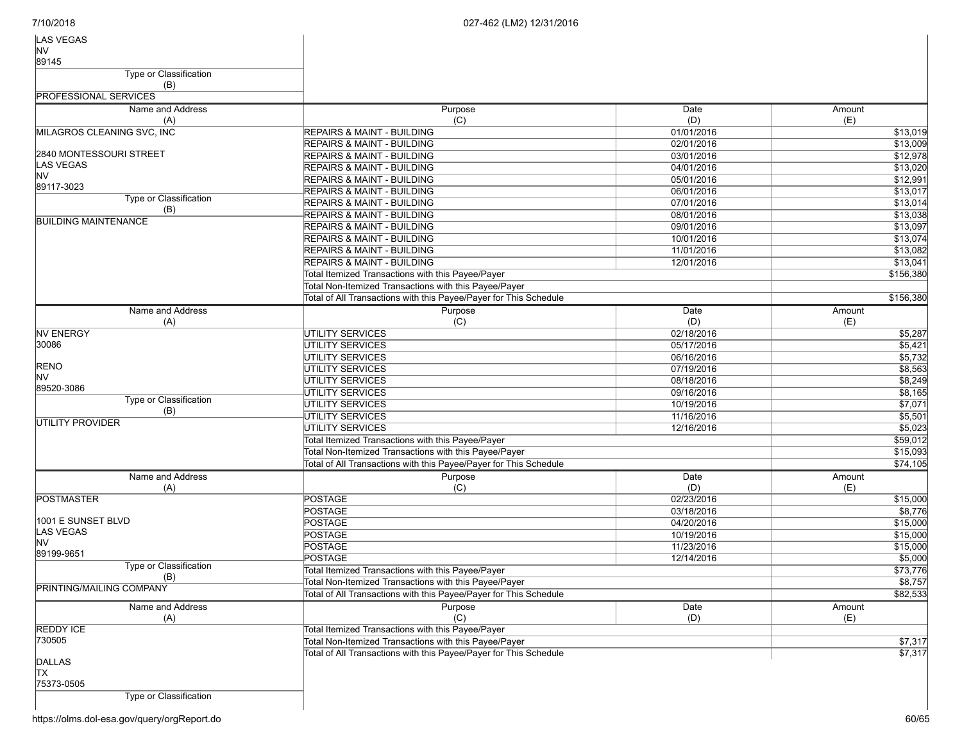| LAS VEGAS                       |                                                                   |            |           |
|---------------------------------|-------------------------------------------------------------------|------------|-----------|
| <b>NV</b>                       |                                                                   |            |           |
| 89145                           |                                                                   |            |           |
| <b>Type or Classification</b>   |                                                                   |            |           |
| (B)                             |                                                                   |            |           |
| <b>PROFESSIONAL SERVICES</b>    |                                                                   |            |           |
| Name and Address                | Purpose                                                           | Date       | Amount    |
| (A)                             | (C)                                                               | (D)        | (E)       |
| MILAGROS CLEANING SVC, INC      | <b>REPAIRS &amp; MAINT - BUILDING</b>                             | 01/01/2016 | \$13,019  |
|                                 | <b>REPAIRS &amp; MAINT - BUILDING</b>                             | 02/01/2016 | \$13,009  |
| 2840 MONTESSOURI STREET         | <b>REPAIRS &amp; MAINT - BUILDING</b>                             | 03/01/2016 | \$12,978  |
| LAS VEGAS                       | <b>REPAIRS &amp; MAINT - BUILDING</b>                             | 04/01/2016 | \$13,020  |
| <b>NV</b>                       | <b>REPAIRS &amp; MAINT - BUILDING</b>                             | 05/01/2016 | \$12,991  |
| 89117-3023                      | REPAIRS & MAINT - BUILDING                                        | 06/01/2016 | \$13,017  |
| Type or Classification          | <b>REPAIRS &amp; MAINT - BUILDING</b>                             | 07/01/2016 | \$13,014  |
| (B)                             | <b>REPAIRS &amp; MAINT - BUILDING</b>                             | 08/01/2016 | \$13,038  |
| <b>BUILDING MAINTENANCE</b>     | <b>REPAIRS &amp; MAINT - BUILDING</b>                             | 09/01/2016 | \$13,097  |
|                                 | <b>REPAIRS &amp; MAINT - BUILDING</b>                             | 10/01/2016 | \$13,074  |
|                                 | <b>REPAIRS &amp; MAINT - BUILDING</b>                             | 11/01/2016 | \$13,082  |
|                                 | <b>REPAIRS &amp; MAINT - BUILDING</b>                             | 12/01/2016 |           |
|                                 |                                                                   |            | \$13,041  |
|                                 | Total Itemized Transactions with this Payee/Payer                 |            | \$156,380 |
|                                 | Total Non-Itemized Transactions with this Payee/Payer             |            |           |
|                                 | Total of All Transactions with this Payee/Payer for This Schedule |            | \$156,380 |
| Name and Address                | Purpose                                                           | Date       | Amount    |
| (A)                             | (C)                                                               | (D)        | (E)       |
| <b>NV ENERGY</b>                | <b>UTILITY SERVICES</b>                                           | 02/18/2016 | \$5,287   |
| 30086                           | <b>UTILITY SERVICES</b>                                           | 05/17/2016 | \$5,421   |
|                                 | <b>UTILITY SERVICES</b>                                           | 06/16/2016 | \$5,732   |
| <b>RENO</b>                     | <b>UTILITY SERVICES</b>                                           | 07/19/2016 | \$8,563   |
| <b>NV</b>                       | <b>UTILITY SERVICES</b>                                           | 08/18/2016 | \$8,249   |
| 89520-3086                      | <b>UTILITY SERVICES</b>                                           | 09/16/2016 | \$8,165   |
| Type or Classification          | <b>UTILITY SERVICES</b>                                           | 10/19/2016 | \$7,071   |
| (B)                             | <b>UTILITY SERVICES</b>                                           | 11/16/2016 | \$5,501   |
| UTILITY PROVIDER                | <b>UTILITY SERVICES</b>                                           | 12/16/2016 | \$5,023   |
|                                 | Total Itemized Transactions with this Payee/Payer                 |            | \$59,012  |
|                                 | Total Non-Itemized Transactions with this Payee/Payer             |            | \$15,093  |
|                                 | Total of All Transactions with this Payee/Payer for This Schedule |            | \$74,105  |
|                                 |                                                                   |            |           |
| Name and Address                | Purpose                                                           | Date       | Amount    |
| (A)                             | (C)                                                               | (D)        | (E)       |
| <b>POSTMASTER</b>               | <b>POSTAGE</b>                                                    | 02/23/2016 | \$15,000  |
|                                 | <b>POSTAGE</b>                                                    | 03/18/2016 | \$8,776   |
| 1001 E SUNSET BLVD<br>LAS VEGAS | <b>POSTAGE</b>                                                    | 04/20/2016 | \$15,000  |
| NV                              | <b>POSTAGE</b>                                                    | 10/19/2016 | \$15,000  |
| 89199-9651                      | <b>POSTAGE</b>                                                    | 11/23/2016 | \$15,000  |
|                                 | <b>POSTAGE</b>                                                    | 12/14/2016 | \$5,000   |
| Type or Classification          | Total Itemized Transactions with this Payee/Payer                 |            | \$73,776  |
| (B)                             | Total Non-Itemized Transactions with this Payee/Payer             |            | \$8,757   |
| PRINTING/MAILING COMPANY        | Total of All Transactions with this Payee/Payer for This Schedule |            | \$82,533  |
| Name and Address                | Purpose                                                           | Date       | Amount    |
| (A)                             | (C)                                                               | (D)        | (E)       |
| <b>REDDY ICE</b>                | Total Itemized Transactions with this Payee/Payer                 |            |           |
| 730505                          | Total Non-Itemized Transactions with this Payee/Payer             |            | \$7,317   |
|                                 | Total of All Transactions with this Payee/Payer for This Schedule |            | \$7,317   |
| <b>DALLAS</b>                   |                                                                   |            |           |
| <b>TX</b>                       |                                                                   |            |           |
| 75373-0505                      |                                                                   |            |           |
| <b>Type or Classification</b>   |                                                                   |            |           |
|                                 |                                                                   |            |           |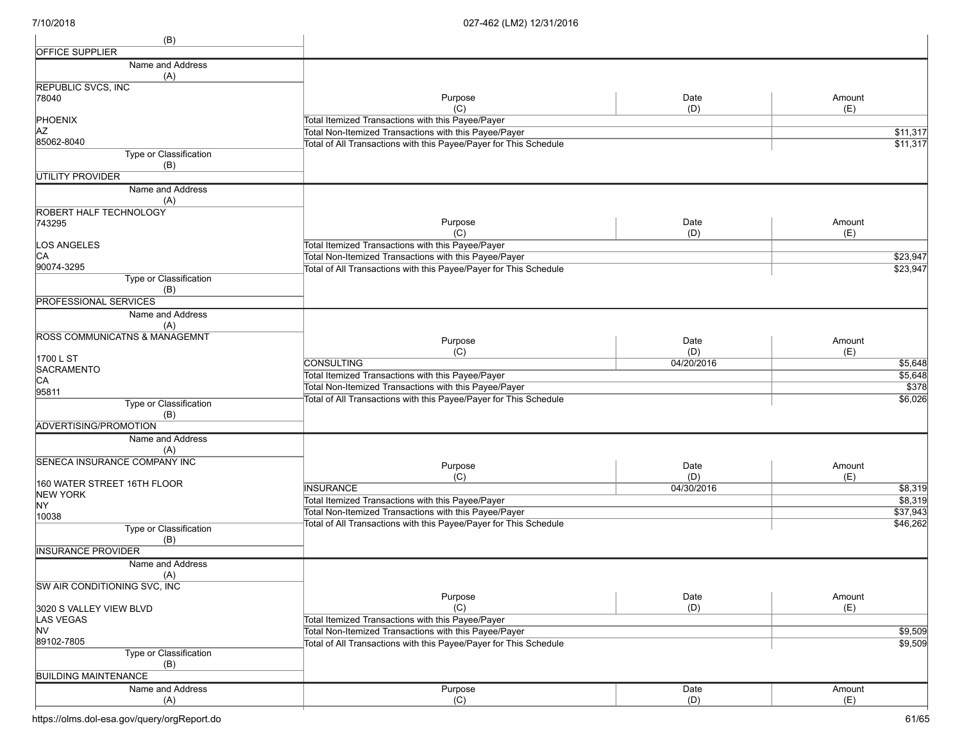| (B)                                      |                                                                                                            |             |               |
|------------------------------------------|------------------------------------------------------------------------------------------------------------|-------------|---------------|
| <b>OFFICE SUPPLIER</b>                   |                                                                                                            |             |               |
| Name and Address                         |                                                                                                            |             |               |
| (A)                                      |                                                                                                            |             |               |
| <b>REPUBLIC SVCS, INC</b>                |                                                                                                            |             |               |
| 78040                                    | Purpose<br>(C)                                                                                             | Date<br>(D) | Amount<br>(E) |
| <b>PHOENIX</b>                           | Total Itemized Transactions with this Payee/Payer                                                          |             |               |
| AZ                                       | Total Non-Itemized Transactions with this Payee/Payer                                                      |             | \$11,317      |
| 85062-8040                               | Total of All Transactions with this Payee/Payer for This Schedule                                          |             | \$11,317      |
| Type or Classification<br>(B)            |                                                                                                            |             |               |
| <b>UTILITY PROVIDER</b>                  |                                                                                                            |             |               |
| Name and Address                         |                                                                                                            |             |               |
| (A)                                      |                                                                                                            |             |               |
| ROBERT HALF TECHNOLOGY                   |                                                                                                            |             |               |
| 743295                                   | Purpose                                                                                                    | Date        | Amount        |
|                                          | (C)                                                                                                        | (D)         | (E)           |
| LOS ANGELES                              | Total Itemized Transactions with this Payee/Payer                                                          |             |               |
| CA<br>90074-3295                         | Total Non-Itemized Transactions with this Payee/Payer                                                      |             | \$23,947      |
| Type or Classification                   | Total of All Transactions with this Payee/Payer for This Schedule                                          |             | \$23,947      |
| (B)                                      |                                                                                                            |             |               |
| <b>PROFESSIONAL SERVICES</b>             |                                                                                                            |             |               |
| Name and Address                         |                                                                                                            |             |               |
| (A)                                      |                                                                                                            |             |               |
| <b>ROSS COMMUNICATNS &amp; MANAGEMNT</b> | Purpose                                                                                                    | Date        | Amount        |
|                                          | (C)                                                                                                        | (D)         | (E)           |
| 1700 L ST                                | <b>CONSULTING</b>                                                                                          | 04/20/2016  | \$5,648       |
| SACRAMENTO<br>CA                         | Total Itemized Transactions with this Payee/Payer                                                          |             | \$5,648       |
| 95811                                    | Total Non-Itemized Transactions with this Payee/Payer                                                      |             | \$378         |
| Type or Classification                   | Total of All Transactions with this Payee/Payer for This Schedule                                          |             | \$6,026       |
| (B)                                      |                                                                                                            |             |               |
| ADVERTISING/PROMOTION                    |                                                                                                            |             |               |
| Name and Address                         |                                                                                                            |             |               |
| (A)                                      |                                                                                                            |             |               |
| SENECA INSURANCE COMPANY INC             | Purpose                                                                                                    | Date        | Amount        |
|                                          | (C)                                                                                                        | (D)         | (E)           |
| 160 WATER STREET 16TH FLOOR              | <b>INSURANCE</b>                                                                                           | 04/30/2016  | \$8,319       |
| <b>NEW YORK</b><br>NY.                   | Total Itemized Transactions with this Payee/Payer                                                          |             | \$8,319       |
| 10038                                    | Total Non-Itemized Transactions with this Payee/Payer                                                      |             | \$37,943      |
| Type or Classification                   | Total of All Transactions with this Payee/Payer for This Schedule                                          |             | \$46,262      |
| (B)                                      |                                                                                                            |             |               |
| <b>INSURANCE PROVIDER</b>                |                                                                                                            |             |               |
| Name and Address                         |                                                                                                            |             |               |
| (A)                                      |                                                                                                            |             |               |
| SW AIR CONDITIONING SVC, INC             |                                                                                                            |             |               |
|                                          | Purpose                                                                                                    | Date        | Amount        |
| 3020 S VALLEY VIEW BLVD                  | (C)                                                                                                        | (D)         | (E)           |
| LAS VEGAS<br><b>NV</b>                   | Total Itemized Transactions with this Payee/Payer<br>Total Non-Itemized Transactions with this Payee/Payer |             | \$9,509       |
| 89102-7805                               | Total of All Transactions with this Payee/Payer for This Schedule                                          |             | \$9,509       |
| Type or Classification                   |                                                                                                            |             |               |
| (B)                                      |                                                                                                            |             |               |
| <b>BUILDING MAINTENANCE</b>              |                                                                                                            |             |               |
| Name and Address                         | Purpose                                                                                                    | Date        | Amount        |
| (A)                                      | (C)                                                                                                        | (D)         | (E)           |
|                                          |                                                                                                            |             |               |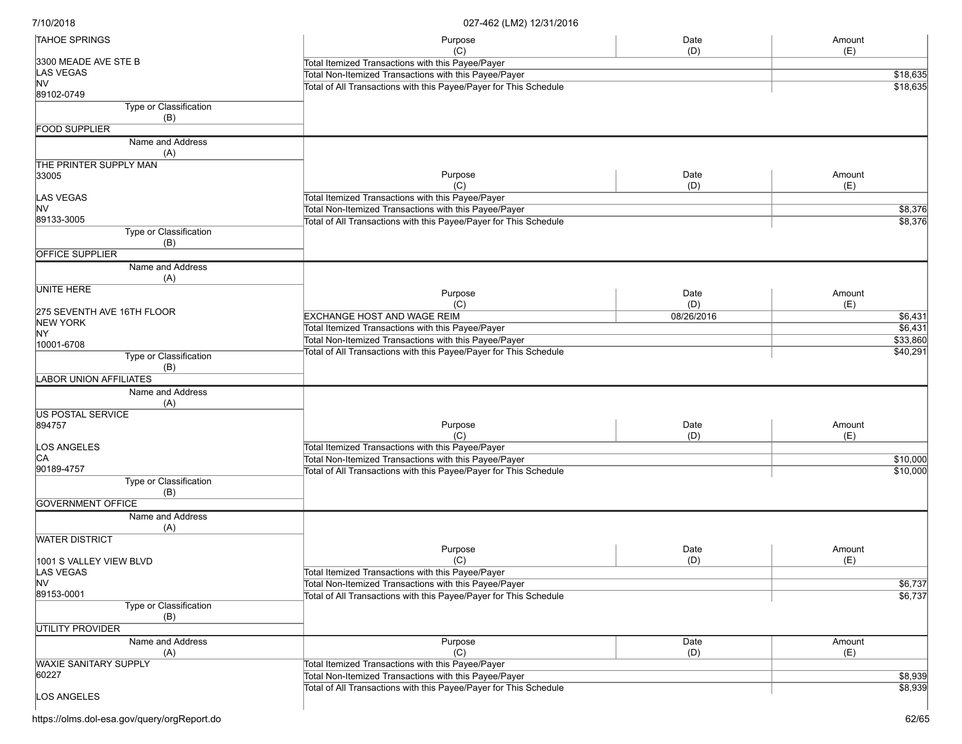| <b>TAHOE SPRINGS</b>                 | Purpose                                                           | Date       | Amount   |
|--------------------------------------|-------------------------------------------------------------------|------------|----------|
| 3300 MEADE AVE STE B                 | (C)<br>Total Itemized Transactions with this Payee/Payer          | (D)        | (E)      |
| LAS VEGAS                            |                                                                   |            | \$18,635 |
| <b>NV</b>                            | Total Non-Itemized Transactions with this Payee/Payer             |            |          |
| 89102-0749                           | Total of All Transactions with this Payee/Payer for This Schedule |            | \$18,635 |
| Type or Classification               |                                                                   |            |          |
| (B)                                  |                                                                   |            |          |
| <b>FOOD SUPPLIER</b>                 |                                                                   |            |          |
|                                      |                                                                   |            |          |
| Name and Address<br>(A)              |                                                                   |            |          |
| THE PRINTER SUPPLY MAN               |                                                                   |            |          |
| 33005                                | Purpose                                                           | Date       | Amount   |
|                                      | (C)                                                               | (D)        | (E)      |
| LAS VEGAS                            | Total Itemized Transactions with this Payee/Payer                 |            |          |
| <b>NV</b>                            | Total Non-Itemized Transactions with this Payee/Payer             |            | \$8,376  |
| 89133-3005                           | Total of All Transactions with this Payee/Payer for This Schedule |            | \$8,376  |
| Type or Classification               |                                                                   |            |          |
| (B)                                  |                                                                   |            |          |
| <b>OFFICE SUPPLIER</b>               |                                                                   |            |          |
| Name and Address                     |                                                                   |            |          |
| (A)                                  |                                                                   |            |          |
| <b>UNITE HERE</b>                    |                                                                   |            |          |
|                                      | Purpose                                                           | Date       | Amount   |
| 275 SEVENTH AVE 16TH FLOOR           | (C)                                                               | (D)        | (E)      |
| <b>NEW YORK</b>                      | <b>EXCHANGE HOST AND WAGE REIM</b>                                | 08/26/2016 | \$6,431  |
| NY                                   | Total Itemized Transactions with this Payee/Payer                 |            | \$6,431  |
| 10001-6708                           | Total Non-Itemized Transactions with this Payee/Payer             |            | \$33,860 |
| Type or Classification               | Total of All Transactions with this Payee/Payer for This Schedule |            | \$40,291 |
|                                      |                                                                   |            |          |
| (B)<br><b>LABOR UNION AFFILIATES</b> |                                                                   |            |          |
|                                      |                                                                   |            |          |
| Name and Address                     |                                                                   |            |          |
| (A)                                  |                                                                   |            |          |
| <b>US POSTAL SERVICE</b>             |                                                                   |            |          |
| 894757                               | Purpose                                                           | Date       | Amount   |
|                                      | (C)                                                               | (D)        | (E)      |
| LOS ANGELES                          | Total Itemized Transactions with this Payee/Payer                 |            |          |
| CA                                   | Total Non-Itemized Transactions with this Payee/Payer             |            | \$10,000 |
| 90189-4757                           | Total of All Transactions with this Payee/Payer for This Schedule |            | \$10,000 |
| Type or Classification               |                                                                   |            |          |
| (B)                                  |                                                                   |            |          |
| <b>GOVERNMENT OFFICE</b>             |                                                                   |            |          |
| Name and Address                     |                                                                   |            |          |
| (A)                                  |                                                                   |            |          |
| <b>WATER DISTRICT</b>                |                                                                   |            |          |
|                                      | Purpose                                                           | Date       | Amount   |
| 1001 S VALLEY VIEW BLVD              | (C)                                                               | (D)        | (E)      |
| LAS VEGAS                            | Total Itemized Transactions with this Payee/Payer                 |            |          |
| NV                                   | Total Non-Itemized Transactions with this Payee/Payer             |            | \$6,737  |
| 89153-0001                           | Total of All Transactions with this Payee/Payer for This Schedule |            | \$6,737  |
| Type or Classification               |                                                                   |            |          |
| (B)                                  |                                                                   |            |          |
| UTILITY PROVIDER                     |                                                                   |            |          |
|                                      |                                                                   |            |          |
| Name and Address                     | Purpose                                                           | Date       | Amount   |
| (A)                                  | (C)                                                               | (D)        | (E)      |
| <b>WAXIE SANITARY SUPPLY</b>         | Total Itemized Transactions with this Payee/Payer                 |            |          |
| 60227                                | Total Non-Itemized Transactions with this Payee/Payer             |            | \$8,939  |
|                                      | Total of All Transactions with this Payee/Payer for This Schedule |            | \$8,939  |
| LOS ANGELES                          |                                                                   |            |          |
|                                      |                                                                   |            |          |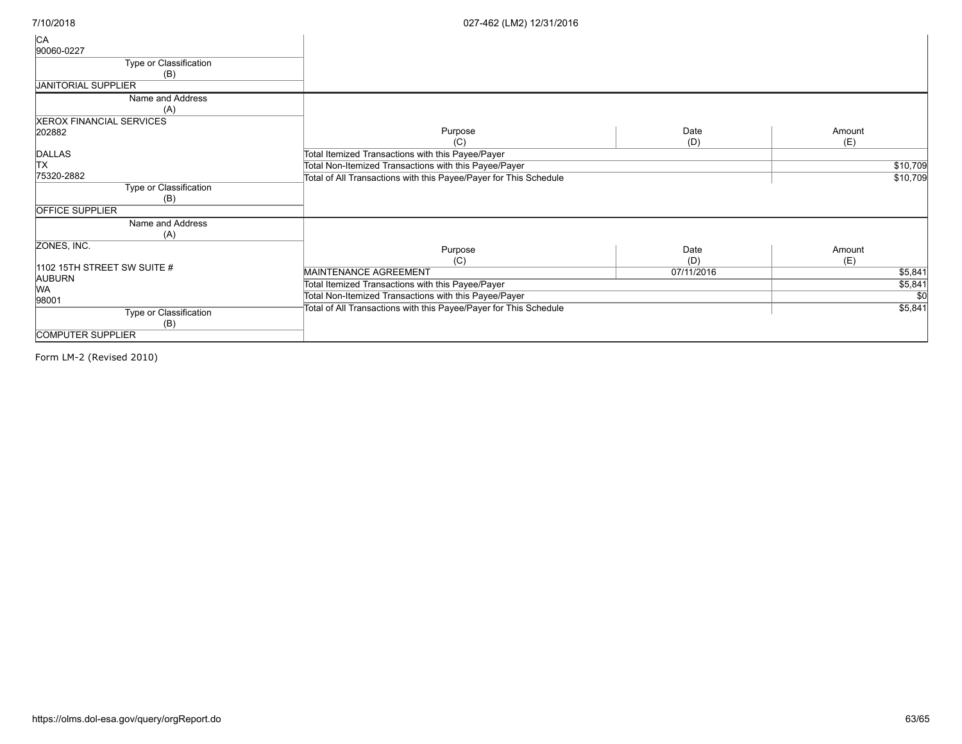| CA                              |                                                                   |            |          |
|---------------------------------|-------------------------------------------------------------------|------------|----------|
| 90060-0227                      |                                                                   |            |          |
| Type or Classification          |                                                                   |            |          |
| (B)                             |                                                                   |            |          |
| <b>JANITORIAL SUPPLIER</b>      |                                                                   |            |          |
| Name and Address                |                                                                   |            |          |
| (A)                             |                                                                   |            |          |
| <b>XEROX FINANCIAL SERVICES</b> |                                                                   |            |          |
| 202882                          | Purpose                                                           | Date       | Amount   |
|                                 | (C)                                                               | (D)        | (E)      |
| DALLAS                          | Total Itemized Transactions with this Payee/Payer                 |            |          |
| <b>TX</b>                       | Total Non-Itemized Transactions with this Payee/Payer             |            | \$10,709 |
| 75320-2882                      | Total of All Transactions with this Payee/Payer for This Schedule |            | \$10,709 |
| Type or Classification          |                                                                   |            |          |
| (B)                             |                                                                   |            |          |
| <b>OFFICE SUPPLIER</b>          |                                                                   |            |          |
| Name and Address                |                                                                   |            |          |
| (A)                             |                                                                   |            |          |
| ZONES, INC.                     | Purpose                                                           | Date       | Amount   |
|                                 | (C)                                                               | (D)        | (E)      |
| 1102 15TH STREET SW SUITE #     | MAINTENANCE AGREEMENT                                             | 07/11/2016 | \$5,841  |
| <b>AUBURN</b>                   | Total Itemized Transactions with this Payee/Payer                 |            | \$5,841  |
| <b>WA</b>                       | Total Non-Itemized Transactions with this Payee/Payer             |            | \$0      |
| 98001                           | Total of All Transactions with this Payee/Payer for This Schedule |            | \$5,841  |
| Type or Classification          |                                                                   |            |          |
| (B)                             |                                                                   |            |          |
| <b>COMPUTER SUPPLIER</b>        |                                                                   |            |          |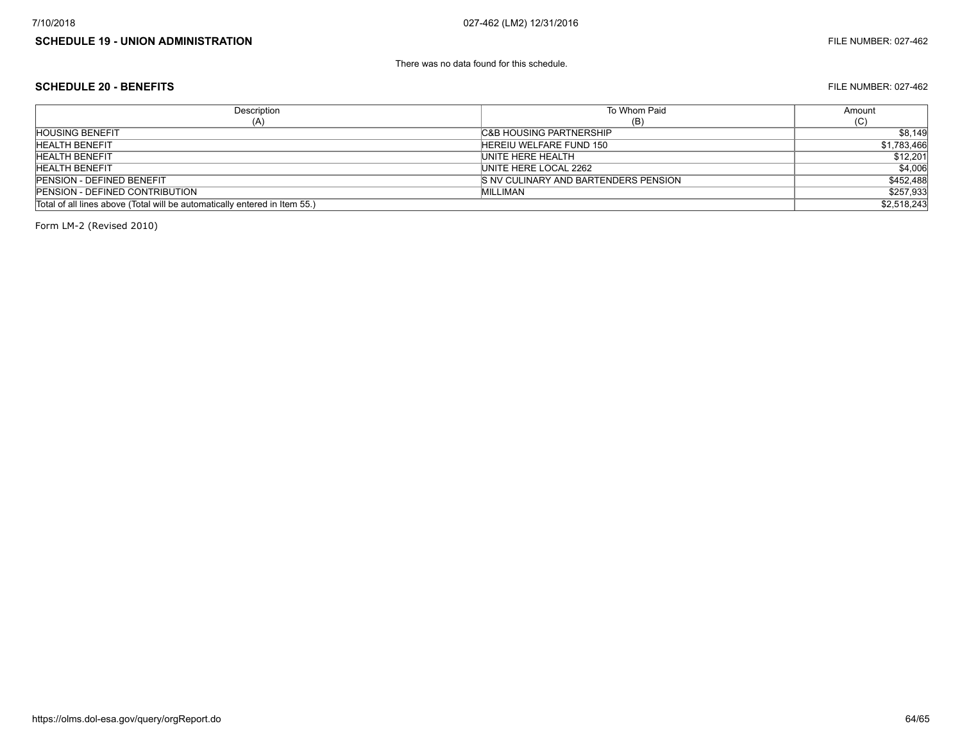#### **SCHEDULE 19 - UNION ADMINISTRATION** FILE NUMBER: 027-462

There was no data found for this schedule.

#### **SCHEDULE 20 - BENEFITS** FILE NUMBER: 027-462

**Description** (A) To Whom Paid (B) Amount (C) Total of all lines above (Total will be automatically entered in Item 55.) \$2,518,243 HOUSING BENEFIT SALL SERVICES AND SALL SERVICES AND SALL SERVICES AND SALL SERVICES AND SALL SERVICES AND SALL SERVICES AND SALL SERVICES AND SALL SERVICES AND SALL SERVICES AND SALL SERVICES AND SALL SERVICES AND SALL SER HEREIU WELFARE FUND 150 **HEREIU WELFARE FUND 150** \$1,783,466 HEALTH BENEFIT UNITE HERE HEALTH \$12,201 HEALTH BENEFIT UNITE HERE LOCAL 2262 \$4,006 PENSION - DEFINED BENEFIT SAND TO THE SAND BARTENDERS PENSION S NV CULINARY AND BARTENDERS PENSION PENSION - DEFINED CONTRIBUTION 6257,933